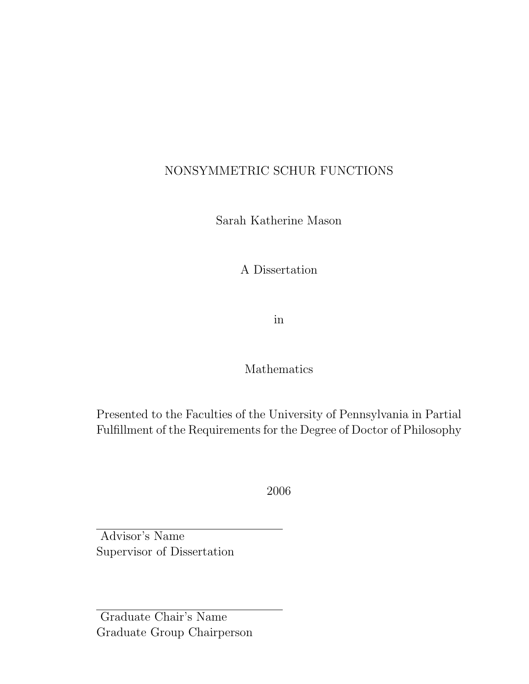# NONSYMMETRIC SCHUR FUNCTIONS

Sarah Katherine Mason

A Dissertation

in

# Mathematics

Presented to the Faculties of the University of Pennsylvania in Partial Fulfillment of the Requirements for the Degree of Doctor of Philosophy

2006

Advisor's Name Supervisor of Dissertation

Graduate Chair's Name Graduate Group Chairperson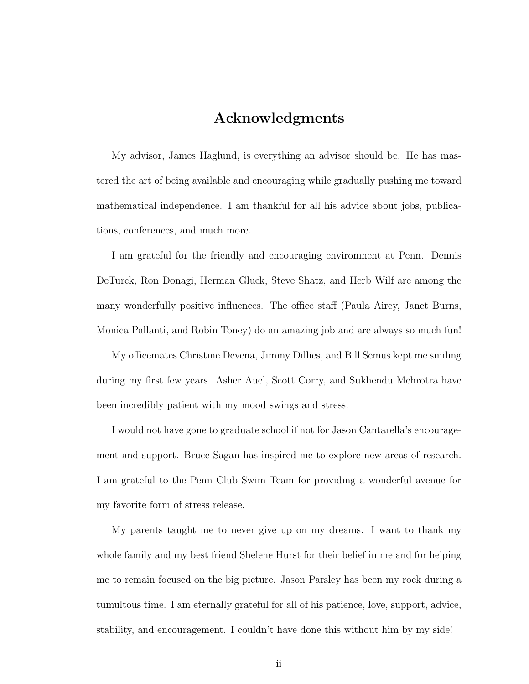# Acknowledgments

My advisor, James Haglund, is everything an advisor should be. He has mastered the art of being available and encouraging while gradually pushing me toward mathematical independence. I am thankful for all his advice about jobs, publications, conferences, and much more.

I am grateful for the friendly and encouraging environment at Penn. Dennis DeTurck, Ron Donagi, Herman Gluck, Steve Shatz, and Herb Wilf are among the many wonderfully positive influences. The office staff (Paula Airey, Janet Burns, Monica Pallanti, and Robin Toney) do an amazing job and are always so much fun!

My officemates Christine Devena, Jimmy Dillies, and Bill Semus kept me smiling during my first few years. Asher Auel, Scott Corry, and Sukhendu Mehrotra have been incredibly patient with my mood swings and stress.

I would not have gone to graduate school if not for Jason Cantarella's encouragement and support. Bruce Sagan has inspired me to explore new areas of research. I am grateful to the Penn Club Swim Team for providing a wonderful avenue for my favorite form of stress release.

My parents taught me to never give up on my dreams. I want to thank my whole family and my best friend Shelene Hurst for their belief in me and for helping me to remain focused on the big picture. Jason Parsley has been my rock during a tumultous time. I am eternally grateful for all of his patience, love, support, advice, stability, and encouragement. I couldn't have done this without him by my side!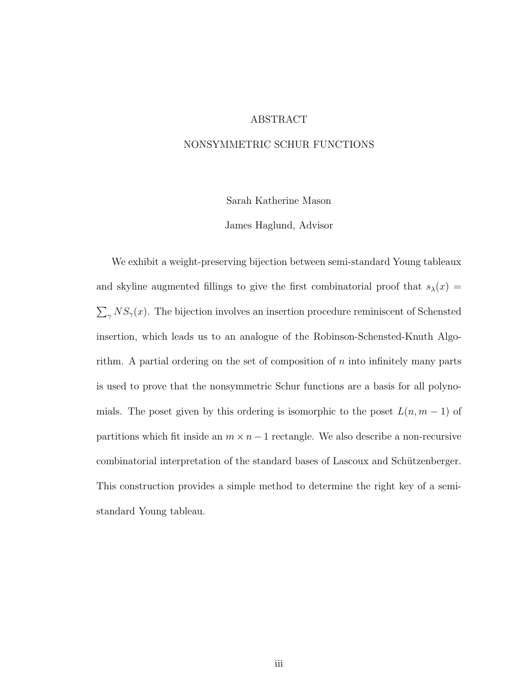#### ABSTRACT

#### NONSYMMETRIC SCHUR FUNCTIONS

Sarah Katherine Mason

James Haglund, Advisor

We exhibit a weight-preserving bijection between semi-standard Young tableaux and skyline augmented fillings to give the first combinatorial proof that  $s_{\lambda}(x) =$  $\sum_{\gamma} NS_{\gamma}(x)$ . The bijection involves an insertion procedure reminiscent of Schensted insertion, which leads us to an analogue of the Robinson-Schensted-Knuth Algorithm. A partial ordering on the set of composition of  $n$  into infinitely many parts is used to prove that the nonsymmetric Schur functions are a basis for all polynomials. The poset given by this ordering is isomorphic to the poset  $L(n, m - 1)$  of partitions which fit inside an  $m \times n - 1$  rectangle. We also describe a non-recursive combinatorial interpretation of the standard bases of Lascoux and Schützenberger. This construction provides a simple method to determine the right key of a semistandard Young tableau.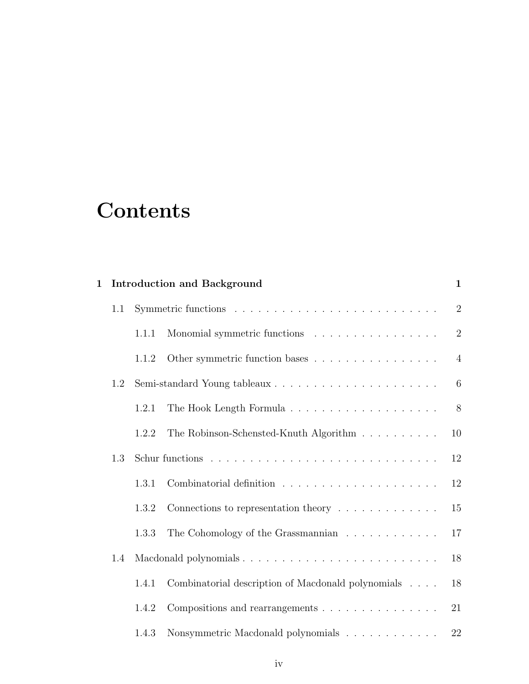# **Contents**

| $\mathbf 1$ |     |       | <b>Introduction and Background</b>                                              | $\mathbf{1}$   |  |  |  |  |
|-------------|-----|-------|---------------------------------------------------------------------------------|----------------|--|--|--|--|
|             | 1.1 |       |                                                                                 | $\sqrt{2}$     |  |  |  |  |
|             |     | 1.1.1 | Monomial symmetric functions                                                    | $\overline{2}$ |  |  |  |  |
|             |     | 1.1.2 | Other symmetric function bases                                                  | $\overline{4}$ |  |  |  |  |
| 1.2         |     |       |                                                                                 |                |  |  |  |  |
|             |     | 1.2.1 |                                                                                 | 8              |  |  |  |  |
|             |     | 1.2.2 | The Robinson-Schensted-Knuth Algorithm                                          | 10             |  |  |  |  |
|             | 1.3 |       |                                                                                 | 12             |  |  |  |  |
|             |     | 1.3.1 |                                                                                 | 12             |  |  |  |  |
|             |     | 1.3.2 | Connections to representation theory $\dots \dots \dots \dots$                  | 15             |  |  |  |  |
|             |     | 1.3.3 | The Cohomology of the Grassmannian                                              | 17             |  |  |  |  |
|             | 1.4 |       |                                                                                 | 18             |  |  |  |  |
|             |     | 1.4.1 | Combinatorial description of Macdonald polynomials                              | 18             |  |  |  |  |
|             |     | 1.4.2 |                                                                                 | 21             |  |  |  |  |
|             |     | 1.4.3 | Nonsymmetric Macdonald polynomials $\hfill\ldots\ldots\ldots\ldots\ldots\ldots$ | $22\,$         |  |  |  |  |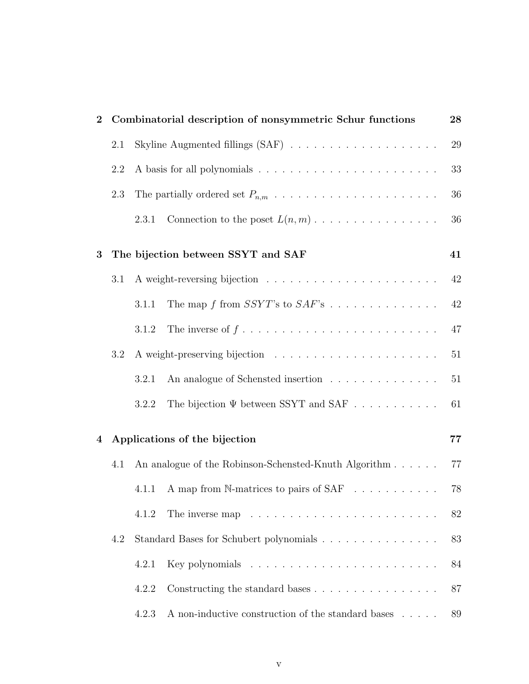| $\bf{2}$ |     |       | Combinatorial description of nonsymmetric Schur functions                 | 28 |
|----------|-----|-------|---------------------------------------------------------------------------|----|
|          | 2.1 |       |                                                                           | 29 |
|          | 2.2 |       |                                                                           | 33 |
|          | 2.3 |       |                                                                           | 36 |
|          |     | 2.3.1 | Connection to the poset $L(n, m)$                                         | 36 |
| 3        |     |       | The bijection between SSYT and SAF                                        | 41 |
|          | 3.1 |       |                                                                           | 42 |
|          |     | 3.1.1 | The map $f$ from $SSYT$ 's to $SAF$ 's                                    | 42 |
|          |     | 3.1.2 |                                                                           | 47 |
|          | 3.2 |       |                                                                           | 51 |
|          |     | 3.2.1 | An analogue of Schensted insertion $\ldots \ldots \ldots \ldots \ldots$   | 51 |
|          |     | 3.2.2 | The bijection $\Psi$ between SSYT and SAF                                 | 61 |
| 4        |     |       | Applications of the bijection                                             | 77 |
|          | 4.1 |       | An analogue of the Robinson-Schensted-Knuth Algorithm                     | 77 |
|          |     | 4.1.1 | A map from N-matrices to pairs of SAF                                     | 78 |
|          |     | 4.1.2 | The inverse map $\ldots \ldots \ldots \ldots \ldots \ldots \ldots \ldots$ | 82 |
|          | 4.2 |       | Standard Bases for Schubert polynomials                                   | 83 |
|          |     | 4.2.1 |                                                                           | 84 |
|          |     | 4.2.2 |                                                                           | 87 |
|          |     | 4.2.3 | A non-inductive construction of the standard bases $\dots$ .              | 89 |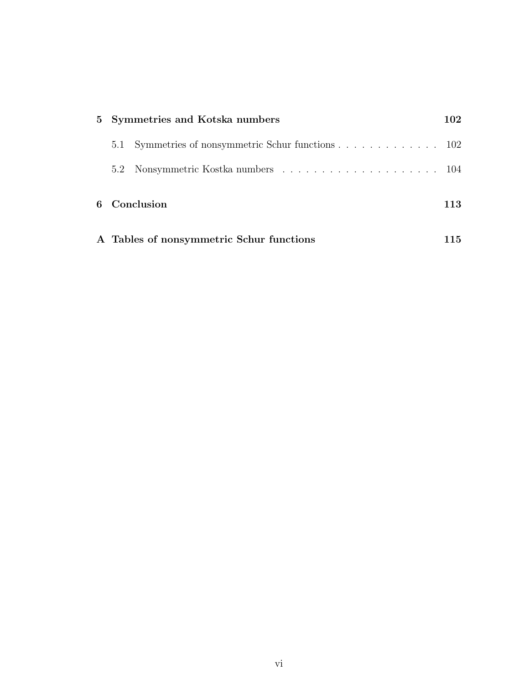|  | 5 Symmetries and Kotska numbers                    | 102 |
|--|----------------------------------------------------|-----|
|  | 5.1 Symmetries of nonsymmetric Schur functions 102 |     |
|  |                                                    |     |
|  | 6 Conclusion                                       | 113 |
|  | A Tables of nonsymmetric Schur functions           | 115 |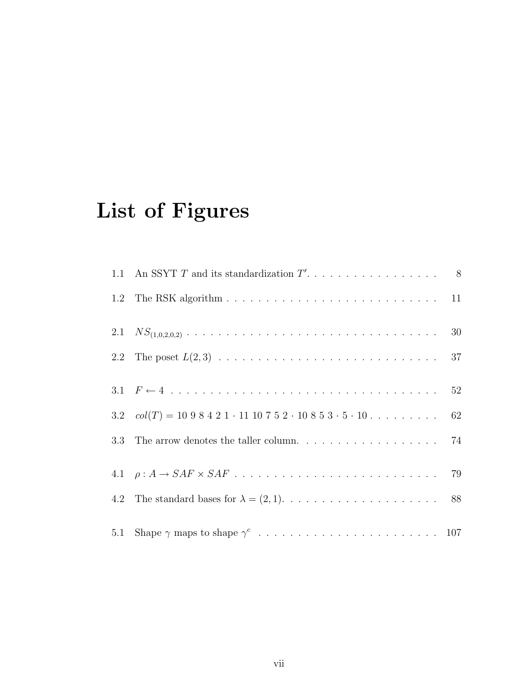# List of Figures

| 3.2 $col(T) = 1098421 \cdot 1110752 \cdot 10853 \cdot 5 \cdot 10 \cdot \ldots \cdot \ldots \cdot 62$ |  |
|------------------------------------------------------------------------------------------------------|--|
| 3.3 The arrow denotes the taller column. $\ldots \ldots \ldots \ldots \ldots$ 74                     |  |
|                                                                                                      |  |
|                                                                                                      |  |
|                                                                                                      |  |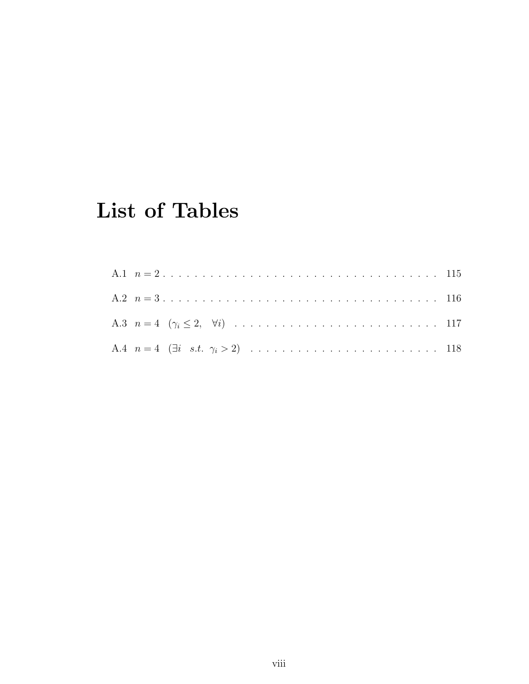# **List of Tables**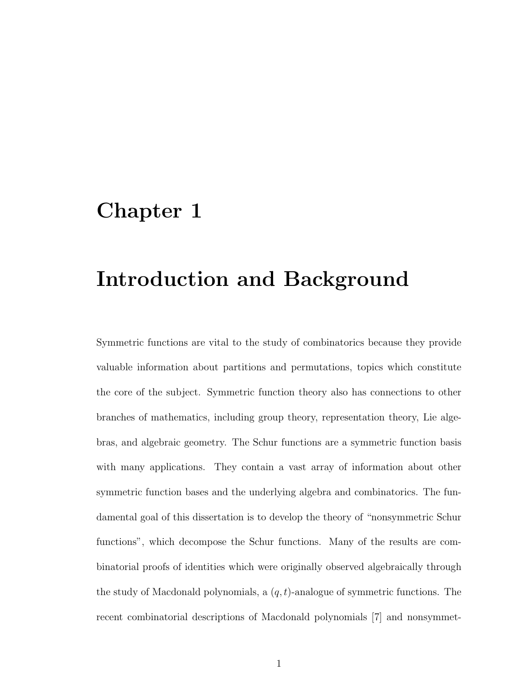# Chapter 1

# Introduction and Background

Symmetric functions are vital to the study of combinatorics because they provide valuable information about partitions and permutations, topics which constitute the core of the subject. Symmetric function theory also has connections to other branches of mathematics, including group theory, representation theory, Lie algebras, and algebraic geometry. The Schur functions are a symmetric function basis with many applications. They contain a vast array of information about other symmetric function bases and the underlying algebra and combinatorics. The fundamental goal of this dissertation is to develop the theory of "nonsymmetric Schur functions", which decompose the Schur functions. Many of the results are combinatorial proofs of identities which were originally observed algebraically through the study of Macdonald polynomials, a  $(q, t)$ -analogue of symmetric functions. The recent combinatorial descriptions of Macdonald polynomials [7] and nonsymmet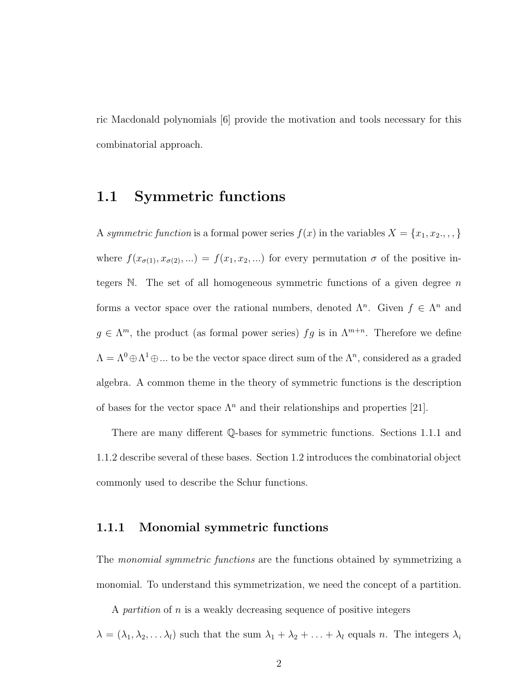ric Macdonald polynomials [6] provide the motivation and tools necessary for this combinatorial approach.

# 1.1 Symmetric functions

A symmetric function is a formal power series  $f(x)$  in the variables  $X = \{x_1, x_2, \ldots, x_n\}$ where  $f(x_{\sigma(1)}, x_{\sigma(2)}, ...) = f(x_1, x_2, ...)$  for every permutation  $\sigma$  of the positive integers N. The set of all homogeneous symmetric functions of a given degree  $n$ forms a vector space over the rational numbers, denoted  $\Lambda^n$ . Given  $f \in \Lambda^n$  and  $g \in \Lambda^m$ , the product (as formal power series)  $fg$  is in  $\Lambda^{m+n}$ . Therefore we define  $\Lambda = \Lambda^0 \oplus \Lambda^1 \oplus ...$  to be the vector space direct sum of the  $\Lambda^n$ , considered as a graded algebra. A common theme in the theory of symmetric functions is the description of bases for the vector space  $\Lambda^n$  and their relationships and properties [21].

There are many different Q-bases for symmetric functions. Sections 1.1.1 and 1.1.2 describe several of these bases. Section 1.2 introduces the combinatorial object commonly used to describe the Schur functions.

## 1.1.1 Monomial symmetric functions

The *monomial symmetric functions* are the functions obtained by symmetrizing a monomial. To understand this symmetrization, we need the concept of a partition.

A partition of n is a weakly decreasing sequence of positive integers

 $\lambda = (\lambda_1, \lambda_2, \dots \lambda_l)$  such that the sum  $\lambda_1 + \lambda_2 + \dots + \lambda_l$  equals n. The integers  $\lambda_i$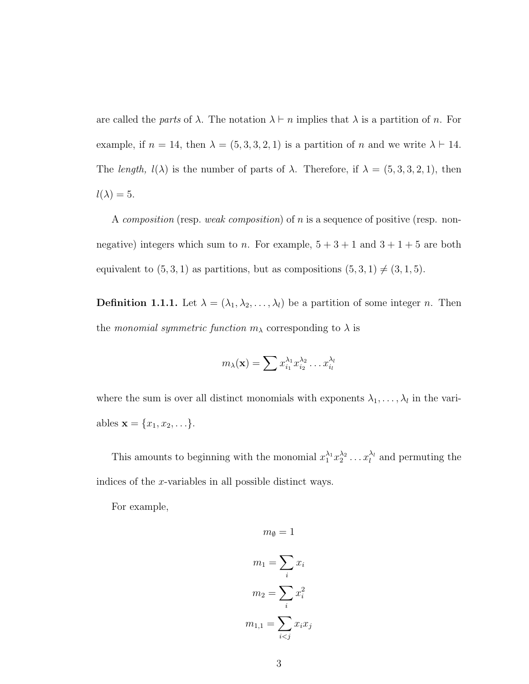are called the parts of  $\lambda$ . The notation  $\lambda \vdash n$  implies that  $\lambda$  is a partition of n. For example, if  $n = 14$ , then  $\lambda = (5, 3, 3, 2, 1)$  is a partition of n and we write  $\lambda \vdash 14$ . The length,  $l(\lambda)$  is the number of parts of  $\lambda$ . Therefore, if  $\lambda = (5, 3, 3, 2, 1)$ , then  $l(\lambda) = 5.$ 

A composition (resp. weak composition) of n is a sequence of positive (resp. nonnegative) integers which sum to n. For example,  $5 + 3 + 1$  and  $3 + 1 + 5$  are both equivalent to  $(5, 3, 1)$  as partitions, but as compositions  $(5, 3, 1) \neq (3, 1, 5)$ .

**Definition 1.1.1.** Let  $\lambda = (\lambda_1, \lambda_2, \dots, \lambda_l)$  be a partition of some integer *n*. Then the monomial symmetric function  $m_{\lambda}$  corresponding to  $\lambda$  is

$$
m_{\lambda}(\mathbf{x}) = \sum x_{i_1}^{\lambda_1} x_{i_2}^{\lambda_2} \dots x_{i_l}^{\lambda_l}
$$

where the sum is over all distinct monomials with exponents  $\lambda_1, \ldots, \lambda_l$  in the variables  $\mathbf{x} = \{x_1, x_2, \ldots\}.$ 

This amounts to beginning with the monomial  $x_1^{\lambda_1} x_2^{\lambda_2} \dots x_l^{\lambda_l}$  and permuting the indices of the x-variables in all possible distinct ways.

 $m_{\emptyset} = 1$ 

For example,

$$
m_1 = \sum_i x_i
$$

$$
m_2 = \sum_i x_i^2
$$

$$
m_{1,1} = \sum_{i < j} x_i x_j
$$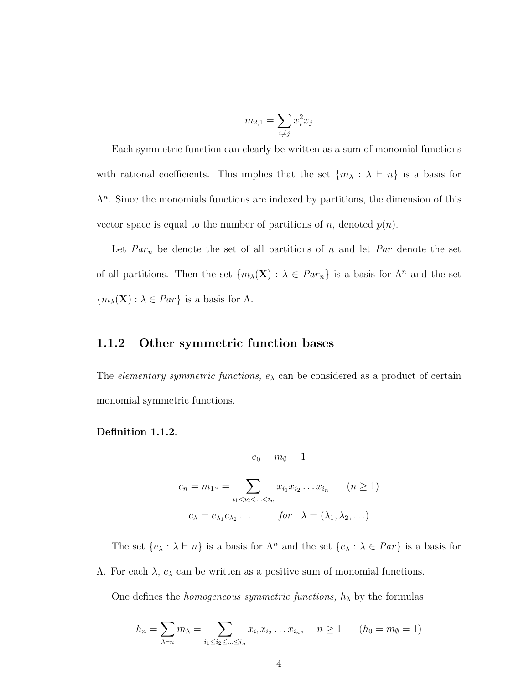$$
m_{2,1} = \sum_{i \neq j} x_i^2 x_j
$$

Each symmetric function can clearly be written as a sum of monomial functions with rational coefficients. This implies that the set  $\{m_\lambda : \lambda \vdash n\}$  is a basis for  $\Lambda^n$ . Since the monomials functions are indexed by partitions, the dimension of this vector space is equal to the number of partitions of n, denoted  $p(n)$ .

Let  $Par_n$  be denote the set of all partitions of n and let Par denote the set of all partitions. Then the set  $\{m_{\lambda}(\mathbf{X}) : \lambda \in Par_n\}$  is a basis for  $\Lambda^n$  and the set  ${m_\lambda(\mathbf{X}) : \lambda \in Par}$  is a basis for  $\Lambda$ .

#### 1.1.2 Other symmetric function bases

The *elementary symmetric functions,*  $e_{\lambda}$  can be considered as a product of certain monomial symmetric functions.

#### Definition 1.1.2.

$$
e_0 = m_{\emptyset} = 1
$$
  
\n
$$
e_n = m_{1^n} = \sum_{i_1 < i_2 < \dots < i_n} x_{i_1} x_{i_2} \dots x_{i_n} \qquad (n \ge 1)
$$
  
\n
$$
e_{\lambda} = e_{\lambda_1} e_{\lambda_2} \dots \qquad \text{for} \quad \lambda = (\lambda_1, \lambda_2, \dots)
$$

The set  $\{e_\lambda : \lambda \vdash n\}$  is a basis for  $\Lambda^n$  and the set  $\{e_\lambda : \lambda \in Par\}$  is a basis for

 $Λ$ . For each  $λ$ ,  $e<sub>λ</sub>$  can be written as a positive sum of monomial functions.

One defines the *homogeneous symmetric functions*,  $h_{\lambda}$  by the formulas

$$
h_n = \sum_{\lambda \vdash n} m_{\lambda} = \sum_{i_1 \le i_2 \le \dots \le i_n} x_{i_1} x_{i_2} \dots x_{i_n}, \quad n \ge 1 \qquad (h_0 = m_{\emptyset} = 1)
$$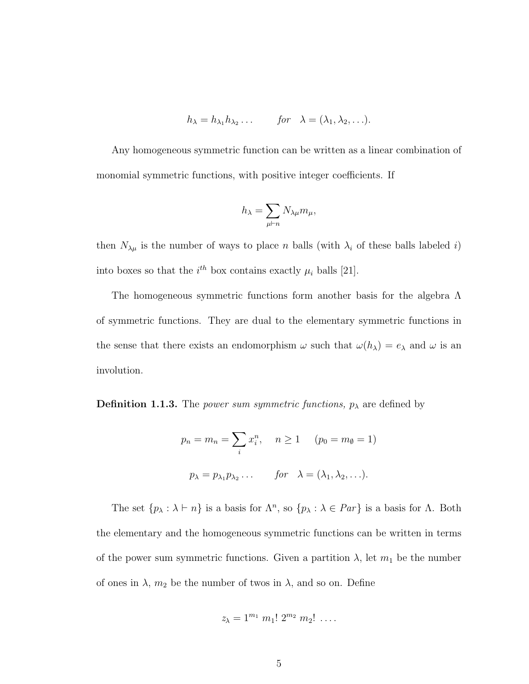$$
h_{\lambda} = h_{\lambda_1} h_{\lambda_2} \dots \qquad \text{for} \quad \lambda = (\lambda_1, \lambda_2, \dots).
$$

Any homogeneous symmetric function can be written as a linear combination of monomial symmetric functions, with positive integer coefficients. If

$$
h_{\lambda} = \sum_{\mu \vdash n} N_{\lambda \mu} m_{\mu},
$$

then  $N_{\lambda\mu}$  is the number of ways to place n balls (with  $\lambda_i$  of these balls labeled i) into boxes so that the  $i^{th}$  box contains exactly  $\mu_i$  balls [21].

The homogeneous symmetric functions form another basis for the algebra  $\Lambda$ of symmetric functions. They are dual to the elementary symmetric functions in the sense that there exists an endomorphism  $\omega$  such that  $\omega(h_\lambda) = e_\lambda$  and  $\omega$  is an involution.

**Definition 1.1.3.** The power sum symmetric functions,  $p_{\lambda}$  are defined by

$$
p_n = m_n = \sum_i x_i^n, \quad n \ge 1 \quad (p_0 = m_\emptyset = 1)
$$
  

$$
p_\lambda = p_{\lambda_1} p_{\lambda_2} \dots \quad \text{for} \quad \lambda = (\lambda_1, \lambda_2, \dots).
$$

The set  $\{p_\lambda : \lambda \vdash n\}$  is a basis for  $\Lambda^n$ , so  $\{p_\lambda : \lambda \in Par\}$  is a basis for  $\Lambda$ . Both the elementary and the homogeneous symmetric functions can be written in terms of the power sum symmetric functions. Given a partition  $\lambda$ , let  $m_1$  be the number of ones in  $\lambda$ ,  $m_2$  be the number of twos in  $\lambda$ , and so on. Define

$$
z_{\lambda}=1^{m_1} m_1! 2^{m_2} m_2! \ldots
$$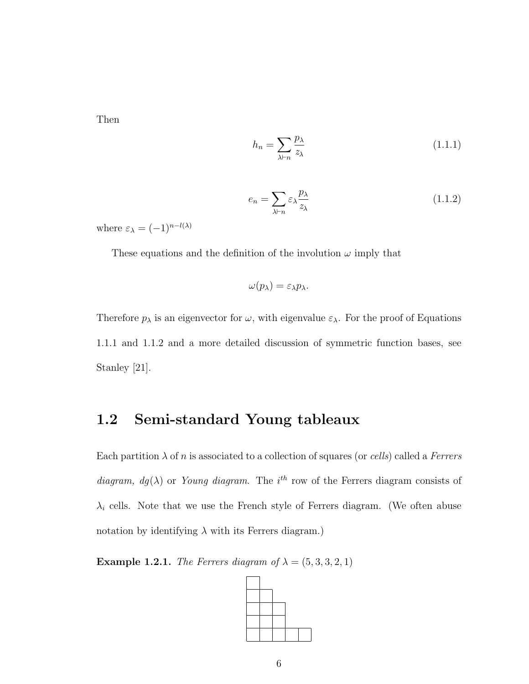Then

$$
h_n = \sum_{\lambda \vdash n} \frac{p_\lambda}{z_\lambda} \tag{1.1.1}
$$

$$
e_n = \sum_{\lambda \vdash n} \varepsilon_\lambda \frac{p_\lambda}{z_\lambda} \tag{1.1.2}
$$

where  $\varepsilon_{\lambda} = (-1)^{n-l(\lambda)}$ 

These equations and the definition of the involution  $\omega$  imply that

$$
\omega(p_{\lambda})=\varepsilon_{\lambda}p_{\lambda}.
$$

Therefore  $p_{\lambda}$  is an eigenvector for  $\omega$ , with eigenvalue  $\varepsilon_{\lambda}$ . For the proof of Equations 1.1.1 and 1.1.2 and a more detailed discussion of symmetric function bases, see Stanley [21].

# 1.2 Semi-standard Young tableaux

Each partition  $\lambda$  of n is associated to a collection of squares (or cells) called a Ferrers diagram,  $dg(\lambda)$  or Young diagram. The i<sup>th</sup> row of the Ferrers diagram consists of  $\lambda_i$  cells. Note that we use the French style of Ferrers diagram. (We often abuse notation by identifying  $\lambda$  with its Ferrers diagram.)

**Example 1.2.1.** The Ferrers diagram of  $\lambda = (5, 3, 3, 2, 1)$ 

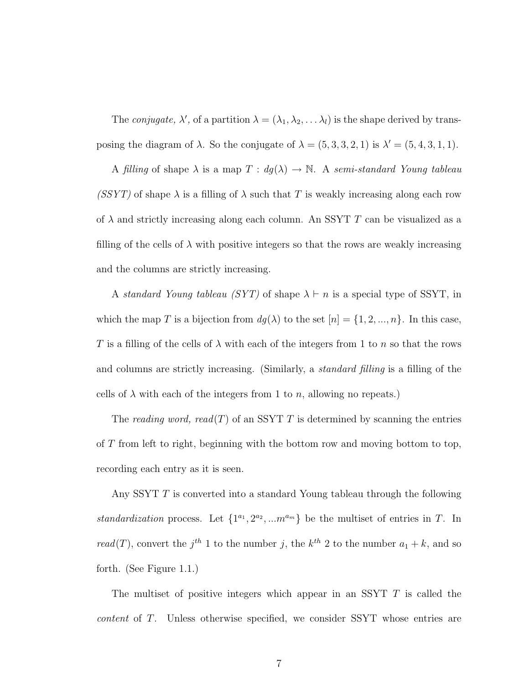The *conjugate*,  $\lambda'$ , of a partition  $\lambda = (\lambda_1, \lambda_2, \dots \lambda_l)$  is the shape derived by transposing the diagram of  $\lambda$ . So the conjugate of  $\lambda = (5, 3, 3, 2, 1)$  is  $\lambda' = (5, 4, 3, 1, 1)$ .

A filling of shape  $\lambda$  is a map  $T : dg(\lambda) \to \mathbb{N}$ . A semi-standard Young tableau (SSYT) of shape  $\lambda$  is a filling of  $\lambda$  such that T is weakly increasing along each row of  $\lambda$  and strictly increasing along each column. An SSYT T can be visualized as a filling of the cells of  $\lambda$  with positive integers so that the rows are weakly increasing and the columns are strictly increasing.

A standard Young tableau (SYT) of shape  $\lambda \vdash n$  is a special type of SSYT, in which the map T is a bijection from  $dg(\lambda)$  to the set  $[n] = \{1, 2, ..., n\}$ . In this case, T is a filling of the cells of  $\lambda$  with each of the integers from 1 to n so that the rows and columns are strictly increasing. (Similarly, a *standard filling* is a filling of the cells of  $\lambda$  with each of the integers from 1 to n, allowing no repeats.)

The reading word, read(T) of an SSYT T is determined by scanning the entries of T from left to right, beginning with the bottom row and moving bottom to top, recording each entry as it is seen.

Any SSYT T is converted into a standard Young tableau through the following standardization process. Let  $\{1^{a_1}, 2^{a_2}, ... m^{a_m}\}$  be the multiset of entries in T. In read(T), convert the  $j<sup>th</sup> 1$  to the number j, the  $k<sup>th</sup> 2$  to the number  $a_1 + k$ , and so forth. (See Figure 1.1.)

The multiset of positive integers which appear in an SSYT T is called the content of T. Unless otherwise specified, we consider SSYT whose entries are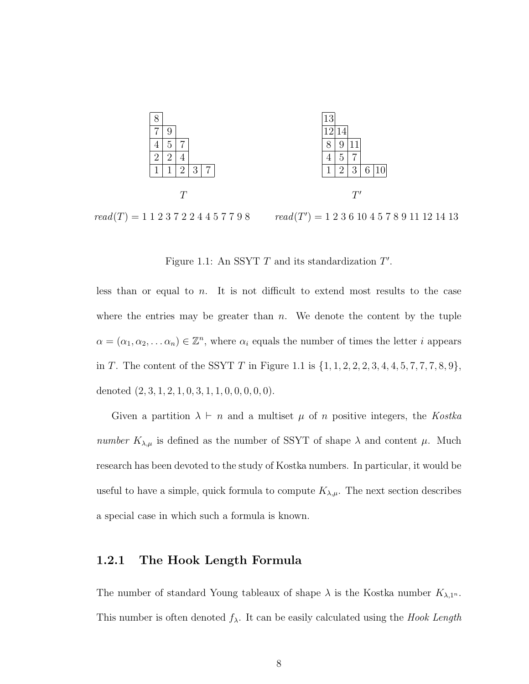

 $read(T) = 1 1 2 3 7 2 2 4 4 5 7 7 9 8$  $(9) = 1\ 2\ 3\ 6\ 10\ 4\ 5\ 7\ 8\ 9\ 11\ 12\ 14\ 13$ 

Figure 1.1: An SSYT  $T$  and its standardization  $T'$ .

less than or equal to n. It is not difficult to extend most results to the case where the entries may be greater than  $n$ . We denote the content by the tuple  $\alpha = (\alpha_1, \alpha_2, \dots \alpha_n) \in \mathbb{Z}^n$ , where  $\alpha_i$  equals the number of times the letter *i* appears in T. The content of the SSYT T in Figure 1.1 is  $\{1, 1, 2, 2, 2, 3, 4, 4, 5, 7, 7, 7, 8, 9\}$ , denoted  $(2, 3, 1, 2, 1, 0, 3, 1, 1, 0, 0, 0, 0, 0)$ .

Given a partition  $\lambda \vdash n$  and a multiset  $\mu$  of n positive integers, the Kostka number  $K_{\lambda,\mu}$  is defined as the number of SSYT of shape  $\lambda$  and content  $\mu$ . Much research has been devoted to the study of Kostka numbers. In particular, it would be useful to have a simple, quick formula to compute  $K_{\lambda,\mu}$ . The next section describes a special case in which such a formula is known.

## 1.2.1 The Hook Length Formula

The number of standard Young tableaux of shape  $\lambda$  is the Kostka number  $K_{\lambda,1^n}$ . This number is often denoted  $f_{\lambda}$ . It can be easily calculated using the *Hook Length*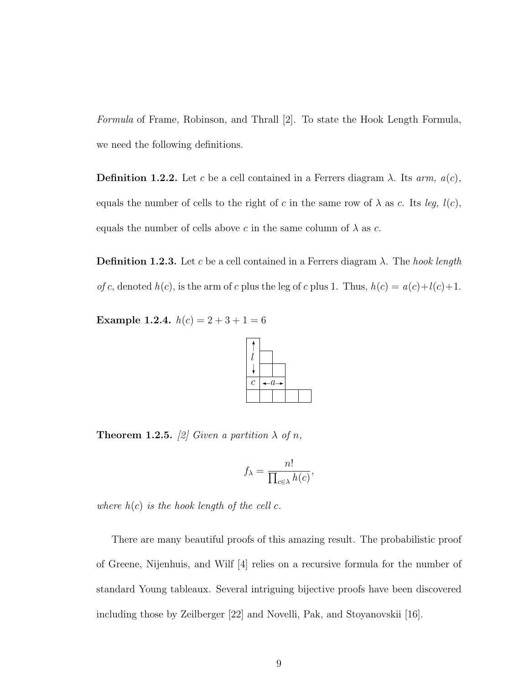Formula of Frame, Robinson, and Thrall [2]. To state the Hook Length Formula, we need the following definitions.

**Definition 1.2.2.** Let c be a cell contained in a Ferrers diagram  $\lambda$ . Its arm,  $a(c)$ , equals the number of cells to the right of c in the same row of  $\lambda$  as c. Its leg,  $l(c)$ , equals the number of cells above c in the same column of  $\lambda$  as c.

**Definition 1.2.3.** Let c be a cell contained in a Ferrers diagram  $\lambda$ . The hook length of c, denoted  $h(c)$ , is the arm of c plus the leg of c plus 1. Thus,  $h(c) = a(c) + l(c) + 1$ .

Example 1.2.4.  $h(c) = 2 + 3 + 1 = 6$ 



**Theorem 1.2.5.** [2] Given a partition  $\lambda$  of n,

$$
f_{\lambda} = \frac{n!}{\prod_{c \in \lambda} h(c)},
$$

where  $h(c)$  is the hook length of the cell c.

There are many beautiful proofs of this amazing result. The probabilistic proof of Greene, Nijenhuis, and Wilf [4] relies on a recursive formula for the number of standard Young tableaux. Several intriguing bijective proofs have been discovered including those by Zeilberger [22] and Novelli, Pak, and Stoyanovskii [16].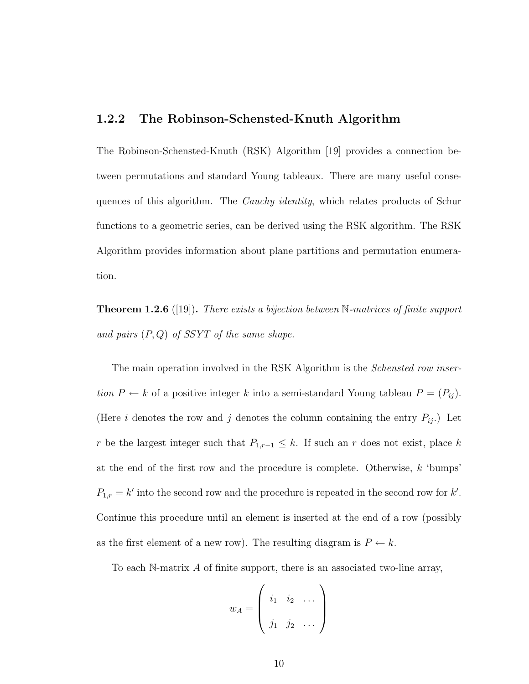## 1.2.2 The Robinson-Schensted-Knuth Algorithm

The Robinson-Schensted-Knuth (RSK) Algorithm [19] provides a connection between permutations and standard Young tableaux. There are many useful consequences of this algorithm. The *Cauchy identity*, which relates products of Schur functions to a geometric series, can be derived using the RSK algorithm. The RSK Algorithm provides information about plane partitions and permutation enumeration.

**Theorem 1.2.6** ([19]). There exists a bijection between  $\mathbb{N}$ -matrices of finite support and pairs  $(P,Q)$  of SSYT of the same shape.

The main operation involved in the RSK Algorithm is the *Schensted row inser*tion  $P \leftarrow k$  of a positive integer k into a semi-standard Young tableau  $P = (P_{ij})$ . (Here i denotes the row and j denotes the column containing the entry  $P_{ij}$ .) Let r be the largest integer such that  $P_{1,r-1} \leq k$ . If such an r does not exist, place k at the end of the first row and the procedure is complete. Otherwise,  $k$  'bumps'  $P_{1,r} = k'$  into the second row and the procedure is repeated in the second row for k'. Continue this procedure until an element is inserted at the end of a row (possibly as the first element of a new row). The resulting diagram is  $P \leftarrow k$ .

To each N-matrix  $A$  of finite support, there is an associated two-line array,

$$
w_A = \left( \begin{array}{ccc} i_1 & i_2 & \dots \\ j_1 & j_2 & \dots \end{array} \right)
$$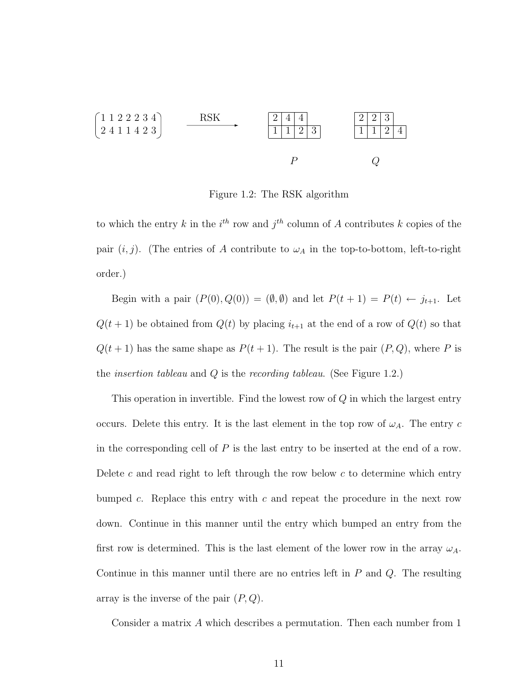$$
\begin{array}{c}\n\begin{bmatrix}\n1 & 1 & 2 & 2 & 3 & 4 \\
2 & 4 & 1 & 1 & 4 & 2 & 3\n\end{bmatrix} & \xrightarrow{\text{RSK}} & \xrightarrow{\begin{bmatrix}\n2 & 4 & 4 \\
1 & 1 & 2 & 3 \\
\end{bmatrix}} & \xrightarrow{2 & 2 & 3 \\
\hline\n1 & 1 & 2 & 4\n\end{bmatrix} \\
P & Q\n\end{array}
$$

Figure 1.2: The RSK algorithm

to which the entry k in the  $i^{th}$  row and  $j^{th}$  column of A contributes k copies of the pair  $(i, j)$ . (The entries of A contribute to  $\omega_A$  in the top-to-bottom, left-to-right order.)

Begin with a pair  $(P(0), Q(0)) = (\emptyset, \emptyset)$  and let  $P(t + 1) = P(t) \leftarrow j_{t+1}$ . Let  $Q(t + 1)$  be obtained from  $Q(t)$  by placing  $i_{t+1}$  at the end of a row of  $Q(t)$  so that  $Q(t + 1)$  has the same shape as  $P(t + 1)$ . The result is the pair  $(P, Q)$ , where P is the *insertion tableau* and  $Q$  is the *recording tableau*. (See Figure 1.2.)

This operation in invertible. Find the lowest row of  $Q$  in which the largest entry occurs. Delete this entry. It is the last element in the top row of  $\omega_A$ . The entry c in the corresponding cell of  $P$  is the last entry to be inserted at the end of a row. Delete c and read right to left through the row below c to determine which entry bumped c. Replace this entry with c and repeat the procedure in the next row down. Continue in this manner until the entry which bumped an entry from the first row is determined. This is the last element of the lower row in the array  $\omega_A$ . Continue in this manner until there are no entries left in  $P$  and  $Q$ . The resulting array is the inverse of the pair  $(P,Q)$ .

Consider a matrix A which describes a permutation. Then each number from 1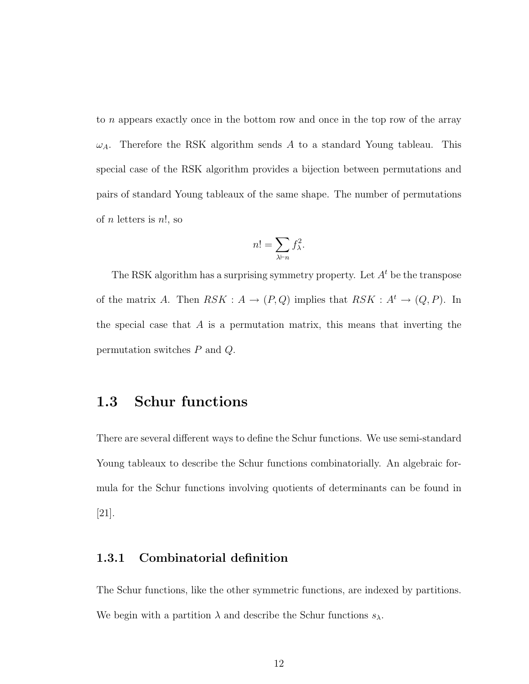to n appears exactly once in the bottom row and once in the top row of the array  $\omega_A$ . Therefore the RSK algorithm sends A to a standard Young tableau. This special case of the RSK algorithm provides a bijection between permutations and pairs of standard Young tableaux of the same shape. The number of permutations of *n* letters is  $n!$ , so

$$
n! = \sum_{\lambda \vdash n} f_{\lambda}^2.
$$

The RSK algorithm has a surprising symmetry property. Let  $A<sup>t</sup>$  be the transpose of the matrix A. Then  $RSK : A \rightarrow (P,Q)$  implies that  $RSK : A^t \rightarrow (Q, P)$ . In the special case that  $A$  is a permutation matrix, this means that inverting the permutation switches P and Q.

# 1.3 Schur functions

There are several different ways to define the Schur functions. We use semi-standard Young tableaux to describe the Schur functions combinatorially. An algebraic formula for the Schur functions involving quotients of determinants can be found in [21].

## 1.3.1 Combinatorial definition

The Schur functions, like the other symmetric functions, are indexed by partitions. We begin with a partition  $\lambda$  and describe the Schur functions  $s_{\lambda}$ .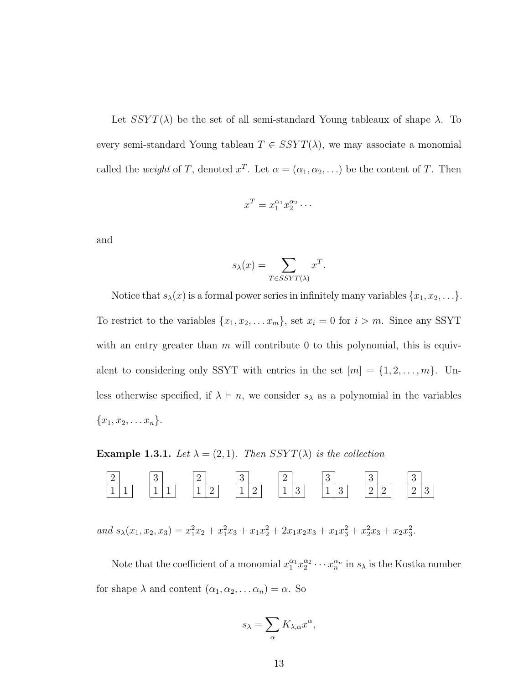Let  $SSYT(\lambda)$  be the set of all semi-standard Young tableaux of shape  $\lambda$ . To every semi-standard Young tableau  $T \in SSYT(\lambda)$ , we may associate a monomial called the *weight* of T, denoted  $x^T$ . Let  $\alpha = (\alpha_1, \alpha_2, ...)$  be the content of T. Then

$$
x^T = x_1^{\alpha_1} x_2^{\alpha_2} \cdots
$$

and

$$
s_{\lambda}(x) = \sum_{T \in SSYT(\lambda)} x^T.
$$

Notice that  $s_{\lambda}(x)$  is a formal power series in infinitely many variables  $\{x_1, x_2, \ldots\}$ . To restrict to the variables  $\{x_1, x_2, \ldots x_m\}$ , set  $x_i = 0$  for  $i > m$ . Since any SSYT with an entry greater than  $m$  will contribute 0 to this polynomial, this is equivalent to considering only SSYT with entries in the set  $[m] = \{1, 2, \ldots, m\}$ . Unless otherwise specified, if  $\lambda \vdash n$ , we consider  $s_{\lambda}$  as a polynomial in the variables  ${x_1, x_2, \ldots x_n}.$ 

**Example 1.3.1.** Let  $\lambda = (2, 1)$ . Then SSYT( $\lambda$ ) is the collection



and  $s_{\lambda}(x_1, x_2, x_3) = x_1^2 x_2 + x_1^2 x_3 + x_1 x_2^2 + 2x_1 x_2 x_3 + x_1 x_3^2 + x_2^2 x_3 + x_2 x_3^2$ .

Note that the coefficient of a monomial  $x_1^{\alpha_1} x_2^{\alpha_2} \cdots x_n^{\alpha_n}$  in  $s_\lambda$  is the Kostka number for shape  $\lambda$  and content  $(\alpha_1, \alpha_2, \dots \alpha_n) = \alpha$ . So

$$
s_{\lambda} = \sum_{\alpha} K_{\lambda,\alpha} x^{\alpha},
$$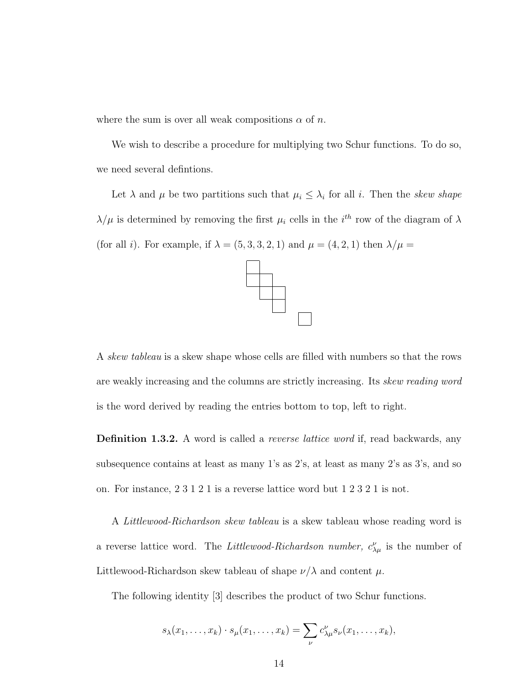where the sum is over all weak compositions  $\alpha$  of n.

We wish to describe a procedure for multiplying two Schur functions. To do so, we need several defintions.

Let  $\lambda$  and  $\mu$  be two partitions such that  $\mu_i \leq \lambda_i$  for all i. Then the skew shape  $\lambda/\mu$  is determined by removing the first  $\mu_i$  cells in the i<sup>th</sup> row of the diagram of  $\lambda$ (for all *i*). For example, if  $\lambda = (5, 3, 3, 2, 1)$  and  $\mu = (4, 2, 1)$  then  $\lambda/\mu =$ 



A *skew tableau* is a skew shape whose cells are filled with numbers so that the rows are weakly increasing and the columns are strictly increasing. Its skew reading word is the word derived by reading the entries bottom to top, left to right.

**Definition 1.3.2.** A word is called a *reverse lattice word* if, read backwards, any subsequence contains at least as many 1's as 2's, at least as many 2's as 3's, and so on. For instance, 2 3 1 2 1 is a reverse lattice word but 1 2 3 2 1 is not.

A Littlewood-Richardson skew tableau is a skew tableau whose reading word is a reverse lattice word. The *Littlewood-Richardson number*,  $c^{\nu}_{\lambda\mu}$  is the number of Littlewood-Richardson skew tableau of shape  $\nu/\lambda$  and content  $\mu$ .

The following identity [3] describes the product of two Schur functions.

$$
s_{\lambda}(x_1,\ldots,x_k)\cdot s_{\mu}(x_1,\ldots,x_k)=\sum_{\nu}c_{\lambda\mu}^{\nu}s_{\nu}(x_1,\ldots,x_k),
$$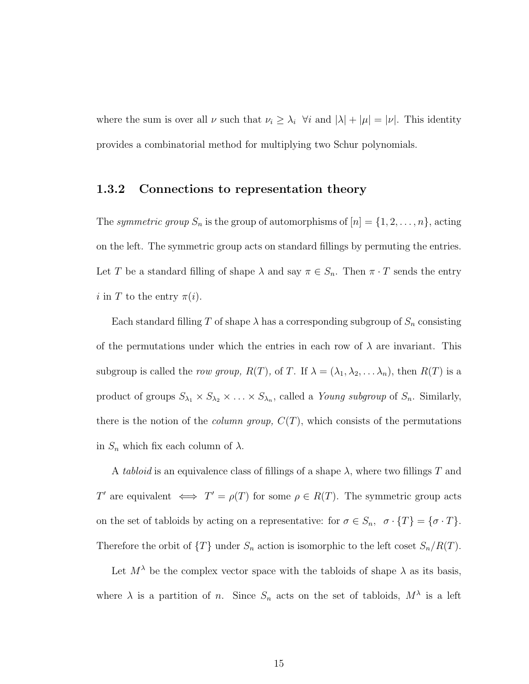where the sum is over all  $\nu$  such that  $\nu_i \geq \lambda_i$   $\forall i$  and  $|\lambda| + |\mu| = |\nu|$ . This identity provides a combinatorial method for multiplying two Schur polynomials.

## 1.3.2 Connections to representation theory

The symmetric group  $S_n$  is the group of automorphisms of  $[n] = \{1, 2, \ldots, n\}$ , acting on the left. The symmetric group acts on standard fillings by permuting the entries. Let T be a standard filling of shape  $\lambda$  and say  $\pi \in S_n$ . Then  $\pi \cdot T$  sends the entry i in T to the entry  $\pi(i)$ .

Each standard filling T of shape  $\lambda$  has a corresponding subgroup of  $S_n$  consisting of the permutations under which the entries in each row of  $\lambda$  are invariant. This subgroup is called the *row group*,  $R(T)$ , of T. If  $\lambda = (\lambda_1, \lambda_2, \dots, \lambda_n)$ , then  $R(T)$  is a product of groups  $S_{\lambda_1} \times S_{\lambda_2} \times \ldots \times S_{\lambda_n}$ , called a *Young subgroup* of  $S_n$ . Similarly, there is the notion of the *column group*,  $C(T)$ , which consists of the permutations in  $S_n$  which fix each column of  $\lambda$ .

A tabloid is an equivalence class of fillings of a shape  $\lambda$ , where two fillings T and T' are equivalent  $\iff T' = \rho(T)$  for some  $\rho \in R(T)$ . The symmetric group acts on the set of tabloids by acting on a representative: for  $\sigma \in S_n$ ,  $\sigma \cdot \{T\} = \{\sigma \cdot T\}$ . Therefore the orbit of  $\{T\}$  under  $S_n$  action is isomorphic to the left coset  $S_n/R(T)$ .

Let  $M^{\lambda}$  be the complex vector space with the tabloids of shape  $\lambda$  as its basis, where  $\lambda$  is a partition of n. Since  $S_n$  acts on the set of tabloids,  $M^{\lambda}$  is a left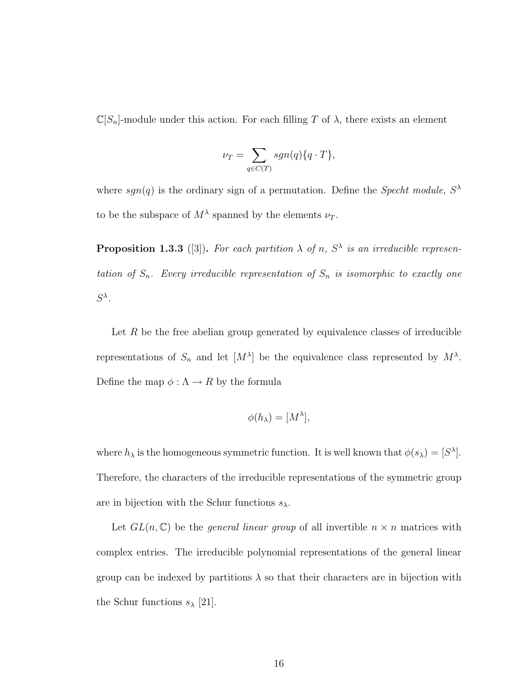$\mathbb{C}[S_n]$ -module under this action. For each filling T of  $\lambda$ , there exists an element

$$
\nu_T = \sum_{q \in C(T)} sgn(q) \{q \cdot T\},\,
$$

where  $sgn(q)$  is the ordinary sign of a permutation. Define the Specht module,  $S^{\lambda}$ to be the subspace of  $M^{\lambda}$  spanned by the elements  $\nu_T$ .

**Proposition 1.3.3** ([3]). For each partition  $\lambda$  of n,  $S^{\lambda}$  is an irreducible representation of  $S_n$ . Every irreducible representation of  $S_n$  is isomorphic to exactly one  $S^{\lambda}$ .

Let  $R$  be the free abelian group generated by equivalence classes of irreducible representations of  $S_n$  and let  $[M^{\lambda}]$  be the equivalence class represented by  $M^{\lambda}$ . Define the map  $\phi: \Lambda \to R$  by the formula

$$
\phi(h_{\lambda})=[M^{\lambda}],
$$

where  $h_{\lambda}$  is the homogeneous symmetric function. It is well known that  $\phi(s_{\lambda}) = [S^{\lambda}]$ . Therefore, the characters of the irreducible representations of the symmetric group are in bijection with the Schur functions  $s_{\lambda}$ .

Let  $GL(n,\mathbb{C})$  be the *general linear group* of all invertible  $n \times n$  matrices with complex entries. The irreducible polynomial representations of the general linear group can be indexed by partitions  $\lambda$  so that their characters are in bijection with the Schur functions  $s_{\lambda}$  [21].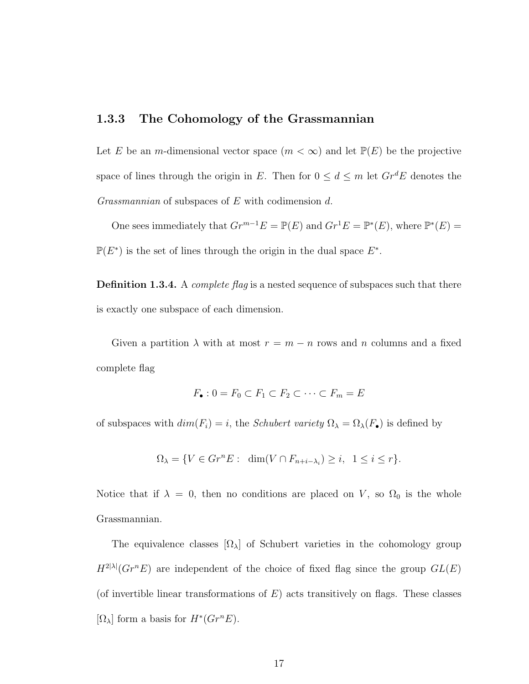### 1.3.3 The Cohomology of the Grassmannian

Let E be an m-dimensional vector space  $(m < \infty)$  and let  $\mathbb{P}(E)$  be the projective space of lines through the origin in E. Then for  $0 \le d \le m$  let  $Gr^dE$  denotes the Grassmannian of subspaces of E with codimension d.

One sees immediately that  $Gr^{m-1}E = \mathbb{P}(E)$  and  $Gr^1E = \mathbb{P}^*(E)$ , where  $\mathbb{P}^*(E) =$  $\mathbb{P}(E^*)$  is the set of lines through the origin in the dual space  $E^*$ .

**Definition 1.3.4.** A *complete flag* is a nested sequence of subspaces such that there is exactly one subspace of each dimension.

Given a partition  $\lambda$  with at most  $r = m - n$  rows and n columns and a fixed complete flag

$$
F_{\bullet}: 0 = F_0 \subset F_1 \subset F_2 \subset \cdots \subset F_m = E
$$

of subspaces with  $dim(F_i) = i$ , the *Schubert variety*  $\Omega_{\lambda} = \Omega_{\lambda}(F_{\bullet})$  is defined by

$$
\Omega_{\lambda} = \{ V \in Gr^n E : \dim(V \cap F_{n+i-\lambda_i}) \ge i, \ 1 \le i \le r \}.
$$

Notice that if  $\lambda = 0$ , then no conditions are placed on V, so  $\Omega_0$  is the whole Grassmannian.

The equivalence classes  $[\Omega_{\lambda}]$  of Schubert varieties in the cohomology group  $H^{2|\lambda|}(Gr^n E)$  are independent of the choice of fixed flag since the group  $GL(E)$ (of invertible linear transformations of  $E$ ) acts transitively on flags. These classes  $[\Omega_{\lambda}]$  form a basis for  $H^*(Gr^nE)$ .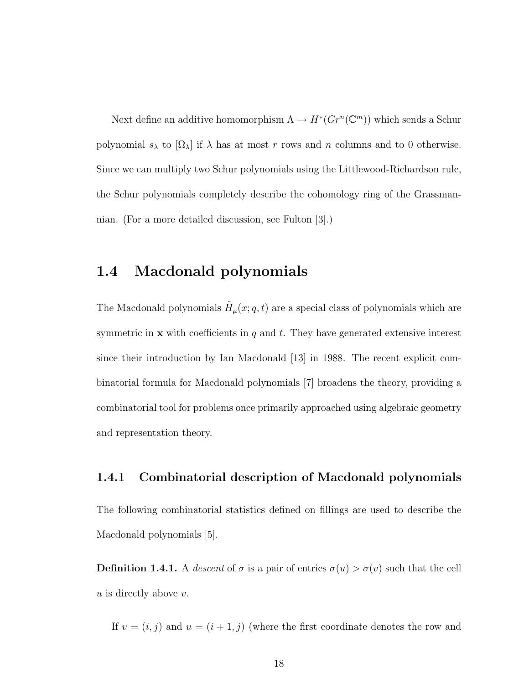Next define an additive homomorphism  $\Lambda \to H^*(Gr^n(\mathbb{C}^m))$  which sends a Schur polynomial  $s_\lambda$  to  $[\Omega_\lambda]$  if  $\lambda$  has at most r rows and n columns and to 0 otherwise. Since we can multiply two Schur polynomials using the Littlewood-Richardson rule, the Schur polynomials completely describe the cohomology ring of the Grassmannian. (For a more detailed discussion, see Fulton [3].)

# 1.4 Macdonald polynomials

The Macdonald polynomials  $\tilde{H}_{\mu}(x;q,t)$  are a special class of polynomials which are symmetric in  $x$  with coefficients in q and t. They have generated extensive interest since their introduction by Ian Macdonald [13] in 1988. The recent explicit combinatorial formula for Macdonald polynomials [7] broadens the theory, providing a combinatorial tool for problems once primarily approached using algebraic geometry and representation theory.

## 1.4.1 Combinatorial description of Macdonald polynomials

The following combinatorial statistics defined on fillings are used to describe the Macdonald polynomials [5].

**Definition 1.4.1.** A descent of  $\sigma$  is a pair of entries  $\sigma(u) > \sigma(v)$  such that the cell  $u$  is directly above  $v$ .

If  $v = (i, j)$  and  $u = (i + 1, j)$  (where the first coordinate denotes the row and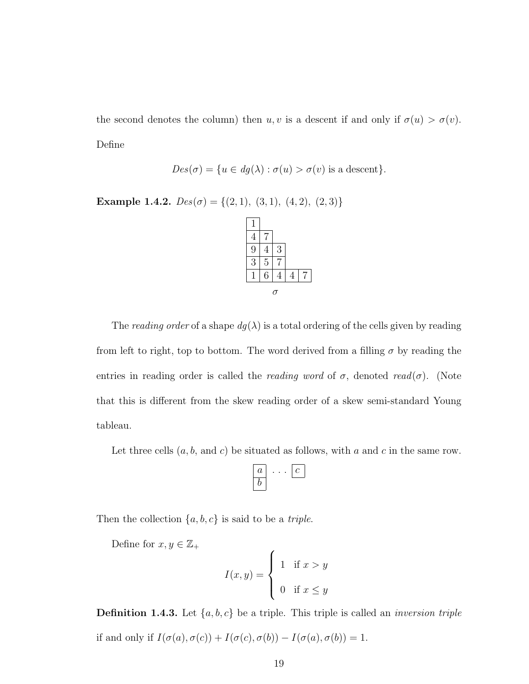the second denotes the column) then  $u, v$  is a descent if and only if  $\sigma(u) > \sigma(v)$ . Define

$$
Des(\sigma) = \{ u \in dg(\lambda) : \sigma(u) > \sigma(v) \text{ is a descent} \}.
$$

Example 1.4.2.  $Des(\sigma) = \{(2, 1), (3, 1), (4, 2), (2, 3)\}$ 

| 4              |                |   |  |
|----------------|----------------|---|--|
| 9              | 4              | 3 |  |
| $\overline{3}$ | $\overline{5}$ |   |  |
|                | 6              |   |  |
|                |                | O |  |

The reading order of a shape  $dg(\lambda)$  is a total ordering of the cells given by reading from left to right, top to bottom. The word derived from a filling  $\sigma$  by reading the entries in reading order is called the *reading word* of  $\sigma$ , denoted read( $\sigma$ ). (Note that this is different from the skew reading order of a skew semi-standard Young tableau.

Let three cells  $(a, b, \text{ and } c)$  be situated as follows, with a and c in the same row.

$$
\begin{array}{|c|c|}\hline a & \cdots & c \\ \hline b & & \end{array}
$$

Then the collection  $\{a, b, c\}$  is said to be a *triple*.

Define for  $x,y\in\mathbb{Z}_+$ 

$$
I(x,y) = \begin{cases} 1 & \text{if } x > y \\ 0 & \text{if } x \le y \end{cases}
$$

**Definition 1.4.3.** Let  $\{a, b, c\}$  be a triple. This triple is called an *inversion triple* if and only if  $I(\sigma(a), \sigma(c)) + I(\sigma(c), \sigma(b)) - I(\sigma(a), \sigma(b)) = 1.$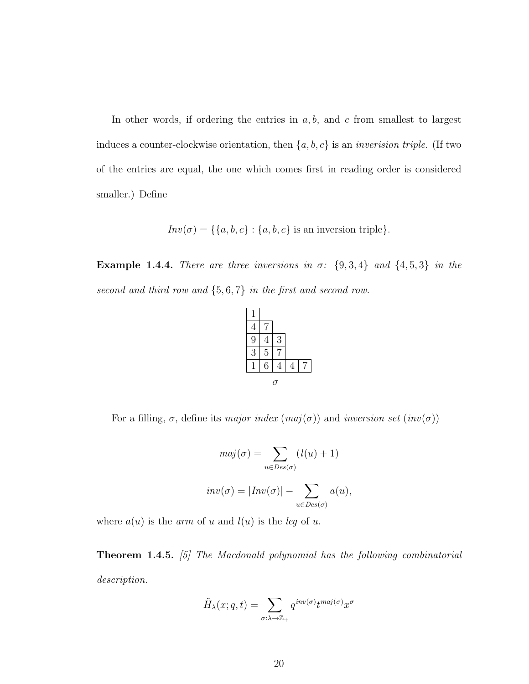In other words, if ordering the entries in  $a, b$ , and  $c$  from smallest to largest induces a counter-clockwise orientation, then  $\{a, b, c\}$  is an *inverision triple*. (If two of the entries are equal, the one which comes first in reading order is considered smaller.) Define

 $Inv(\sigma) = \{\{a, b, c\} : \{a, b, c\}$  is an inversion triple}.

**Example 1.4.4.** There are three inversions in  $\sigma$ :  $\{9, 3, 4\}$  and  $\{4, 5, 3\}$  in the second and third row and  $\{5,6,7\}$  in the first and second row.



For a filling,  $\sigma$ , define its major index  $(maj(\sigma))$  and inversion set  $({inv(\sigma)})$ 

$$
maj(\sigma) = \sum_{u \in Des(\sigma)} (l(u) + 1)
$$
  
 
$$
inv(\sigma) = |Inv(\sigma)| - \sum_{u \in Des(\sigma)} a(u),
$$

where  $a(u)$  is the *arm* of u and  $l(u)$  is the *leg* of u.

**Theorem 1.4.5.** [5] The Macdonald polynomial has the following combinatorial description.

$$
\tilde{H}_{\lambda}(x;q,t) = \sum_{\sigma:\lambda \to \mathbb{Z}_+} q^{inv(\sigma)} t^{maj(\sigma)} x^{\sigma}
$$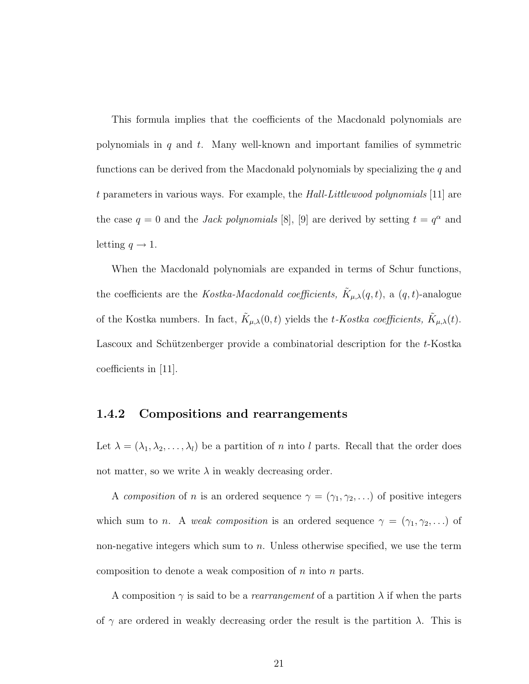This formula implies that the coefficients of the Macdonald polynomials are polynomials in  $q$  and  $t$ . Many well-known and important families of symmetric functions can be derived from the Macdonald polynomials by specializing the  $q$  and t parameters in various ways. For example, the Hall-Littlewood polynomials [11] are the case  $q = 0$  and the *Jack polynomials* [8], [9] are derived by setting  $t = q^{\alpha}$  and letting  $q \to 1$ .

When the Macdonald polynomials are expanded in terms of Schur functions, the coefficients are the *Kostka-Macdonald coefficients*,  $\tilde{K}_{\mu,\lambda}(q,t)$ , a  $(q,t)$ -analogue of the Kostka numbers. In fact,  $\tilde{K}_{\mu,\lambda}(0,t)$  yields the t-Kostka coefficients,  $\tilde{K}_{\mu,\lambda}(t)$ . Lascoux and Schützenberger provide a combinatorial description for the t-Kostka coefficients in [11].

## 1.4.2 Compositions and rearrangements

Let  $\lambda = (\lambda_1, \lambda_2, \dots, \lambda_l)$  be a partition of *n* into *l* parts. Recall that the order does not matter, so we write  $\lambda$  in weakly decreasing order.

A composition of n is an ordered sequence  $\gamma = (\gamma_1, \gamma_2, \ldots)$  of positive integers which sum to *n*. A *weak composition* is an ordered sequence  $\gamma = (\gamma_1, \gamma_2, \ldots)$  of non-negative integers which sum to  $n$ . Unless otherwise specified, we use the term composition to denote a weak composition of  $n$  into  $n$  parts.

A composition  $\gamma$  is said to be a *rearrangement* of a partition  $\lambda$  if when the parts of  $\gamma$  are ordered in weakly decreasing order the result is the partition  $\lambda$ . This is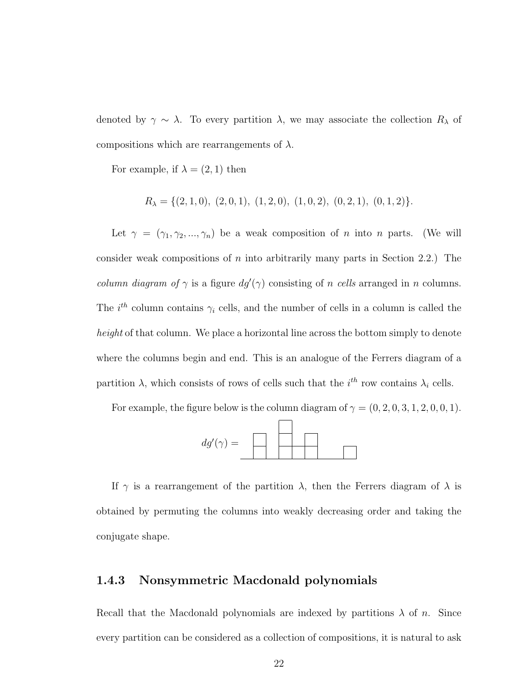denoted by  $\gamma \sim \lambda$ . To every partition  $\lambda$ , we may associate the collection  $R_{\lambda}$  of compositions which are rearrangements of  $\lambda$ .

For example, if  $\lambda = (2, 1)$  then

$$
R_{\lambda} = \{ (2, 1, 0), (2, 0, 1), (1, 2, 0), (1, 0, 2), (0, 2, 1), (0, 1, 2) \}.
$$

Let  $\gamma = (\gamma_1, \gamma_2, ..., \gamma_n)$  be a weak composition of n into n parts. (We will consider weak compositions of n into arbitrarily many parts in Section 2.2.) The *column diagram of*  $\gamma$  is a figure  $dg'(\gamma)$  consisting of n cells arranged in n columns. The  $i<sup>th</sup>$  column contains  $\gamma_i$  cells, and the number of cells in a column is called the height of that column. We place a horizontal line across the bottom simply to denote where the columns begin and end. This is an analogue of the Ferrers diagram of a partition  $\lambda$ , which consists of rows of cells such that the  $i^{th}$  row contains  $\lambda_i$  cells.

For example, the figure below is the column diagram of  $\gamma = (0, 2, 0, 3, 1, 2, 0, 0, 1)$ .



If  $\gamma$  is a rearrangement of the partition  $\lambda$ , then the Ferrers diagram of  $\lambda$  is obtained by permuting the columns into weakly decreasing order and taking the conjugate shape.

### 1.4.3 Nonsymmetric Macdonald polynomials

Recall that the Macdonald polynomials are indexed by partitions  $\lambda$  of n. Since every partition can be considered as a collection of compositions, it is natural to ask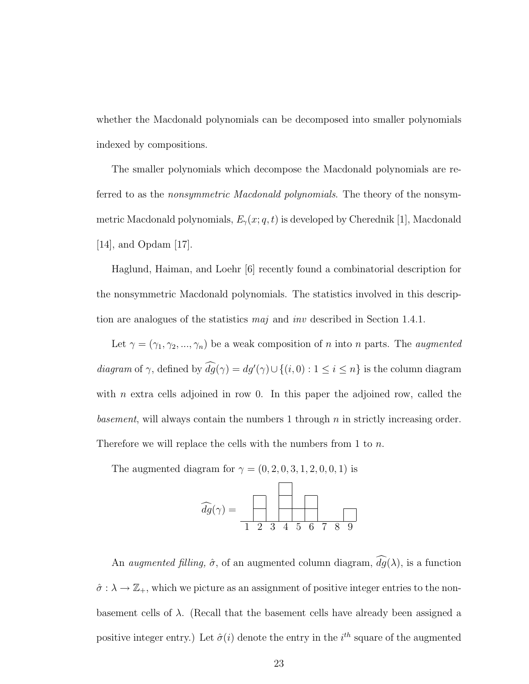whether the Macdonald polynomials can be decomposed into smaller polynomials indexed by compositions.

The smaller polynomials which decompose the Macdonald polynomials are referred to as the *nonsymmetric Macdonald polynomials*. The theory of the nonsymmetric Macdonald polynomials,  $E_{\gamma}(x; q, t)$  is developed by Cherednik [1], Macdonald [14], and Opdam [17].

Haglund, Haiman, and Loehr [6] recently found a combinatorial description for the nonsymmetric Macdonald polynomials. The statistics involved in this description are analogues of the statistics  $maj$  and  $inv$  described in Section 1.4.1.

Let  $\gamma = (\gamma_1, \gamma_2, ..., \gamma_n)$  be a weak composition of n into n parts. The *augmented* diagram of  $\gamma$ , defined by  $dg(\gamma) = dg'(\gamma) \cup \{(i, 0) : 1 \le i \le n\}$  is the column diagram with  $n$  extra cells adjoined in row 0. In this paper the adjoined row, called the basement, will always contain the numbers 1 through  $n$  in strictly increasing order. Therefore we will replace the cells with the numbers from 1 to n.

The augmented diagram for  $\gamma = (0, 2, 0, 3, 1, 2, 0, 0, 1)$  is

| $dg(\gamma) =$ |               |               |                |             |    |   |  |
|----------------|---------------|---------------|----------------|-------------|----|---|--|
|                | $\mathcal{D}$ | $\mathcal{R}$ | $\overline{4}$ | $5^{\circ}$ | 67 | 9 |  |

An *augmented filling,*  $\hat{\sigma}$ , of an augmented column diagram,  $\widehat{dg}(\lambda)$ , is a function  $\hat{\sigma} : \lambda \to \mathbb{Z}_+$ , which we picture as an assignment of positive integer entries to the nonbasement cells of  $\lambda$ . (Recall that the basement cells have already been assigned a positive integer entry.) Let  $\hat{\sigma}(i)$  denote the entry in the  $i^{th}$  square of the augmented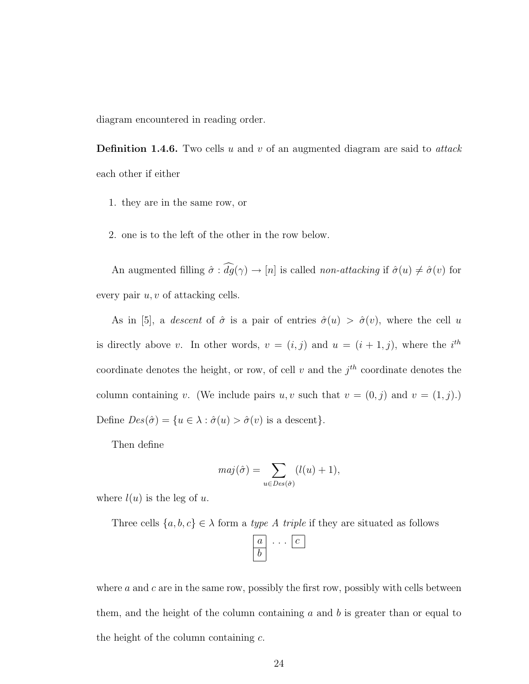diagram encountered in reading order.

**Definition 1.4.6.** Two cells u and v of an augmented diagram are said to attack each other if either

- 1. they are in the same row, or
- 2. one is to the left of the other in the row below.

An augmented filling  $\hat{\sigma} : \hat{dg}(\gamma) \to [n]$  is called *non-attacking* if  $\hat{\sigma}(u) \neq \hat{\sigma}(v)$  for every pair  $u, v$  of attacking cells.

As in [5], a descent of  $\hat{\sigma}$  is a pair of entries  $\hat{\sigma}(u) > \hat{\sigma}(v)$ , where the cell u is directly above v. In other words,  $v = (i, j)$  and  $u = (i + 1, j)$ , where the  $i<sup>th</sup>$ coordinate denotes the height, or row, of cell v and the  $j<sup>th</sup>$  coordinate denotes the column containing v. (We include pairs  $u, v$  such that  $v = (0, j)$  and  $v = (1, j)$ .) Define  $Des(\hat{\sigma}) = \{u \in \lambda : \hat{\sigma}(u) > \hat{\sigma}(v) \text{ is a descent}\}.$ 

Then define

$$
maj(\hat{\sigma}) = \sum_{u \in Des(\hat{\sigma})} (l(u) + 1),
$$

where  $l(u)$  is the leg of u.

Three cells  $\{a, b, c\} \in \lambda$  form a *type A triple* if they are situated as follows

where  $a$  and  $c$  are in the same row, possibly the first row, possibly with cells between them, and the height of the column containing a and b is greater than or equal to the height of the column containing  $c$ .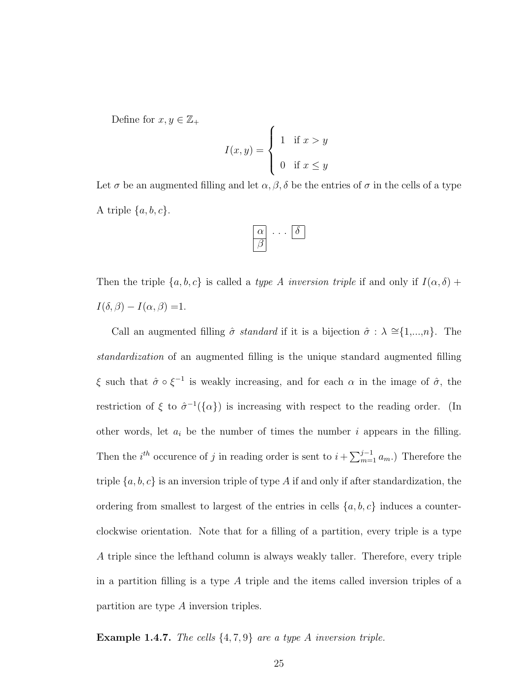Define for  $x, y \in \mathbb{Z}_+$ 

$$
I(x,y) = \begin{cases} 1 & \text{if } x > y \\ 0 & \text{if } x \le y \end{cases}
$$

Let  $\sigma$  be an augmented filling and let  $\alpha, \beta, \delta$  be the entries of  $\sigma$  in the cells of a type A triple  $\{a, b, c\}$ .

$$
\begin{array}{|c|}\n\hline\n\alpha \\
\hline\n\beta\n\end{array}\n\cdots\n\begin{array}{|c|}\n\hline\n\delta\n\end{array}
$$

Then the triple  $\{a, b, c\}$  is called a *type A inversion triple* if and only if  $I(\alpha, \delta)$  +  $I(\delta, \beta) - I(\alpha, \beta) = 1.$ 

Call an augmented filling  $\hat{\sigma}$  standard if it is a bijection  $\hat{\sigma}$  :  $\lambda \cong \{1,...,n\}$ . The standardization of an augmented filling is the unique standard augmented filling  $\xi$  such that  $\hat{\sigma} \circ \xi^{-1}$  is weakly increasing, and for each  $\alpha$  in the image of  $\hat{\sigma}$ , the restriction of  $\xi$  to  $\hat{\sigma}^{-1}(\{\alpha\})$  is increasing with respect to the reading order. (In other words, let  $a_i$  be the number of times the number i appears in the filling. Then the  $i^{th}$  occurence of j in reading order is sent to  $i + \sum_{m=1}^{j-1} a_m$ .) Therefore the triple  $\{a, b, c\}$  is an inversion triple of type A if and only if after standardization, the ordering from smallest to largest of the entries in cells  $\{a, b, c\}$  induces a counterclockwise orientation. Note that for a filling of a partition, every triple is a type A triple since the lefthand column is always weakly taller. Therefore, every triple in a partition filling is a type A triple and the items called inversion triples of a partition are type A inversion triples.

**Example 1.4.7.** The cells  $\{4, 7, 9\}$  are a type A inversion triple.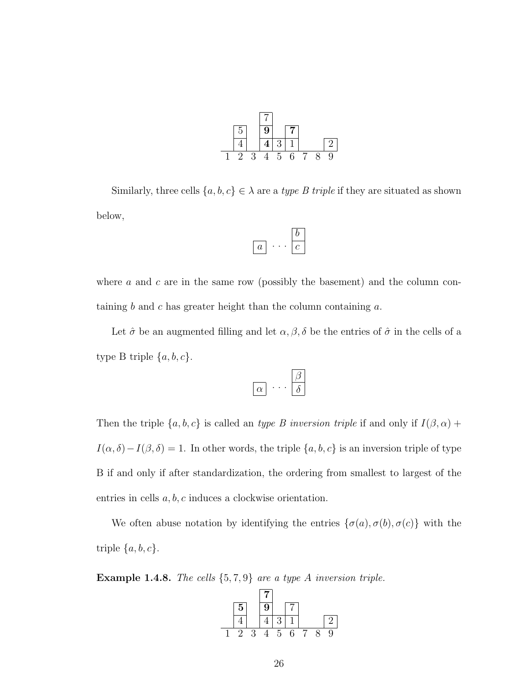| $\mathcal{D}$ |    | 9 |    | 7 |  |          |
|---------------|----|---|----|---|--|----------|
|               |    |   | 3  |   |  | $\Omega$ |
| $\cdot$       | ر، |   | b. | 6 |  | 9        |

Similarly, three cells  $\{a, b, c\} \in \lambda$  are a type B triple if they are situated as shown below,

$$
\boxed{a} \cdot \cdot \cdot \boxed{\frac{b}{c}}
$$

where a and c are in the same row (possibly the basement) and the column containing b and c has greater height than the column containing  $a$ .

Let  $\hat{\sigma}$  be an augmented filling and let  $\alpha, \beta, \delta$  be the entries of  $\hat{\sigma}$  in the cells of a type B triple  $\{a, b, c\}$ .

$$
\boxed{\alpha}\ \cdots \ \boxed{\beta}\atop{\delta}
$$

Then the triple  $\{a, b, c\}$  is called an *type B inversion triple* if and only if  $I(\beta, \alpha)$  +  $I(\alpha, \delta) - I(\beta, \delta) = 1$ . In other words, the triple  $\{a, b, c\}$  is an inversion triple of type B if and only if after standardization, the ordering from smallest to largest of the entries in cells  $a, b, c$  induces a clockwise orientation.

We often abuse notation by identifying the entries  $\{\sigma(a), \sigma(b), \sigma(c)\}\$  with the triple  $\{a, b, c\}.$ 

**Example 1.4.8.** The cells  $\{5, 7, 9\}$  are a type A inversion triple.

| $5\phantom{.0}$             |   | $9\phantom{.0}$ |   | -7 |  |          |
|-----------------------------|---|-----------------|---|----|--|----------|
|                             |   |                 | 3 |    |  | $\Omega$ |
| $\mathcal{D}_{\mathcal{L}}$ | 3 |                 | 5 | 6  |  | 9        |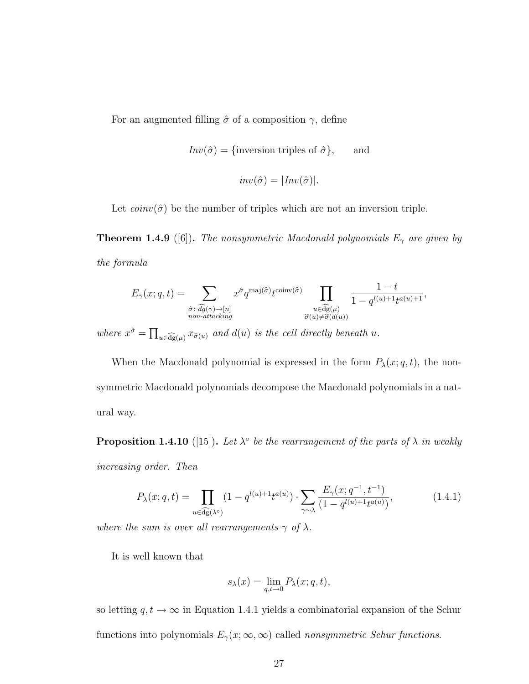For an augmented filling  $\hat{\sigma}$  of a composition  $\gamma,$  define

$$
Inv(\hat{\sigma}) = \{\text{inversion triples of } \hat{\sigma}\}, \quad \text{and}
$$

$$
inv(\hat{\sigma}) = |Inv(\hat{\sigma})|.
$$

Let  $coinv(\hat{\sigma})$  be the number of triples which are not an inversion triple.

**Theorem 1.4.9** ([6]). The nonsymmetric Macdonald polynomials  $E_{\gamma}$  are given by the formula

$$
E_{\gamma}(x;q,t) = \sum_{\substack{\hat{\sigma}: \ \hat{dg}(\gamma) \to [n] \\ \text{non-}attacking}} x^{\hat{\sigma}} q^{\text{maj}(\hat{\sigma})} t^{\text{coinv}(\hat{\sigma})} \prod_{\substack{u \in \hat{dg}(\mu) \\ \hat{\sigma}(u) \neq \hat{\sigma}(d(u))}} \frac{1-t}{1 - q^{l(u) + 1} t^{a(u) + 1}},
$$

where  $x^{\hat{\sigma}} = \prod_{u \in \widehat{\text{dg}}(\mu)} x_{\hat{\sigma}(u)}$  and  $d(u)$  is the cell directly beneath u.

When the Macdonald polynomial is expressed in the form  $P_{\lambda}(x; q, t)$ , the nonsymmetric Macdonald polynomials decompose the Macdonald polynomials in a natural way.

**Proposition 1.4.10** ([15]). Let  $\lambda^{\circ}$  be the rearrangement of the parts of  $\lambda$  in weakly increasing order. Then

$$
P_{\lambda}(x;q,t) = \prod_{u \in \widehat{\text{dg}}(\lambda^{\circ})} (1 - q^{l(u)+1} t^{a(u)}) \cdot \sum_{\gamma \sim \lambda} \frac{E_{\gamma}(x;q^{-1},t^{-1})}{(1 - q^{l(u)+1} t^{a(u)})},\tag{1.4.1}
$$

where the sum is over all rearrangements  $\gamma$  of  $\lambda$ .

It is well known that

$$
s_{\lambda}(x) = \lim_{q,t \to 0} P_{\lambda}(x;q,t),
$$

so letting  $q,t\to\infty$  in Equation 1.4.1 yields a combinatorial expansion of the Schur functions into polynomials  $E_{\gamma}(x;\infty,\infty)$  called *nonsymmetric Schur functions*.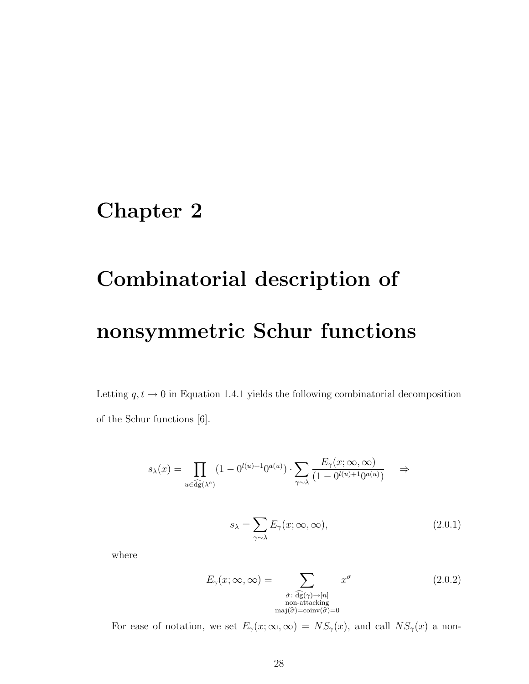# Chapter 2

# Combinatorial description of nonsymmetric Schur functions

Letting  $q,t\to 0$  in Equation 1.4.1 yields the following combinatorial decomposition of the Schur functions [6].

$$
s_{\lambda}(x) = \prod_{u \in \widehat{\mathrm{dg}}(\lambda^{\circ})} (1 - 0^{l(u)+1} 0^{a(u)}) \cdot \sum_{\gamma \sim \lambda} \frac{E_{\gamma}(x; \infty, \infty)}{(1 - 0^{l(u)+1} 0^{a(u)})} \quad \Rightarrow
$$

$$
s_{\lambda} = \sum_{\gamma \sim \lambda} E_{\gamma}(x; \infty, \infty), \qquad (2.0.1)
$$

where

$$
E_{\gamma}(x; \infty, \infty) = \sum_{\substack{\hat{\sigma} : \widehat{\text{dg}}(\gamma) \to [n] \\ \text{non-attacking} \\ \text{maj}(\hat{\sigma}) = \text{coinv}(\hat{\sigma}) = 0}} x^{\sigma}
$$
(2.0.2)

For ease of notation, we set  $E_{\gamma}(x; \infty, \infty) = NS_{\gamma}(x)$ , and call  $NS_{\gamma}(x)$  a non-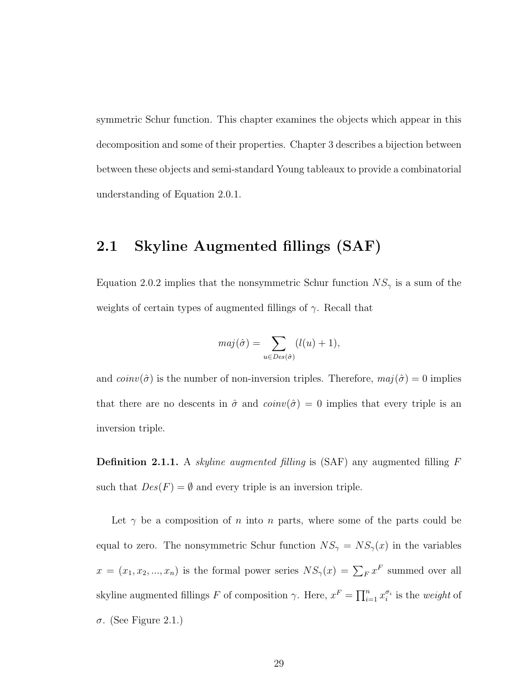symmetric Schur function. This chapter examines the objects which appear in this decomposition and some of their properties. Chapter 3 describes a bijection between between these objects and semi-standard Young tableaux to provide a combinatorial understanding of Equation 2.0.1.

### 2.1 Skyline Augmented fillings (SAF)

Equation 2.0.2 implies that the nonsymmetric Schur function  $NS_{\gamma}$  is a sum of the weights of certain types of augmented fillings of  $\gamma$ . Recall that

$$
maj(\hat{\sigma}) = \sum_{u \in Des(\hat{\sigma})} (l(u) + 1),
$$

and  $coinv(\hat{\sigma})$  is the number of non-inversion triples. Therefore,  $maj(\hat{\sigma}) = 0$  implies that there are no descents in  $\hat{\sigma}$  and  $\text{coinv}(\hat{\sigma}) = 0$  implies that every triple is an inversion triple.

**Definition 2.1.1.** A *skyline augmented filling* is (SAF) any augmented filling  $F$ such that  $Des(F) = \emptyset$  and every triple is an inversion triple.

Let  $\gamma$  be a composition of n into n parts, where some of the parts could be equal to zero. The nonsymmetric Schur function  $NS_{\gamma} = NS_{\gamma}(x)$  in the variables  $x = (x_1, x_2, ..., x_n)$  is the formal power series  $NS_{\gamma}(x) = \sum_{F} x^{F}$  summed over all skyline augmented fillings F of composition  $\gamma$ . Here,  $x^F = \prod_{i=1}^n x_i^{\sigma_i}$  is the *weight* of σ. (See Figure 2.1.)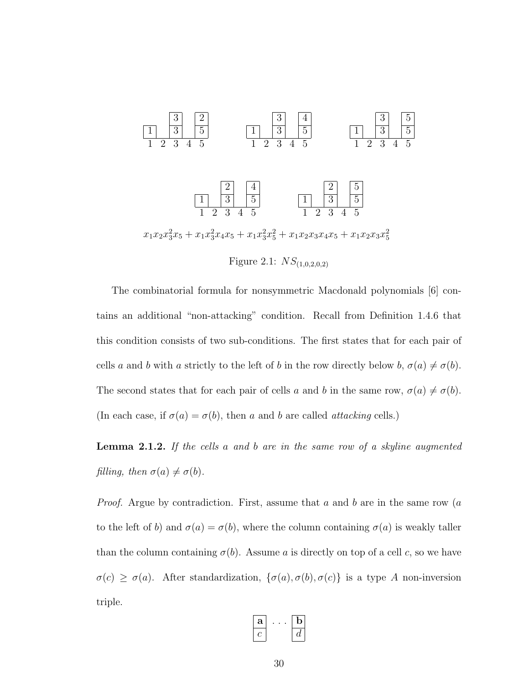

Figure 2.1:  $NS_{(1,0,2,0,2)}$ 

The combinatorial formula for nonsymmetric Macdonald polynomials [6] contains an additional "non-attacking" condition. Recall from Definition 1.4.6 that this condition consists of two sub-conditions. The first states that for each pair of cells a and b with a strictly to the left of b in the row directly below b,  $\sigma(a) \neq \sigma(b)$ . The second states that for each pair of cells a and b in the same row,  $\sigma(a) \neq \sigma(b)$ . (In each case, if  $\sigma(a) = \sigma(b)$ , then a and b are called attacking cells.)

Lemma 2.1.2. If the cells a and b are in the same row of a skyline augmented filling, then  $\sigma(a) \neq \sigma(b)$ .

*Proof.* Argue by contradiction. First, assume that  $a$  and  $b$  are in the same row  $(a$ to the left of b) and  $\sigma(a) = \sigma(b)$ , where the column containing  $\sigma(a)$  is weakly taller than the column containing  $\sigma(b)$ . Assume a is directly on top of a cell c, so we have  $\sigma(c) \geq \sigma(a)$ . After standardization,  $\{\sigma(a), \sigma(b), \sigma(c)\}$  is a type A non-inversion triple.

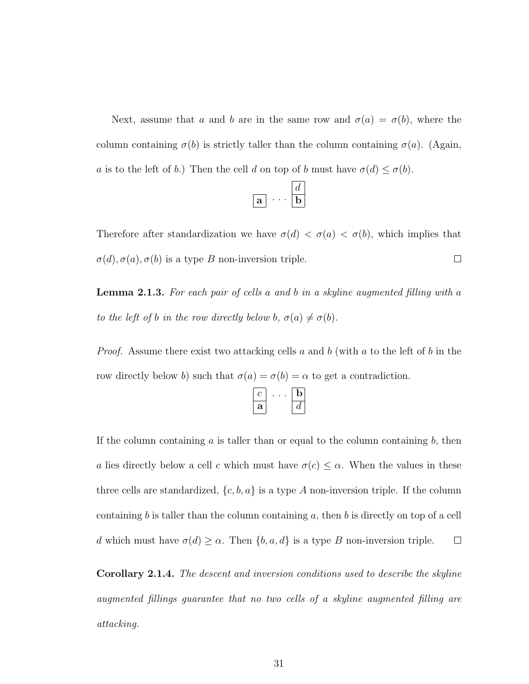Next, assume that a and b are in the same row and  $\sigma(a) = \sigma(b)$ , where the column containing  $\sigma(b)$  is strictly taller than the column containing  $\sigma(a)$ . (Again, a is to the left of b.) Then the cell d on top of b must have  $\sigma(d) \leq \sigma(b)$ .

$$
\boxed{\textbf{a}} \cdots \boxed{\frac{d}{\textbf{b}}}
$$

Therefore after standardization we have  $\sigma(d) < \sigma(a) < \sigma(b)$ , which implies that  $\Box$  $\sigma(d), \sigma(a), \sigma(b)$  is a type B non-inversion triple.

**Lemma 2.1.3.** For each pair of cells a and b in a skyline augmented filling with a to the left of b in the row directly below b,  $\sigma(a) \neq \sigma(b)$ .

*Proof.* Assume there exist two attacking cells a and b (with a to the left of b in the row directly below b) such that  $\sigma(a) = \sigma(b) = \alpha$  to get a contradiction.

| a | ٠. |
|---|----|

If the column containing  $\alpha$  is taller than or equal to the column containing  $\delta$ , then a lies directly below a cell c which must have  $\sigma(c) \leq \alpha$ . When the values in these three cells are standardized,  $\{c, b, a\}$  is a type A non-inversion triple. If the column containing  $b$  is taller than the column containing  $a$ , then  $b$  is directly on top of a cell d which must have  $\sigma(d) \geq \alpha$ . Then  $\{b, a, d\}$  is a type B non-inversion triple.  $\Box$ 

Corollary 2.1.4. The descent and inversion conditions used to describe the skyline augmented fillings guarantee that no two cells of a skyline augmented filling are attacking.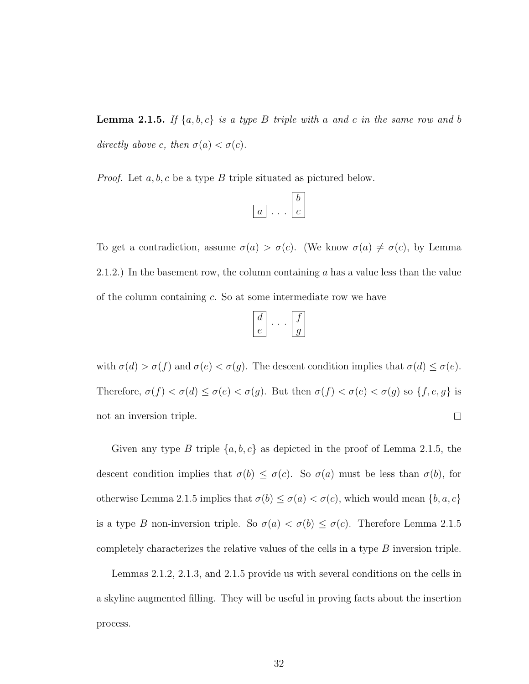**Lemma 2.1.5.** If  $\{a, b, c\}$  is a type B triple with a and c in the same row and b directly above c, then  $\sigma(a) < \sigma(c)$ .

*Proof.* Let  $a, b, c$  be a type  $B$  triple situated as pictured below.

$$
\boxed{a} \ldots \boxed{b}
$$

To get a contradiction, assume  $\sigma(a) > \sigma(c)$ . (We know  $\sigma(a) \neq \sigma(c)$ , by Lemma 2.1.2.) In the basement row, the column containing  $a$  has a value less than the value of the column containing c. So at some intermediate row we have

with  $\sigma(d) > \sigma(f)$  and  $\sigma(e) < \sigma(g)$ . The descent condition implies that  $\sigma(d) \leq \sigma(e)$ . Therefore,  $\sigma(f) < \sigma(d) \leq \sigma(e) < \sigma(g)$ . But then  $\sigma(f) < \sigma(e) < \sigma(g)$  so  $\{f, e, g\}$  is  $\Box$ not an inversion triple.

Given any type B triple  $\{a, b, c\}$  as depicted in the proof of Lemma 2.1.5, the descent condition implies that  $\sigma(b) \leq \sigma(c)$ . So  $\sigma(a)$  must be less than  $\sigma(b)$ , for otherwise Lemma 2.1.5 implies that  $\sigma(b) \leq \sigma(a) < \sigma(c)$ , which would mean  $\{b, a, c\}$ is a type B non-inversion triple. So  $\sigma(a) < \sigma(b) \leq \sigma(c)$ . Therefore Lemma 2.1.5 completely characterizes the relative values of the cells in a type  $B$  inversion triple.

Lemmas 2.1.2, 2.1.3, and 2.1.5 provide us with several conditions on the cells in a skyline augmented filling. They will be useful in proving facts about the insertion process.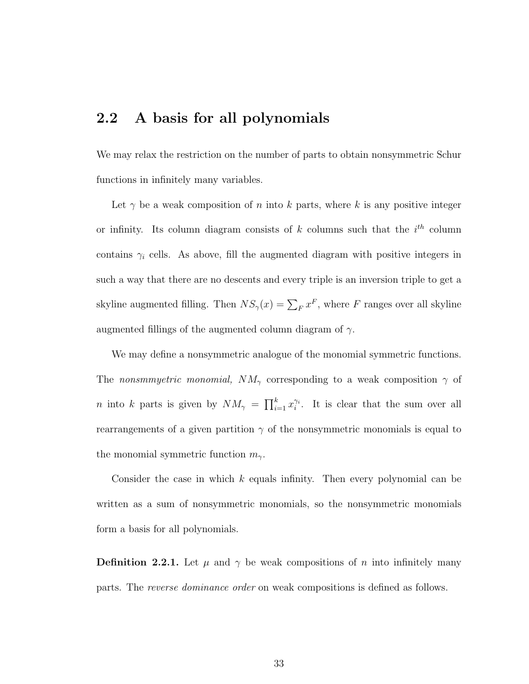#### 2.2 A basis for all polynomials

We may relax the restriction on the number of parts to obtain nonsymmetric Schur functions in infinitely many variables.

Let  $\gamma$  be a weak composition of n into k parts, where k is any positive integer or infinity. Its column diagram consists of  $k$  columns such that the  $i<sup>th</sup>$  column contains  $\gamma_i$  cells. As above, fill the augmented diagram with positive integers in such a way that there are no descents and every triple is an inversion triple to get a skyline augmented filling. Then  $NS_{\gamma}(x) = \sum_{F} x^{F}$ , where F ranges over all skyline augmented fillings of the augmented column diagram of  $\gamma$ .

We may define a nonsymmetric analogue of the monomial symmetric functions. The nonsmmyetric monomial,  $NM_{\gamma}$  corresponding to a weak composition  $\gamma$  of *n* into k parts is given by  $NM_{\gamma} = \prod_{i=1}^{k} x_i^{\gamma_i}$ . It is clear that the sum over all rearrangements of a given partition  $\gamma$  of the nonsymmetric monomials is equal to the monomial symmetric function  $m_{\gamma}$ .

Consider the case in which  $k$  equals infinity. Then every polynomial can be written as a sum of nonsymmetric monomials, so the nonsymmetric monomials form a basis for all polynomials.

**Definition 2.2.1.** Let  $\mu$  and  $\gamma$  be weak compositions of n into infinitely many parts. The reverse dominance order on weak compositions is defined as follows.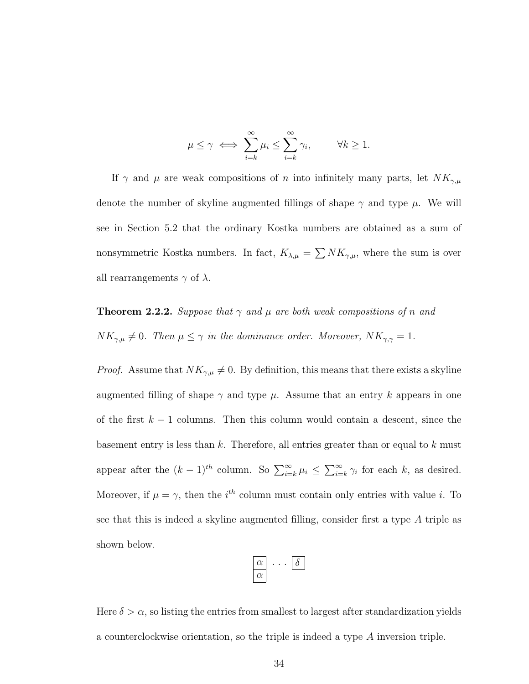$$
\mu \le \gamma \iff \sum_{i=k}^{\infty} \mu_i \le \sum_{i=k}^{\infty} \gamma_i, \qquad \forall k \ge 1.
$$

If  $\gamma$  and  $\mu$  are weak compositions of n into infinitely many parts, let  $NK_{\gamma,\mu}$ denote the number of skyline augmented fillings of shape  $\gamma$  and type  $\mu$ . We will see in Section 5.2 that the ordinary Kostka numbers are obtained as a sum of nonsymmetric Kostka numbers. In fact,  $K_{\lambda,\mu} = \sum N K_{\gamma,\mu}$ , where the sum is over all rearrangements  $\gamma$  of  $\lambda$ .

**Theorem 2.2.2.** Suppose that  $\gamma$  and  $\mu$  are both weak compositions of n and  $NK_{\gamma,\mu} \neq 0$ . Then  $\mu \leq \gamma$  in the dominance order. Moreover,  $NK_{\gamma,\gamma} = 1$ .

*Proof.* Assume that  $NK_{\gamma,\mu} \neq 0$ . By definition, this means that there exists a skyline augmented filling of shape  $\gamma$  and type  $\mu$ . Assume that an entry k appears in one of the first  $k - 1$  columns. Then this column would contain a descent, since the basement entry is less than  $k$ . Therefore, all entries greater than or equal to  $k$  must appear after the  $(k-1)^{th}$  column. So  $\sum_{i=k}^{\infty} \mu_i \leq \sum_{i=k}^{\infty} \gamma_i$  for each k, as desired. Moreover, if  $\mu = \gamma$ , then the *i*<sup>th</sup> column must contain only entries with value *i*. To see that this is indeed a skyline augmented filling, consider first a type A triple as shown below.

| $\alpha$ |  |  |
|----------|--|--|
| rν       |  |  |

Here  $\delta > \alpha$ , so listing the entries from smallest to largest after standardization yields a counterclockwise orientation, so the triple is indeed a type A inversion triple.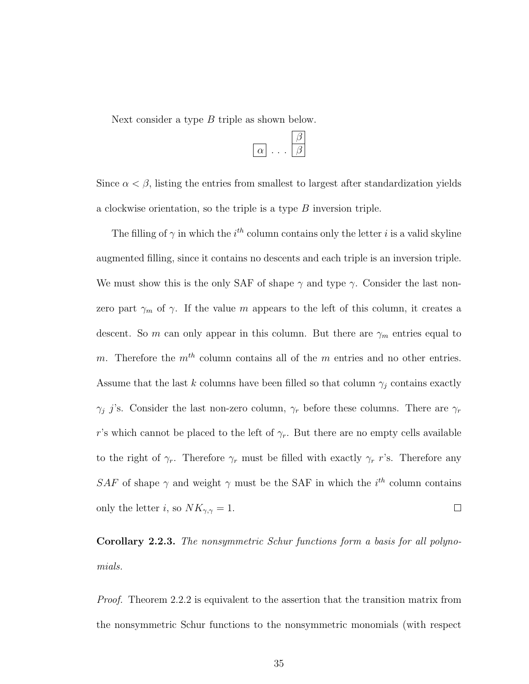Next consider a type B triple as shown below.

Since  $\alpha < \beta$ , listing the entries from smallest to largest after standardization yields a clockwise orientation, so the triple is a type B inversion triple.

The filling of  $\gamma$  in which the i<sup>th</sup> column contains only the letter i is a valid skyline augmented filling, since it contains no descents and each triple is an inversion triple. We must show this is the only SAF of shape  $\gamma$  and type  $\gamma$ . Consider the last nonzero part  $\gamma_m$  of  $\gamma$ . If the value m appears to the left of this column, it creates a descent. So m can only appear in this column. But there are  $\gamma_m$  entries equal to m. Therefore the  $m<sup>th</sup>$  column contains all of the m entries and no other entries. Assume that the last k columns have been filled so that column  $\gamma_j$  contains exactly  $\gamma_j$  j's. Consider the last non-zero column,  $\gamma_r$  before these columns. There are  $\gamma_r$ r's which cannot be placed to the left of  $\gamma_r$ . But there are no empty cells available to the right of  $\gamma_r$ . Therefore  $\gamma_r$  must be filled with exactly  $\gamma_r$  r's. Therefore any SAF of shape  $\gamma$  and weight  $\gamma$  must be the SAF in which the  $i^{th}$  column contains only the letter *i*, so  $NK_{\gamma,\gamma} = 1$ .  $\Box$ 

Corollary 2.2.3. The nonsymmetric Schur functions form a basis for all polynomials.

Proof. Theorem 2.2.2 is equivalent to the assertion that the transition matrix from the nonsymmetric Schur functions to the nonsymmetric monomials (with respect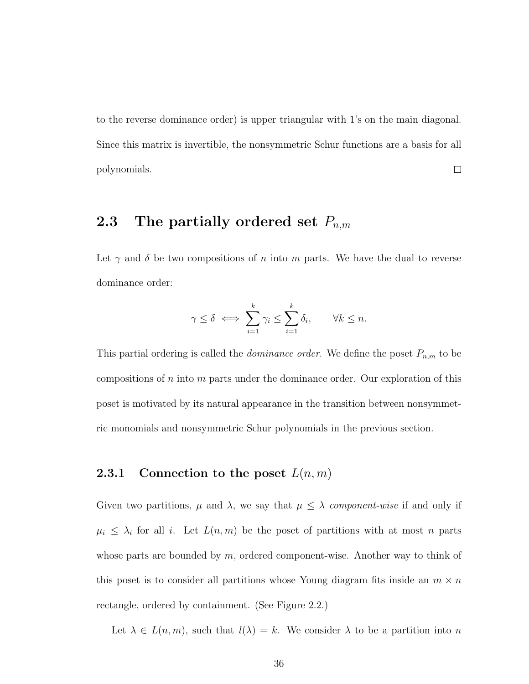to the reverse dominance order) is upper triangular with 1's on the main diagonal. Since this matrix is invertible, the nonsymmetric Schur functions are a basis for all polynomials.  $\Box$ 

## 2.3 The partially ordered set  $P_{n,m}$

Let  $\gamma$  and  $\delta$  be two compositions of n into m parts. We have the dual to reverse dominance order:

$$
\gamma \leq \delta \iff \sum_{i=1}^k \gamma_i \leq \sum_{i=1}^k \delta_i, \qquad \forall k \leq n.
$$

This partial ordering is called the *dominance order*. We define the poset  $P_{n,m}$  to be compositions of n into m parts under the dominance order. Our exploration of this poset is motivated by its natural appearance in the transition between nonsymmetric monomials and nonsymmetric Schur polynomials in the previous section.

#### **2.3.1** Connection to the poset  $L(n, m)$

Given two partitions,  $\mu$  and  $\lambda$ , we say that  $\mu \leq \lambda$  component-wise if and only if  $\mu_i \leq \lambda_i$  for all i. Let  $L(n,m)$  be the poset of partitions with at most n parts whose parts are bounded by  $m$ , ordered component-wise. Another way to think of this poset is to consider all partitions whose Young diagram fits inside an  $m \times n$ rectangle, ordered by containment. (See Figure 2.2.)

Let  $\lambda \in L(n,m)$ , such that  $l(\lambda) = k$ . We consider  $\lambda$  to be a partition into n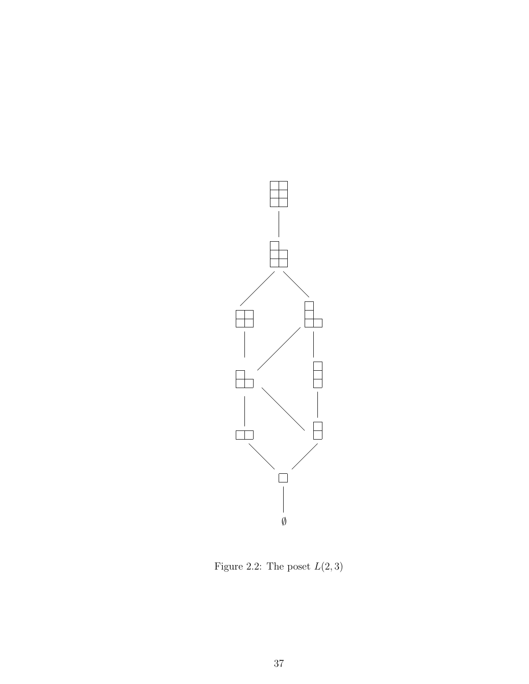

Figure 2.2: The poset  $\mathcal{L}(2,3)$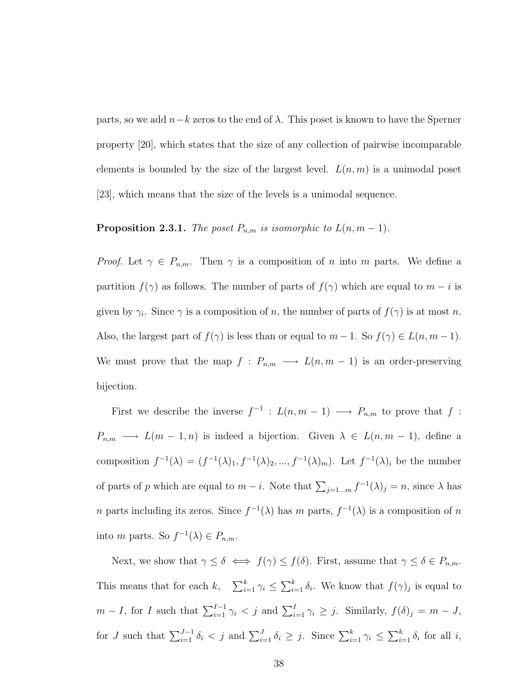parts, so we add  $n-k$  zeros to the end of  $\lambda$ . This poset is known to have the Sperner property [20], which states that the size of any collection of pairwise incomparable elements is bounded by the size of the largest level.  $L(n, m)$  is a unimodal poset [23], which means that the size of the levels is a unimodal sequence.

#### **Proposition 2.3.1.** The poset  $P_{n,m}$  is isomorphic to  $L(n, m-1)$ .

*Proof.* Let  $\gamma \in P_{n,m}$ . Then  $\gamma$  is a composition of n into m parts. We define a partition  $f(\gamma)$  as follows. The number of parts of  $f(\gamma)$  which are equal to  $m - i$  is given by  $\gamma_i$ . Since  $\gamma$  is a composition of n, the number of parts of  $f(\gamma)$  is at most n. Also, the largest part of  $f(\gamma)$  is less than or equal to  $m-1$ . So  $f(\gamma) \in L(n, m-1)$ . We must prove that the map  $f : P_{n,m} \longrightarrow L(n,m-1)$  is an order-preserving bijection.

First we describe the inverse  $f^{-1}$ :  $L(n, m - 1) \longrightarrow P_{n,m}$  to prove that f:  $P_{n,m} \longrightarrow L(m-1,n)$  is indeed a bijection. Given  $\lambda \in L(n,m-1)$ , define a composition  $f^{-1}(\lambda) = (f^{-1}(\lambda)_1, f^{-1}(\lambda)_2, ..., f^{-1}(\lambda)_m)$ . Let  $f^{-1}(\lambda)_i$  be the number of parts of p which are equal to  $m - i$ . Note that  $\sum_{j=1...m} f^{-1}(\lambda)_j = n$ , since  $\lambda$  has n parts including its zeros. Since  $f^{-1}(\lambda)$  has m parts,  $f^{-1}(\lambda)$  is a composition of n into *m* parts. So  $f^{-1}(\lambda) \in P_{n,m}$ .

Next, we show that  $\gamma \leq \delta \iff f(\gamma) \leq f(\delta)$ . First, assume that  $\gamma \leq \delta \in P_{n,m}$ . This means that for each  $k$ ,  $\sum_{i=1}^{k} \gamma_i \leq \sum_{i=1}^{k} \delta_i$ . We know that  $f(\gamma)_j$  is equal to  $m - I$ , for I such that  $\sum_{i=1}^{I-1} \gamma_i < j$  and  $\sum_{i=1}^{I} \gamma_i \ge j$ . Similarly,  $f(\delta)_j = m - J$ , for J such that  $\sum_{i=1}^{J-1} \delta_i < j$  and  $\sum_{i=1}^{J} \delta_i \geq j$ . Since  $\sum_{i=1}^{k} \gamma_i \leq \sum_{i=1}^{k} \delta_i$  for all i,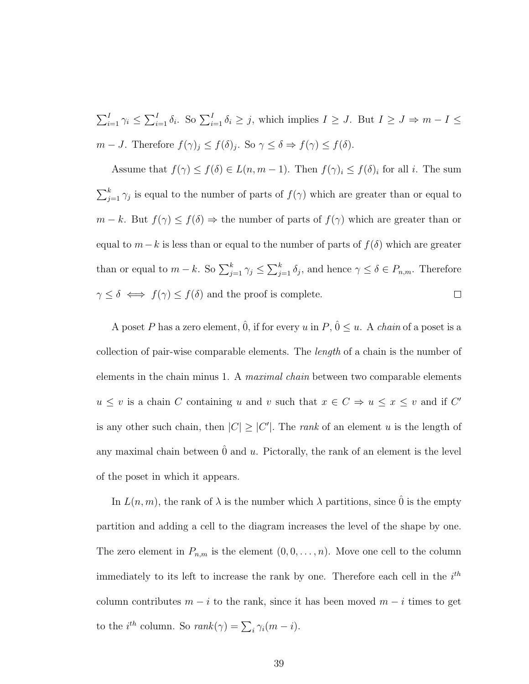$\sum_{i=1}^{I} \gamma_i \leq \sum_{i=1}^{I} \delta_i$ . So  $\sum_{i=1}^{I} \delta_i \geq j$ , which implies  $I \geq J$ . But  $I \geq J \Rightarrow m - I \leq$  $m-J$ . Therefore  $f(\gamma)_j \leq f(\delta)_j$ . So  $\gamma \leq \delta \Rightarrow f(\gamma) \leq f(\delta)$ .

Assume that  $f(\gamma) \leq f(\delta) \in L(n, m-1)$ . Then  $f(\gamma)_i \leq f(\delta)_i$  for all i. The sum  $\sum_{j=1}^{k} \gamma_j$  is equal to the number of parts of  $f(\gamma)$  which are greater than or equal to  $m - k$ . But  $f(\gamma) \leq f(\delta) \Rightarrow$  the number of parts of  $f(\gamma)$  which are greater than or equal to  $m-k$  is less than or equal to the number of parts of  $f(\delta)$  which are greater than or equal to  $m - k$ . So  $\sum_{j=1}^{k} \gamma_j \leq \sum_{j=1}^{k} \delta_j$ , and hence  $\gamma \leq \delta \in P_{n,m}$ . Therefore  $\gamma \leq \delta \iff f(\gamma) \leq f(\delta)$  and the proof is complete.  $\Box$ 

A poset P has a zero element,  $\hat{0}$ , if for every u in P,  $\hat{0} \leq u$ . A *chain* of a poset is a collection of pair-wise comparable elements. The length of a chain is the number of elements in the chain minus 1. A *maximal chain* between two comparable elements  $u \leq v$  is a chain C containing u and v such that  $x \in C \Rightarrow u \leq x \leq v$  and if C' is any other such chain, then  $|C| \geq |C'|$ . The *rank* of an element u is the length of any maximal chain between  $\hat{0}$  and u. Pictorally, the rank of an element is the level of the poset in which it appears.

In  $L(n, m)$ , the rank of  $\lambda$  is the number which  $\lambda$  partitions, since  $\hat{0}$  is the empty partition and adding a cell to the diagram increases the level of the shape by one. The zero element in  $P_{n,m}$  is the element  $(0,0,\ldots,n)$ . Move one cell to the column immediately to its left to increase the rank by one. Therefore each cell in the  $i<sup>th</sup>$ column contributes  $m - i$  to the rank, since it has been moved  $m - i$  times to get to the *i*<sup>th</sup> column. So  $rank(\gamma) = \sum_i \gamma_i (m - i)$ .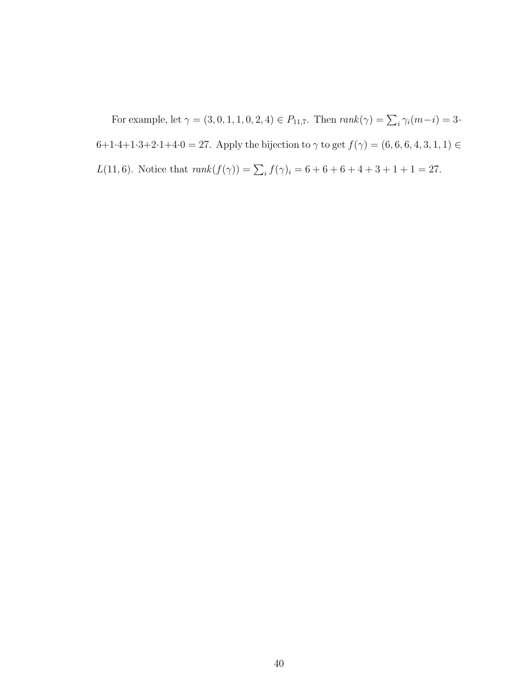For example, let  $\gamma = (3, 0, 1, 1, 0, 2, 4) \in P_{11,7}$ . Then  $rank(\gamma) = \sum_i \gamma_i (m - i) = 3$ . 6+1·4+1·3+2·1+4·0 = 27. Apply the bijection to  $\gamma$  to get  $f(\gamma) = (6, 6, 6, 4, 3, 1, 1) \in$  $L(11,6)$ . Notice that  $rank(f(\gamma)) = \sum_i f(\gamma)_i = 6 + 6 + 6 + 4 + 3 + 1 + 1 = 27$ .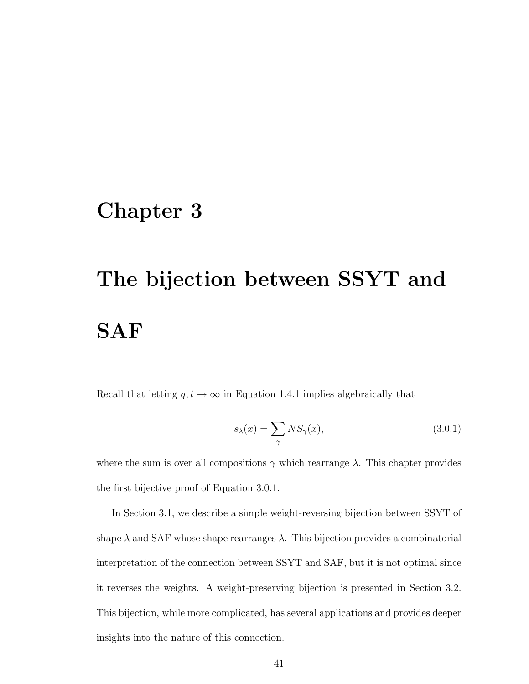## Chapter 3

# The bijection between SSYT and SAF

Recall that letting  $q, t \to \infty$  in Equation 1.4.1 implies algebraically that

$$
s_{\lambda}(x) = \sum_{\gamma} N S_{\gamma}(x), \qquad (3.0.1)
$$

where the sum is over all compositions  $\gamma$  which rearrange  $\lambda$ . This chapter provides the first bijective proof of Equation 3.0.1.

In Section 3.1, we describe a simple weight-reversing bijection between SSYT of shape  $\lambda$  and SAF whose shape rearranges  $\lambda$ . This bijection provides a combinatorial interpretation of the connection between SSYT and SAF, but it is not optimal since it reverses the weights. A weight-preserving bijection is presented in Section 3.2. This bijection, while more complicated, has several applications and provides deeper insights into the nature of this connection.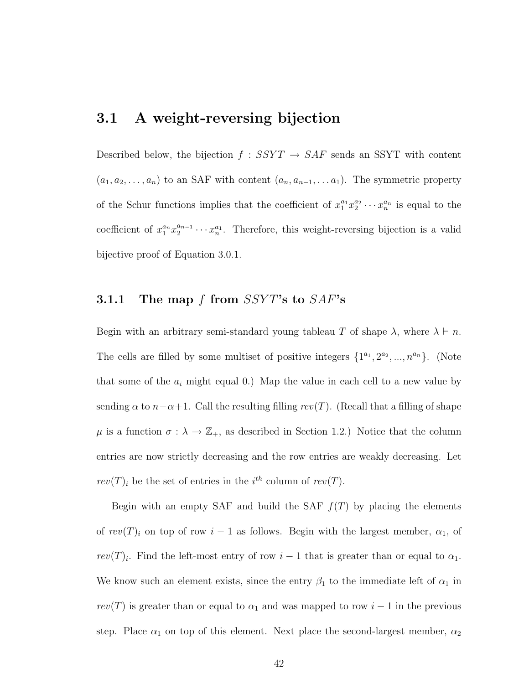## 3.1 A weight-reversing bijection

Described below, the bijection  $f : SSYT \rightarrow SAF$  sends an SSYT with content  $(a_1, a_2, \ldots, a_n)$  to an SAF with content  $(a_n, a_{n-1}, \ldots, a_1)$ . The symmetric property of the Schur functions implies that the coefficient of  $x_1^{a_1} x_2^{a_2} \cdots x_n^{a_n}$  is equal to the coefficient of  $x_1^{a_n} x_2^{a_{n-1}}$  $x_2^{a_{n-1}} \cdots x_n^{a_1}$ . Therefore, this weight-reversing bijection is a valid bijective proof of Equation 3.0.1.

#### 3.1.1 The map  $f$  from  $SSYT$ 's to  $SAF$ 's

Begin with an arbitrary semi-standard young tableau T of shape  $\lambda$ , where  $\lambda \vdash n$ . The cells are filled by some multiset of positive integers  $\{1^{a_1}, 2^{a_2}, ..., n^{a_n}\}$ . (Note that some of the  $a_i$  might equal 0.) Map the value in each cell to a new value by sending  $\alpha$  to  $n-\alpha+1$ . Call the resulting filling rev(T). (Recall that a filling of shape  $\mu$  is a function  $\sigma : \lambda \to \mathbb{Z}_+$ , as described in Section 1.2.) Notice that the column entries are now strictly decreasing and the row entries are weakly decreasing. Let  $rev(T)_i$  be the set of entries in the i<sup>th</sup> column of  $rev(T)$ .

Begin with an empty SAF and build the SAF  $f(T)$  by placing the elements of  $rev(T)_i$  on top of row  $i-1$  as follows. Begin with the largest member,  $\alpha_1$ , of  $rev(T)_i$ . Find the left-most entry of row  $i-1$  that is greater than or equal to  $\alpha_1$ . We know such an element exists, since the entry  $\beta_1$  to the immediate left of  $\alpha_1$  in  $rev(T)$  is greater than or equal to  $\alpha_1$  and was mapped to row  $i-1$  in the previous step. Place  $\alpha_1$  on top of this element. Next place the second-largest member,  $\alpha_2$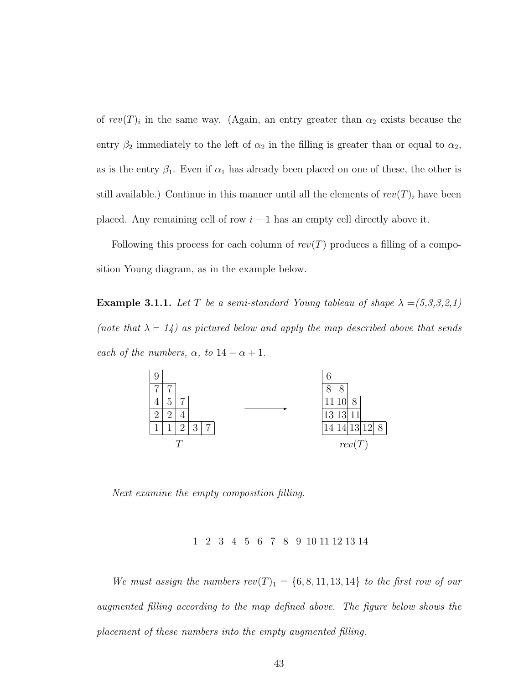of  $rev(T)_i$  in the same way. (Again, an entry greater than  $\alpha_2$  exists because the entry  $\beta_2$  immediately to the left of  $\alpha_2$  in the filling is greater than or equal to  $\alpha_2$ , as is the entry  $\beta_1$ . Even if  $\alpha_1$  has already been placed on one of these, the other is still available.) Continue in this manner until all the elements of  $rev(T)_i$  have been placed. Any remaining cell of row  $i - 1$  has an empty cell directly above it.

Following this process for each column of  $rev(T)$  produces a filling of a composition Young diagram, as in the example below.

**Example 3.1.1.** Let T be a semi-standard Young tableau of shape  $\lambda = (5,3,3,2,1)$ (note that  $\lambda \vdash 14$ ) as pictured below and apply the map described above that sends each of the numbers,  $\alpha$ , to  $14 - \alpha + 1$ .



Next examine the empty composition filling.

1 2 3 4 5 6 7 8 9 10 11 12 13 14

We must assign the numbers  $rev(T)_1 = \{6, 8, 11, 13, 14\}$  to the first row of our augmented filling according to the map defined above. The figure below shows the placement of these numbers into the empty augmented filling.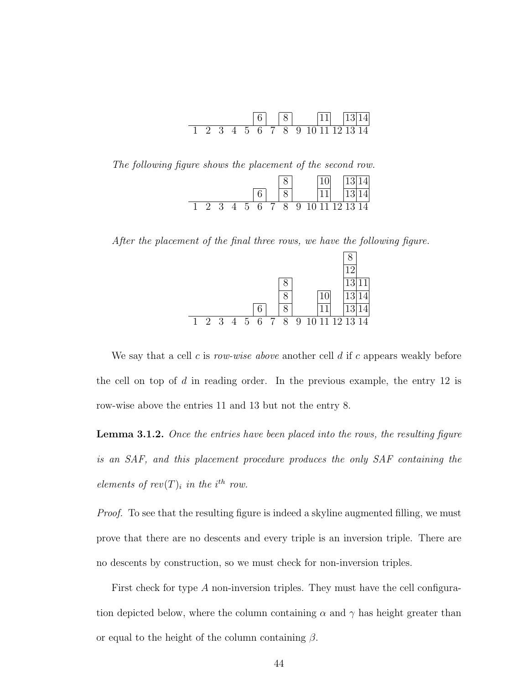|  |  |  | $\vert 8 \vert$ |  |  | $ 11 $ $ 13 14 $                 |
|--|--|--|-----------------|--|--|----------------------------------|
|  |  |  |                 |  |  | 1 2 3 4 5 6 7 8 9 10 11 12 13 14 |

The following figure shows the placement of the second row.

|  |  | 5. | 6 | 7.7 | 8 | 9 | 10 11 12 13 14 |  |
|--|--|----|---|-----|---|---|----------------|--|

After the placement of the final three rows, we have the following figure.

|   |     |   |                |    |                |               |                  |  | ാ        |  |
|---|-----|---|----------------|----|----------------|---------------|------------------|--|----------|--|
|   |     |   |                |    |                |               |                  |  | $\Omega$ |  |
|   |     |   |                |    |                |               |                  |  | ാ        |  |
| 1 | 2 3 | 4 | 5 <sup>5</sup> | -6 | $\overline{7}$ | $\mathcal{R}$ | 9 10 11 12 13 14 |  |          |  |

We say that a cell c is row-wise above another cell  $d$  if c appears weakly before the cell on top of d in reading order. In the previous example, the entry 12 is row-wise above the entries 11 and 13 but not the entry 8.

**Lemma 3.1.2.** Once the entries have been placed into the rows, the resulting figure is an SAF, and this placement procedure produces the only SAF containing the elements of  $rev(T)_i$  in the i<sup>th</sup> row.

Proof. To see that the resulting figure is indeed a skyline augmented filling, we must prove that there are no descents and every triple is an inversion triple. There are no descents by construction, so we must check for non-inversion triples.

First check for type A non-inversion triples. They must have the cell configuration depicted below, where the column containing  $\alpha$  and  $\gamma$  has height greater than or equal to the height of the column containing  $\beta$ .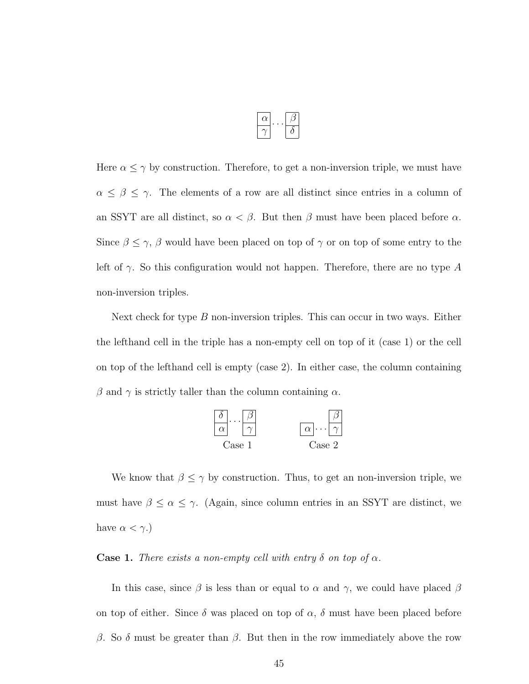Here  $\alpha \leq \gamma$  by construction. Therefore, to get a non-inversion triple, we must have  $\alpha \leq \beta \leq \gamma$ . The elements of a row are all distinct since entries in a column of an SSYT are all distinct, so  $\alpha < \beta$ . But then  $\beta$  must have been placed before  $\alpha$ . Since  $\beta \leq \gamma$ ,  $\beta$  would have been placed on top of  $\gamma$  or on top of some entry to the left of  $\gamma$ . So this configuration would not happen. Therefore, there are no type A non-inversion triples.

Next check for type  $B$  non-inversion triples. This can occur in two ways. Either the lefthand cell in the triple has a non-empty cell on top of it (case 1) or the cell on top of the lefthand cell is empty (case 2). In either case, the column containing β and  $\gamma$  is strictly taller than the column containing  $\alpha$ .



We know that  $\beta \leq \gamma$  by construction. Thus, to get an non-inversion triple, we must have  $\beta \leq \alpha \leq \gamma$ . (Again, since column entries in an SSYT are distinct, we have  $\alpha < \gamma$ .)

Case 1. There exists a non-empty cell with entry  $\delta$  on top of  $\alpha$ .

In this case, since  $\beta$  is less than or equal to  $\alpha$  and  $\gamma$ , we could have placed  $\beta$ on top of either. Since  $\delta$  was placed on top of  $\alpha$ ,  $\delta$  must have been placed before β. So δ must be greater than β. But then in the row immediately above the row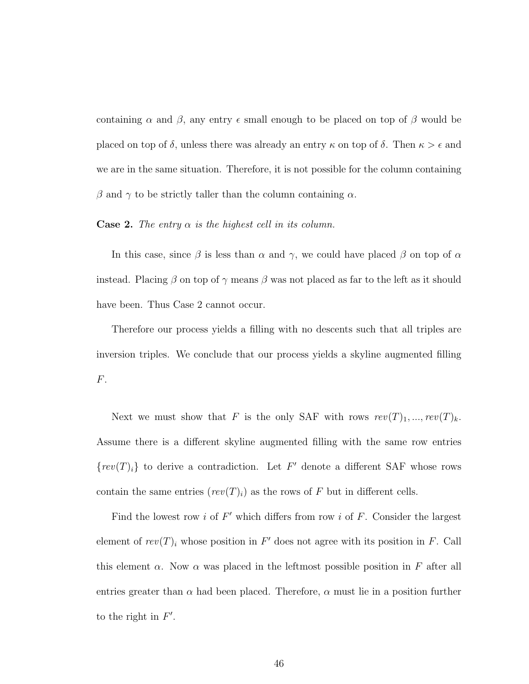containing  $\alpha$  and  $\beta$ , any entry  $\epsilon$  small enough to be placed on top of  $\beta$  would be placed on top of  $\delta$ , unless there was already an entry  $\kappa$  on top of  $\delta$ . Then  $\kappa > \epsilon$  and we are in the same situation. Therefore, it is not possible for the column containing β and  $\gamma$  to be strictly taller than the column containing  $\alpha$ .

#### **Case 2.** The entry  $\alpha$  is the highest cell in its column.

In this case, since  $\beta$  is less than  $\alpha$  and  $\gamma$ , we could have placed  $\beta$  on top of  $\alpha$ instead. Placing  $\beta$  on top of  $\gamma$  means  $\beta$  was not placed as far to the left as it should have been. Thus Case 2 cannot occur.

Therefore our process yields a filling with no descents such that all triples are inversion triples. We conclude that our process yields a skyline augmented filling F.

Next we must show that F is the only SAF with rows  $rev(T)_1, ..., rev(T)_k$ . Assume there is a different skyline augmented filling with the same row entries  $\{rev(T)_i\}$  to derive a contradiction. Let F' denote a different SAF whose rows contain the same entries  $(rev(T)_i)$  as the rows of F but in different cells.

Find the lowest row  $i$  of  $F'$  which differs from row  $i$  of  $F$ . Consider the largest element of  $rev(T)_i$  whose position in F' does not agree with its position in F. Call this element  $\alpha$ . Now  $\alpha$  was placed in the leftmost possible position in F after all entries greater than  $\alpha$  had been placed. Therefore,  $\alpha$  must lie in a position further to the right in  $F'$ .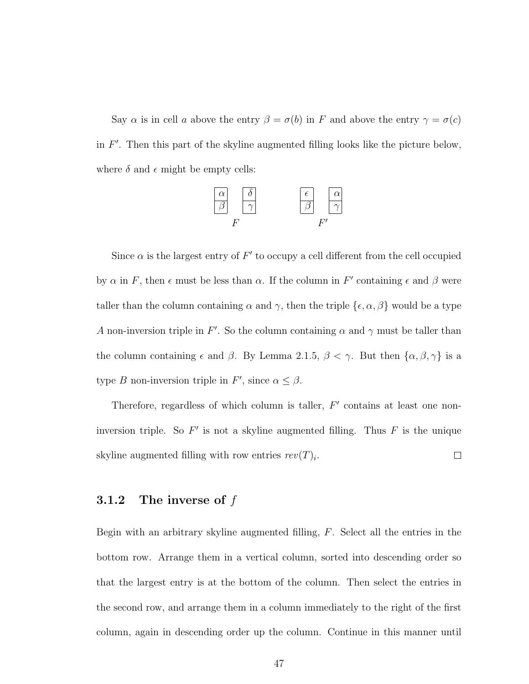Say  $\alpha$  is in cell a above the entry  $\beta = \sigma(b)$  in F and above the entry  $\gamma = \sigma(c)$ in  $F'$ . Then this part of the skyline augmented filling looks like the picture below, where  $\delta$  and  $\epsilon$  might be empty cells:



Since  $\alpha$  is the largest entry of  $F'$  to occupy a cell different from the cell occupied by  $\alpha$  in F, then  $\epsilon$  must be less than  $\alpha$ . If the column in F' containing  $\epsilon$  and  $\beta$  were taller than the column containing  $\alpha$  and  $\gamma$ , then the triple  $\{\epsilon, \alpha, \beta\}$  would be a type A non-inversion triple in F'. So the column containing  $\alpha$  and  $\gamma$  must be taller than the column containing  $\epsilon$  and  $\beta$ . By Lemma 2.1.5,  $\beta < \gamma$ . But then  $\{\alpha, \beta, \gamma\}$  is a type B non-inversion triple in F', since  $\alpha \leq \beta$ .

Therefore, regardless of which column is taller,  $F'$  contains at least one noninversion triple. So  $F'$  is not a skyline augmented filling. Thus  $F$  is the unique skyline augmented filling with row entries  $rev(T)_i$ .  $\Box$ 

#### 3.1.2 The inverse of  $f$

Begin with an arbitrary skyline augmented filling,  $F$ . Select all the entries in the bottom row. Arrange them in a vertical column, sorted into descending order so that the largest entry is at the bottom of the column. Then select the entries in the second row, and arrange them in a column immediately to the right of the first column, again in descending order up the column. Continue in this manner until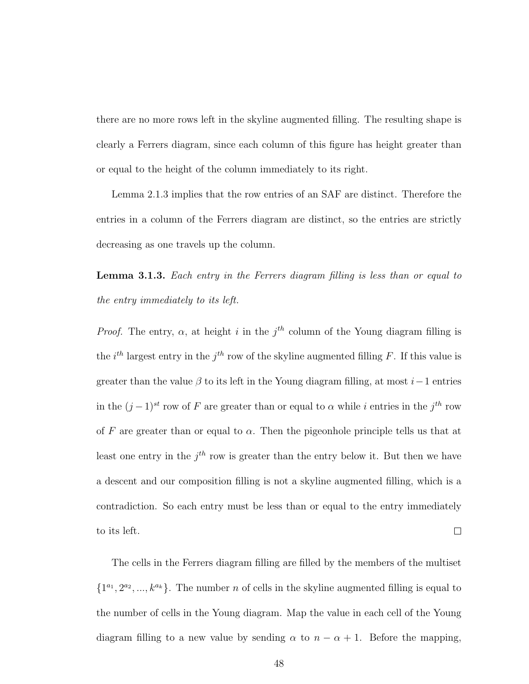there are no more rows left in the skyline augmented filling. The resulting shape is clearly a Ferrers diagram, since each column of this figure has height greater than or equal to the height of the column immediately to its right.

Lemma 2.1.3 implies that the row entries of an SAF are distinct. Therefore the entries in a column of the Ferrers diagram are distinct, so the entries are strictly decreasing as one travels up the column.

Lemma 3.1.3. Each entry in the Ferrers diagram filling is less than or equal to the entry immediately to its left.

*Proof.* The entry,  $\alpha$ , at height i in the j<sup>th</sup> column of the Young diagram filling is the  $i^{th}$  largest entry in the  $j^{th}$  row of the skyline augmented filling F. If this value is greater than the value  $\beta$  to its left in the Young diagram filling, at most i–1 entries in the  $(j-1)^{st}$  row of F are greater than or equal to  $\alpha$  while i entries in the j<sup>th</sup> row of F are greater than or equal to  $\alpha$ . Then the pigeonhole principle tells us that at least one entry in the  $j<sup>th</sup>$  row is greater than the entry below it. But then we have a descent and our composition filling is not a skyline augmented filling, which is a contradiction. So each entry must be less than or equal to the entry immediately to its left.  $\Box$ 

The cells in the Ferrers diagram filling are filled by the members of the multiset  $\{1^{a_1}, 2^{a_2}, ..., k^{a_k}\}.$  The number n of cells in the skyline augmented filling is equal to the number of cells in the Young diagram. Map the value in each cell of the Young diagram filling to a new value by sending  $\alpha$  to  $n - \alpha + 1$ . Before the mapping,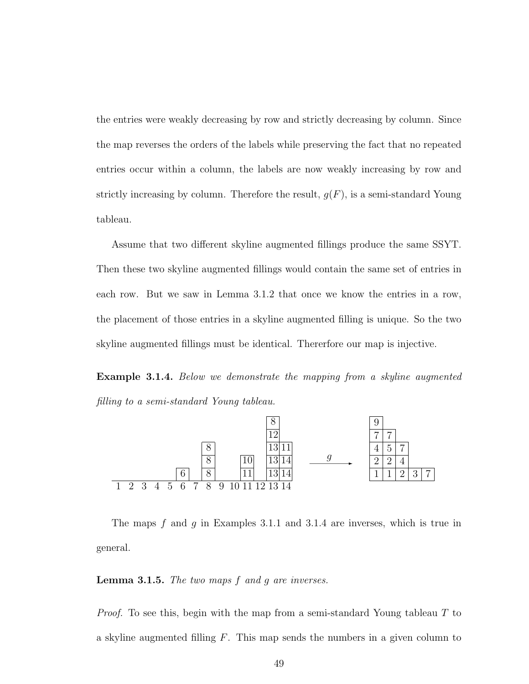the entries were weakly decreasing by row and strictly decreasing by column. Since the map reverses the orders of the labels while preserving the fact that no repeated entries occur within a column, the labels are now weakly increasing by row and strictly increasing by column. Therefore the result,  $g(F)$ , is a semi-standard Young tableau.

Assume that two different skyline augmented fillings produce the same SSYT. Then these two skyline augmented fillings would contain the same set of entries in each row. But we saw in Lemma 3.1.2 that once we know the entries in a row, the placement of those entries in a skyline augmented filling is unique. So the two skyline augmented fillings must be identical. Thererfore our map is injective.

Example 3.1.4. Below we demonstrate the mapping from a skyline augmented filling to a semi-standard Young tableau.



The maps  $f$  and  $q$  in Examples 3.1.1 and 3.1.4 are inverses, which is true in general.

**Lemma 3.1.5.** The two maps  $f$  and  $g$  are inverses.

*Proof.* To see this, begin with the map from a semi-standard Young tableau  $T$  to a skyline augmented filling  $F$ . This map sends the numbers in a given column to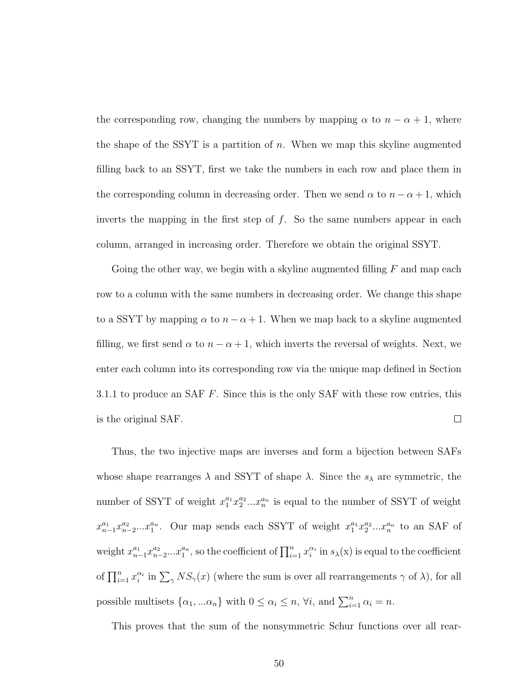the corresponding row, changing the numbers by mapping  $\alpha$  to  $n - \alpha + 1$ , where the shape of the SSYT is a partition of  $n$ . When we map this skyline augmented filling back to an SSYT, first we take the numbers in each row and place them in the corresponding column in decreasing order. Then we send  $\alpha$  to  $n - \alpha + 1$ , which inverts the mapping in the first step of  $f$ . So the same numbers appear in each column, arranged in increasing order. Therefore we obtain the original SSYT.

Going the other way, we begin with a skyline augmented filling  $F$  and map each row to a column with the same numbers in decreasing order. We change this shape to a SSYT by mapping  $\alpha$  to  $n - \alpha + 1$ . When we map back to a skyline augmented filling, we first send  $\alpha$  to  $n - \alpha + 1$ , which inverts the reversal of weights. Next, we enter each column into its corresponding row via the unique map defined in Section 3.1.1 to produce an SAF  $F$ . Since this is the only SAF with these row entries, this  $\Box$ is the original SAF.

Thus, the two injective maps are inverses and form a bijection between SAFs whose shape rearranges  $\lambda$  and SSYT of shape  $\lambda$ . Since the  $s_{\lambda}$  are symmetric, the number of SSYT of weight  $x_1^{a_1}x_2^{a_2}...x_n^{a_n}$  is equal to the number of SSYT of weight  $x_{n-1}^{a_1}x_{n-2}^{a_2}...x_1^{a_n}$ . Our map sends each SSYT of weight  $x_1^{a_1}x_2^{a_2}...x_n^{a_n}$  to an SAF of weight  $x_{n-1}^{a_1}x_{n-2}^{a_2}...x_1^{a_n}$ , so the coefficient of  $\prod_{i=1}^n x_i^{\alpha_i}$  in  $s_\lambda(x)$  is equal to the coefficient of  $\prod_{i=1}^n x_i^{\alpha_i}$  in  $\sum_{\gamma} NS_{\gamma}(x)$  (where the sum is over all rearrangements  $\gamma$  of  $\lambda$ ), for all possible multisets  $\{\alpha_1, ...\alpha_n\}$  with  $0 \leq \alpha_i \leq n$ ,  $\forall i$ , and  $\sum_{i=1}^n \alpha_i = n$ .

This proves that the sum of the nonsymmetric Schur functions over all rear-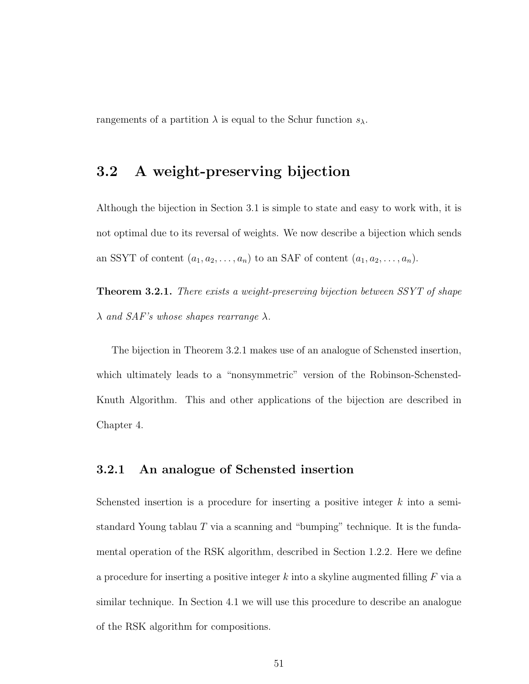rangements of a partition  $\lambda$  is equal to the Schur function  $s_{\lambda}$ .

## 3.2 A weight-preserving bijection

Although the bijection in Section 3.1 is simple to state and easy to work with, it is not optimal due to its reversal of weights. We now describe a bijection which sends an SSYT of content  $(a_1, a_2, \ldots, a_n)$  to an SAF of content  $(a_1, a_2, \ldots, a_n)$ .

**Theorem 3.2.1.** There exists a weight-preserving bijection between SSYT of shape  $\lambda$  and SAF's whose shapes rearrange  $\lambda$ .

The bijection in Theorem 3.2.1 makes use of an analogue of Schensted insertion, which ultimately leads to a "nonsymmetric" version of the Robinson-Schensted-Knuth Algorithm. This and other applications of the bijection are described in Chapter 4.

#### 3.2.1 An analogue of Schensted insertion

Schensted insertion is a procedure for inserting a positive integer  $k$  into a semistandard Young tablau  $T$  via a scanning and "bumping" technique. It is the fundamental operation of the RSK algorithm, described in Section 1.2.2. Here we define a procedure for inserting a positive integer k into a skyline augmented filling  $F$  via a similar technique. In Section 4.1 we will use this procedure to describe an analogue of the RSK algorithm for compositions.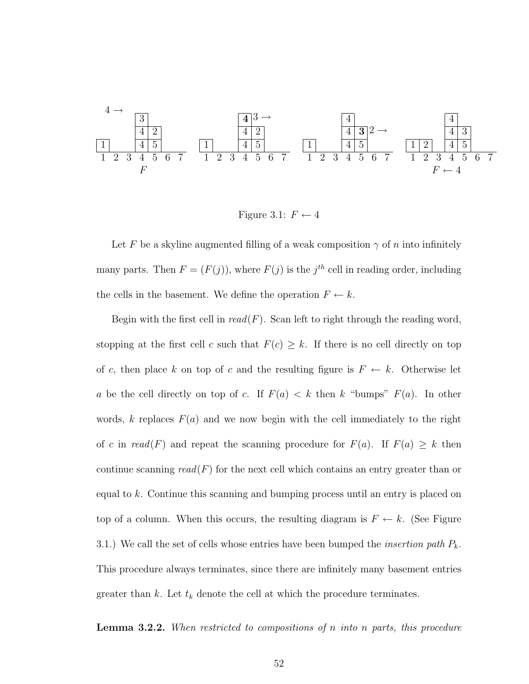$$
\begin{array}{c|ccccccccc}\n4 & & & 3 \\
\hline\n1 & & 4 & 2 \\
\hline\n1 & & 4 & 5 \\
1 & 2 & 3 & 4 & 5 & 6 & 7 \\
\end{array}\n\quad\n\begin{array}{c|ccccccccc}\n4 & & 3 & & & & \\
\hline\n4 & & 2 & & & & & \\
\hline\n4 & & 2 & & & & & \\
\hline\n4 & & 5 & & & & & \\
\end{array}\n\quad\n\begin{array}{c|ccccccccc}\n4 & & & & & & & \\
\hline\n4 & & 2 & & & & & \\
\hline\n4 & & 5 & & & & & \\
\hline\n1 & & 4 & 5 & & & & \\
\end{array}\n\quad\n\begin{array}{c|ccccccccc}\n4 & & & & & & & \\
\hline\n4 & & 3 & & & & & \\
\hline\n4 & & 5 & & & & & \\
\hline\n4 & & 5 & & & & & \\
\end{array}\n\quad\n\begin{array}{c|ccccccccc}\n4 & & & & & & & \\
\hline\n4 & & 3 & & & & & \\
\hline\n4 & & 5 & & & & & \\
\hline\n4 & & 5 & & & & & \\
\end{array}\n\quad\n\begin{array}{c|ccccccccc}\n4 & & & & & & & \\
\hline\n4 & & 5 & & & & & \\
\hline\n4 & & 5 & & & & & \\
\hline\n4 & & 5 & & & & & \\
\end{array}\n\quad
$$

Figure 3.1:  $F \leftarrow 4$ 

Let F be a skyline augmented filling of a weak composition  $\gamma$  of n into infinitely many parts. Then  $F = (F(j))$ , where  $F(j)$  is the j<sup>th</sup> cell in reading order, including the cells in the basement. We define the operation  $F \leftarrow k$ .

Begin with the first cell in  $read(F)$ . Scan left to right through the reading word, stopping at the first cell c such that  $F(c) \geq k$ . If there is no cell directly on top of c, then place k on top of c and the resulting figure is  $F \leftarrow k$ . Otherwise let a be the cell directly on top of c. If  $F(a) < k$  then k "bumps"  $F(a)$ . In other words, k replaces  $F(a)$  and we now begin with the cell immediately to the right of c in read(F) and repeat the scanning procedure for  $F(a)$ . If  $F(a) \geq k$  then continue scanning  $read(F)$  for the next cell which contains an entry greater than or equal to k. Continue this scanning and bumping process until an entry is placed on top of a column. When this occurs, the resulting diagram is  $F \leftarrow k$ . (See Figure 3.1.) We call the set of cells whose entries have been bumped the *insertion path*  $P_k$ . This procedure always terminates, since there are infinitely many basement entries greater than k. Let  $t_k$  denote the cell at which the procedure terminates.

**Lemma 3.2.2.** When restricted to compositions of n into n parts, this procedure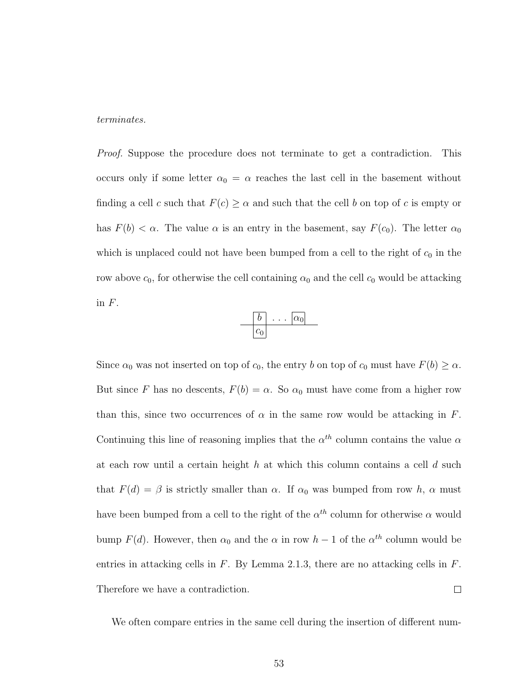terminates.

*Proof.* Suppose the procedure does not terminate to get a contradiction. This occurs only if some letter  $\alpha_0 = \alpha$  reaches the last cell in the basement without finding a cell c such that  $F(c) \geq \alpha$  and such that the cell b on top of c is empty or has  $F(b) < \alpha$ . The value  $\alpha$  is an entry in the basement, say  $F(c_0)$ . The letter  $\alpha_0$ which is unplaced could not have been bumped from a cell to the right of  $c_0$  in the row above  $c_0$ , for otherwise the cell containing  $\alpha_0$  and the cell  $c_0$  would be attacking in  $F$ .



Since  $\alpha_0$  was not inserted on top of  $c_0$ , the entry b on top of  $c_0$  must have  $F(b) \ge \alpha$ . But since F has no descents,  $F(b) = \alpha$ . So  $\alpha_0$  must have come from a higher row than this, since two occurrences of  $\alpha$  in the same row would be attacking in F. Continuing this line of reasoning implies that the  $\alpha^{th}$  column contains the value  $\alpha$ at each row until a certain height h at which this column contains a cell  $d$  such that  $F(d) = \beta$  is strictly smaller than  $\alpha$ . If  $\alpha_0$  was bumped from row h,  $\alpha$  must have been bumped from a cell to the right of the  $\alpha^{th}$  column for otherwise  $\alpha$  would bump  $F(d)$ . However, then  $\alpha_0$  and the  $\alpha$  in row  $h-1$  of the  $\alpha^{th}$  column would be entries in attacking cells in  $F$ . By Lemma 2.1.3, there are no attacking cells in  $F$ . Therefore we have a contradiction.  $\Box$ 

We often compare entries in the same cell during the insertion of different num-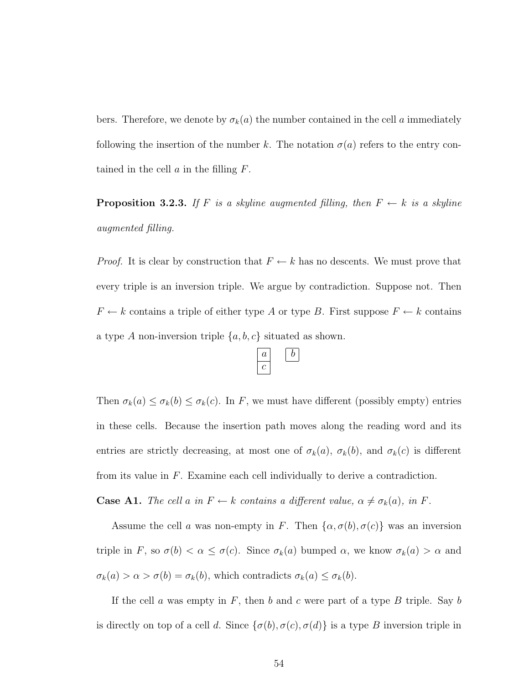bers. Therefore, we denote by  $\sigma_k(a)$  the number contained in the cell a immediately following the insertion of the number k. The notation  $\sigma(a)$  refers to the entry contained in the cell  $a$  in the filling  $F$ .

**Proposition 3.2.3.** If F is a skyline augmented filling, then  $F \leftarrow k$  is a skyline augmented filling.

*Proof.* It is clear by construction that  $F \leftarrow k$  has no descents. We must prove that every triple is an inversion triple. We argue by contradiction. Suppose not. Then  $F \leftarrow k$  contains a triple of either type A or type B. First suppose  $F \leftarrow k$  contains a type A non-inversion triple  $\{a, b, c\}$  situated as shown.



Then  $\sigma_k(a) \leq \sigma_k(b) \leq \sigma_k(c)$ . In F, we must have different (possibly empty) entries in these cells. Because the insertion path moves along the reading word and its entries are strictly decreasing, at most one of  $\sigma_k(a)$ ,  $\sigma_k(b)$ , and  $\sigma_k(c)$  is different from its value in  $F$ . Examine each cell individually to derive a contradiction.

**Case A1.** The cell a in  $F \leftarrow k$  contains a different value,  $\alpha \neq \sigma_k(a)$ , in F.

Assume the cell a was non-empty in F. Then  $\{\alpha, \sigma(b), \sigma(c)\}\$  was an inversion triple in F, so  $\sigma(b) < \alpha \leq \sigma(c)$ . Since  $\sigma_k(a)$  bumped  $\alpha$ , we know  $\sigma_k(a) > \alpha$  and  $\sigma_k(a) > \alpha > \sigma(b) = \sigma_k(b)$ , which contradicts  $\sigma_k(a) \leq \sigma_k(b)$ .

If the cell  $a$  was empty in  $F$ , then  $b$  and  $c$  were part of a type  $B$  triple. Say  $b$ is directly on top of a cell d. Since  $\{\sigma(b), \sigma(c), \sigma(d)\}\$ is a type B inversion triple in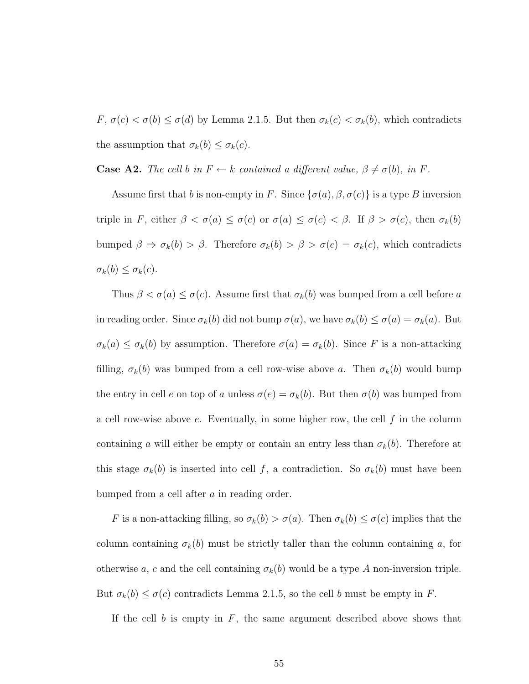$F, \sigma(c) < \sigma(b) \leq \sigma(d)$  by Lemma 2.1.5. But then  $\sigma_k(c) < \sigma_k(b)$ , which contradicts the assumption that  $\sigma_k(b) \leq \sigma_k(c)$ .

**Case A2.** The cell b in  $F \leftarrow k$  contained a different value,  $\beta \neq \sigma(b)$ , in F.

Assume first that b is non-empty in F. Since  $\{\sigma(a), \beta, \sigma(c)\}\$ is a type B inversion triple in F, either  $\beta < \sigma(a) \leq \sigma(c)$  or  $\sigma(a) \leq \sigma(c) < \beta$ . If  $\beta > \sigma(c)$ , then  $\sigma_k(b)$ bumped  $\beta \Rightarrow \sigma_k(b) > \beta$ . Therefore  $\sigma_k(b) > \beta > \sigma(c) = \sigma_k(c)$ , which contradicts  $\sigma_k(b) \leq \sigma_k(c).$ 

Thus  $\beta < \sigma(a) \leq \sigma(c)$ . Assume first that  $\sigma_k(b)$  was bumped from a cell before a in reading order. Since  $\sigma_k(b)$  did not bump  $\sigma(a)$ , we have  $\sigma_k(b) \leq \sigma(a) = \sigma_k(a)$ . But  $\sigma_k(a) \leq \sigma_k(b)$  by assumption. Therefore  $\sigma(a) = \sigma_k(b)$ . Since F is a non-attacking filling,  $\sigma_k(b)$  was bumped from a cell row-wise above a. Then  $\sigma_k(b)$  would bump the entry in cell e on top of a unless  $\sigma(e) = \sigma_k(b)$ . But then  $\sigma(b)$  was bumped from a cell row-wise above  $e$ . Eventually, in some higher row, the cell  $f$  in the column containing a will either be empty or contain an entry less than  $\sigma_k(b)$ . Therefore at this stage  $\sigma_k(b)$  is inserted into cell f, a contradiction. So  $\sigma_k(b)$  must have been bumped from a cell after a in reading order.

F is a non-attacking filling, so  $\sigma_k(b) > \sigma(a)$ . Then  $\sigma_k(b) \leq \sigma(c)$  implies that the column containing  $\sigma_k(b)$  must be strictly taller than the column containing a, for otherwise a, c and the cell containing  $\sigma_k(b)$  would be a type A non-inversion triple. But  $\sigma_k(b) \leq \sigma(c)$  contradicts Lemma 2.1.5, so the cell b must be empty in F.

If the cell  $b$  is empty in  $F$ , the same argument described above shows that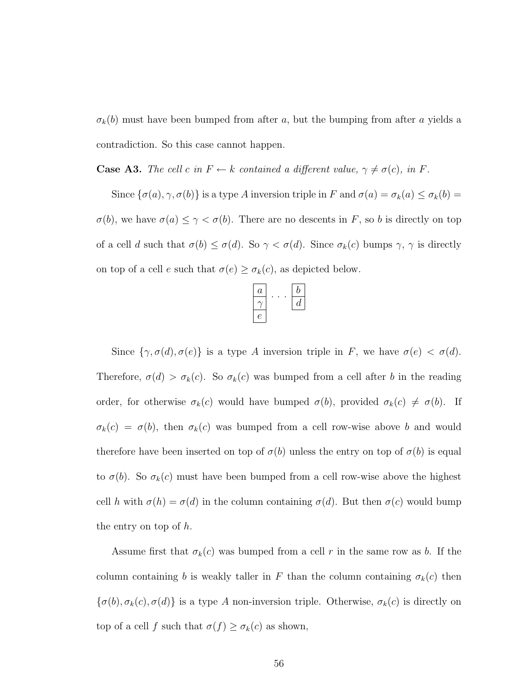$\sigma_k(b)$  must have been bumped from after a, but the bumping from after a yields a contradiction. So this case cannot happen.

**Case A3.** The cell c in  $F \leftarrow k$  contained a different value,  $\gamma \neq \sigma(c)$ , in F.

Since  $\{\sigma(a), \gamma, \sigma(b)\}\$ is a type A inversion triple in F and  $\sigma(a) = \sigma_k(a) \leq \sigma_k(b) =$  $\sigma(b)$ , we have  $\sigma(a) \leq \gamma < \sigma(b)$ . There are no descents in F, so b is directly on top of a cell d such that  $\sigma(b) \leq \sigma(d)$ . So  $\gamma < \sigma(d)$ . Since  $\sigma_k(c)$  bumps  $\gamma$ ,  $\gamma$  is directly on top of a cell e such that  $\sigma(e) \geq \sigma_k(c)$ , as depicted below.

| $\boldsymbol{a}$ |  |   |
|------------------|--|---|
|                  |  | d |
|                  |  |   |

Since  $\{\gamma, \sigma(d), \sigma(e)\}\$ is a type A inversion triple in F, we have  $\sigma(e) < \sigma(d)$ . Therefore,  $\sigma(d) > \sigma_k(c)$ . So  $\sigma_k(c)$  was bumped from a cell after b in the reading order, for otherwise  $\sigma_k(c)$  would have bumped  $\sigma(b)$ , provided  $\sigma_k(c) \neq \sigma(b)$ . If  $\sigma_k(c) = \sigma(b)$ , then  $\sigma_k(c)$  was bumped from a cell row-wise above b and would therefore have been inserted on top of  $\sigma(b)$  unless the entry on top of  $\sigma(b)$  is equal to  $\sigma(b)$ . So  $\sigma_k(c)$  must have been bumped from a cell row-wise above the highest cell h with  $\sigma(h) = \sigma(d)$  in the column containing  $\sigma(d)$ . But then  $\sigma(c)$  would bump the entry on top of  $h$ .

Assume first that  $\sigma_k(c)$  was bumped from a cell r in the same row as b. If the column containing b is weakly taller in F than the column containing  $\sigma_k(c)$  then  $\{\sigma(b), \sigma_k(c), \sigma(d)\}\$ is a type A non-inversion triple. Otherwise,  $\sigma_k(c)$  is directly on top of a cell f such that  $\sigma(f) \geq \sigma_k(c)$  as shown,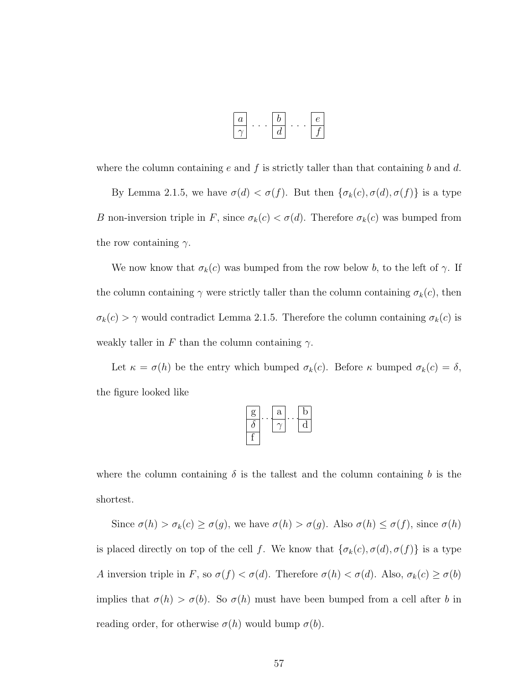$$
\begin{array}{|c|c|}\hline a\\\hline\gamma\end{array}\cdots\begin{array}{|c|}\hline b\\\hline d\end{array}\cdots\begin{array}{|c|}\hline e\\\hline f\end{array}
$$

where the column containing e and f is strictly taller than that containing b and d.

By Lemma 2.1.5, we have  $\sigma(d) < \sigma(f)$ . But then  $\{\sigma_k(c), \sigma(d), \sigma(f)\}\$ is a type B non-inversion triple in F, since  $\sigma_k(c) < \sigma(d)$ . Therefore  $\sigma_k(c)$  was bumped from the row containing  $\gamma$ .

We now know that  $\sigma_k(c)$  was bumped from the row below b, to the left of  $\gamma$ . If the column containing  $\gamma$  were strictly taller than the column containing  $\sigma_k(c)$ , then  $\sigma_k(c) > \gamma$  would contradict Lemma 2.1.5. Therefore the column containing  $\sigma_k(c)$  is weakly taller in F than the column containing  $\gamma$ .

Let  $\kappa = \sigma(h)$  be the entry which bumped  $\sigma_k(c)$ . Before  $\kappa$  bumped  $\sigma_k(c) = \delta$ , the figure looked like

| g | a | D |
|---|---|---|
| o |   |   |
|   |   |   |

where the column containing  $\delta$  is the tallest and the column containing b is the shortest.

Since  $\sigma(h) > \sigma_k(c) \ge \sigma(g)$ , we have  $\sigma(h) > \sigma(g)$ . Also  $\sigma(h) \le \sigma(f)$ , since  $\sigma(h)$ is placed directly on top of the cell f. We know that  $\{\sigma_k(c), \sigma(d), \sigma(f)\}\)$  is a type A inversion triple in F, so  $\sigma(f) < \sigma(d)$ . Therefore  $\sigma(h) < \sigma(d)$ . Also,  $\sigma_k(c) \ge \sigma(b)$ implies that  $\sigma(h) > \sigma(b)$ . So  $\sigma(h)$  must have been bumped from a cell after b in reading order, for otherwise  $\sigma(h)$  would bump  $\sigma(b)$ .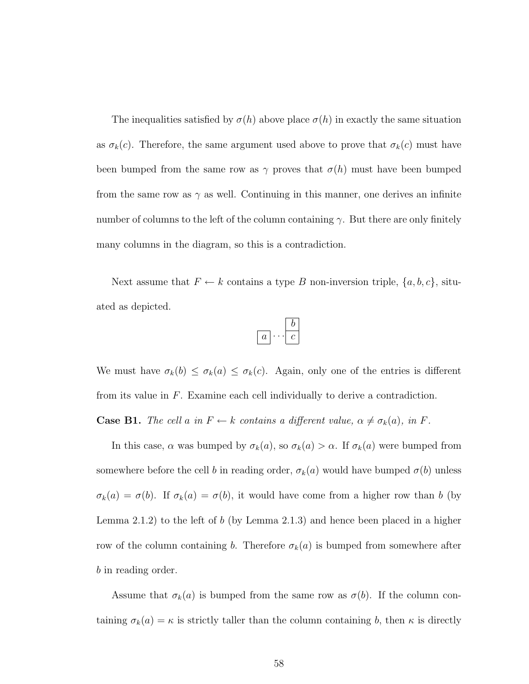The inequalities satisfied by  $\sigma(h)$  above place  $\sigma(h)$  in exactly the same situation as  $\sigma_k(c)$ . Therefore, the same argument used above to prove that  $\sigma_k(c)$  must have been bumped from the same row as  $\gamma$  proves that  $\sigma(h)$  must have been bumped from the same row as  $\gamma$  as well. Continuing in this manner, one derives an infinite number of columns to the left of the column containing  $\gamma$ . But there are only finitely many columns in the diagram, so this is a contradiction.

Next assume that  $F \leftarrow k$  contains a type B non-inversion triple,  $\{a, b, c\}$ , situated as depicted.

$$
\boxed{a}\cdots \boxed{b}
$$

We must have  $\sigma_k(b) \leq \sigma_k(a) \leq \sigma_k(c)$ . Again, only one of the entries is different from its value in F. Examine each cell individually to derive a contradiction. **Case B1.** The cell a in  $F \leftarrow k$  contains a different value,  $\alpha \neq \sigma_k(a)$ , in F.

In this case,  $\alpha$  was bumped by  $\sigma_k(a)$ , so  $\sigma_k(a) > \alpha$ . If  $\sigma_k(a)$  were bumped from somewhere before the cell b in reading order,  $\sigma_k(a)$  would have bumped  $\sigma(b)$  unless  $\sigma_k(a) = \sigma(b)$ . If  $\sigma_k(a) = \sigma(b)$ , it would have come from a higher row than b (by Lemma 2.1.2) to the left of b (by Lemma 2.1.3) and hence been placed in a higher row of the column containing b. Therefore  $\sigma_k(a)$  is bumped from somewhere after b in reading order.

Assume that  $\sigma_k(a)$  is bumped from the same row as  $\sigma(b)$ . If the column containing  $\sigma_k(a) = \kappa$  is strictly taller than the column containing b, then  $\kappa$  is directly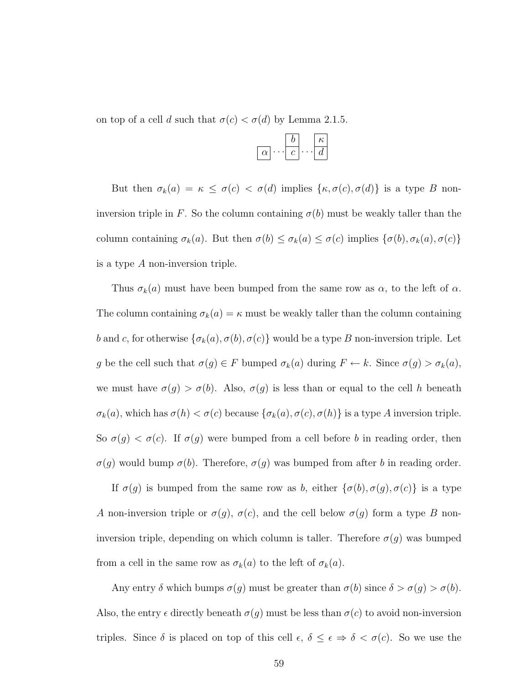on top of a cell d such that  $\sigma(c) < \sigma(d)$  by Lemma 2.1.5.

|          |  | к |
|----------|--|---|
| $\alpha$ |  |   |

But then  $\sigma_k(a) = \kappa \leq \sigma(c) < \sigma(d)$  implies  $\{\kappa, \sigma(c), \sigma(d)\}\)$  is a type B noninversion triple in F. So the column containing  $\sigma(b)$  must be weakly taller than the column containing  $\sigma_k(a)$ . But then  $\sigma(b) \leq \sigma_k(a) \leq \sigma(c)$  implies  $\{\sigma(b), \sigma_k(a), \sigma(c)\}$ is a type A non-inversion triple.

Thus  $\sigma_k(a)$  must have been bumped from the same row as  $\alpha$ , to the left of  $\alpha$ . The column containing  $\sigma_k(a) = \kappa$  must be weakly taller than the column containing b and c, for otherwise  $\{\sigma_k(a), \sigma(b), \sigma(c)\}$  would be a type B non-inversion triple. Let g be the cell such that  $\sigma(g) \in F$  bumped  $\sigma_k(a)$  during  $F \leftarrow k$ . Since  $\sigma(g) > \sigma_k(a)$ , we must have  $\sigma(g) > \sigma(b)$ . Also,  $\sigma(g)$  is less than or equal to the cell h beneath  $\sigma_k(a)$ , which has  $\sigma(h) < \sigma(c)$  because  $\{\sigma_k(a), \sigma(c), \sigma(h)\}$  is a type A inversion triple. So  $\sigma(g) < \sigma(c)$ . If  $\sigma(g)$  were bumped from a cell before b in reading order, then  $\sigma(g)$  would bump  $\sigma(b)$ . Therefore,  $\sigma(g)$  was bumped from after b in reading order.

If  $\sigma(g)$  is bumped from the same row as b, either  $\{\sigma(b), \sigma(g), \sigma(c)\}\$ is a type A non-inversion triple or  $\sigma(g)$ ,  $\sigma(c)$ , and the cell below  $\sigma(g)$  form a type B noninversion triple, depending on which column is taller. Therefore  $\sigma(g)$  was bumped from a cell in the same row as  $\sigma_k(a)$  to the left of  $\sigma_k(a)$ .

Any entry  $\delta$  which bumps  $\sigma(g)$  must be greater than  $\sigma(b)$  since  $\delta > \sigma(g) > \sigma(b)$ . Also, the entry  $\epsilon$  directly beneath  $\sigma(g)$  must be less than  $\sigma(c)$  to avoid non-inversion triples. Since  $\delta$  is placed on top of this cell  $\epsilon, \delta \leq \epsilon \Rightarrow \delta < \sigma(c)$ . So we use the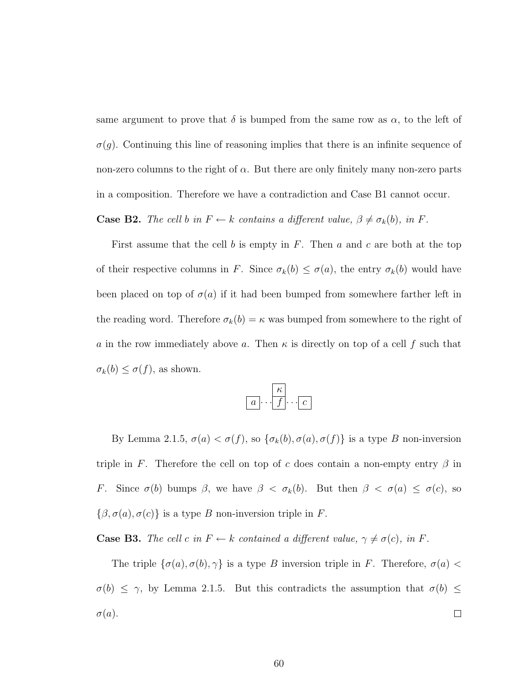same argument to prove that  $\delta$  is bumped from the same row as  $\alpha$ , to the left of  $\sigma(g)$ . Continuing this line of reasoning implies that there is an infinite sequence of non-zero columns to the right of  $\alpha$ . But there are only finitely many non-zero parts in a composition. Therefore we have a contradiction and Case B1 cannot occur.

**Case B2.** The cell b in  $F \leftarrow k$  contains a different value,  $\beta \neq \sigma_k(b)$ , in F.

First assume that the cell b is empty in  $F$ . Then  $a$  and  $c$  are both at the top of their respective columns in F. Since  $\sigma_k(b) \leq \sigma(a)$ , the entry  $\sigma_k(b)$  would have been placed on top of  $\sigma(a)$  if it had been bumped from somewhere farther left in the reading word. Therefore  $\sigma_k(b) = \kappa$  was bumped from somewhere to the right of a in the row immediately above a. Then  $\kappa$  is directly on top of a cell f such that  $\sigma_k(b) \leq \sigma(f)$ , as shown.

$$
\boxed{a}\cdots \boxed{\frac{\kappa}{f}\cdots c}
$$

By Lemma 2.1.5,  $\sigma(a) < \sigma(f)$ , so  $\{\sigma_k(b), \sigma(a), \sigma(f)\}\$ is a type B non-inversion triple in F. Therefore the cell on top of c does contain a non-empty entry  $\beta$  in F. Since  $\sigma(b)$  bumps  $\beta$ , we have  $\beta < \sigma_k(b)$ . But then  $\beta < \sigma(a) \leq \sigma(c)$ , so  $\{\beta, \sigma(a), \sigma(c)\}\$ is a type B non-inversion triple in F.

**Case B3.** The cell c in  $F \leftarrow k$  contained a different value,  $\gamma \neq \sigma(c)$ , in F.

The triple  $\{\sigma(a), \sigma(b), \gamma\}$  is a type B inversion triple in F. Therefore,  $\sigma(a)$  <  $\sigma(b) \leq \gamma$ , by Lemma 2.1.5. But this contradicts the assumption that  $\sigma(b) \leq$  $\sigma(a)$ .  $\Box$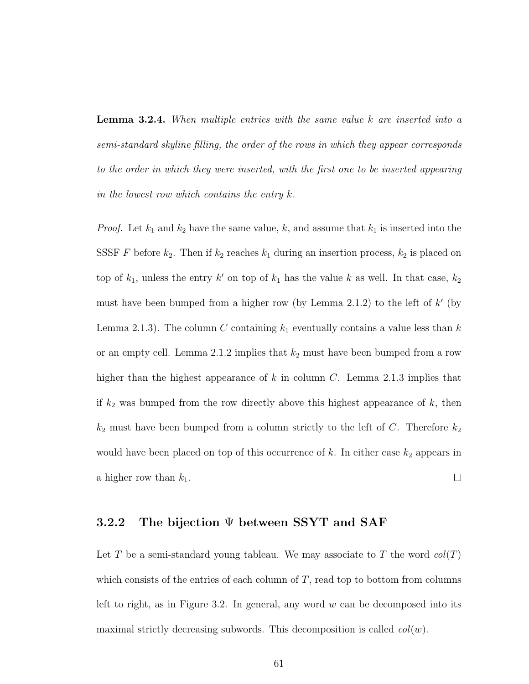Lemma 3.2.4. When multiple entries with the same value k are inserted into a semi-standard skyline filling, the order of the rows in which they appear corresponds to the order in which they were inserted, with the first one to be inserted appearing in the lowest row which contains the entry  $k$ .

*Proof.* Let  $k_1$  and  $k_2$  have the same value, k, and assume that  $k_1$  is inserted into the SSSF F before  $k_2$ . Then if  $k_2$  reaches  $k_1$  during an insertion process,  $k_2$  is placed on top of  $k_1$ , unless the entry k' on top of  $k_1$  has the value k as well. In that case,  $k_2$ must have been bumped from a higher row (by Lemma 2.1.2) to the left of  $k'$  (by Lemma 2.1.3). The column C containing  $k_1$  eventually contains a value less than k or an empty cell. Lemma 2.1.2 implies that  $k_2$  must have been bumped from a row higher than the highest appearance of k in column C. Lemma 2.1.3 implies that if  $k_2$  was bumped from the row directly above this highest appearance of  $k$ , then  $k_2$  must have been bumped from a column strictly to the left of C. Therefore  $k_2$ would have been placed on top of this occurrence of  $k$ . In either case  $k_2$  appears in  $\Box$ a higher row than  $k_1$ .

#### 3.2.2 The bijection Ψ between SSYT and SAF

Let T be a semi-standard young tableau. We may associate to T the word  $col(T)$ which consists of the entries of each column of  $T$ , read top to bottom from columns left to right, as in Figure 3.2. In general, any word  $w$  can be decomposed into its maximal strictly decreasing subwords. This decomposition is called  $col(w)$ .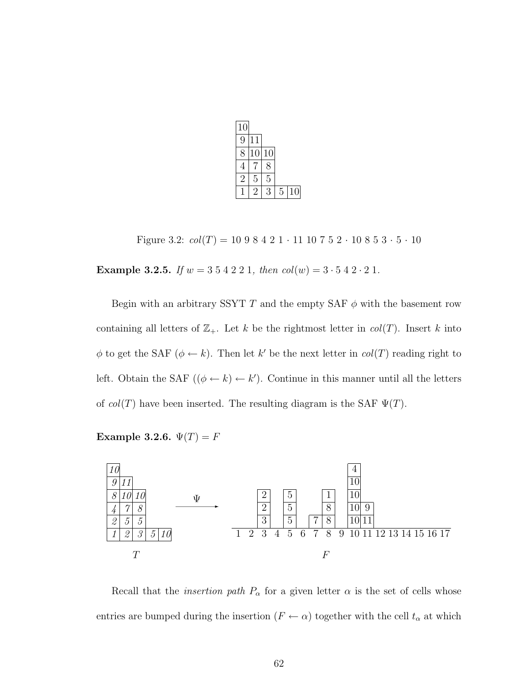| 10    |    |    |   |    |
|-------|----|----|---|----|
| 9     | 11 |    |   |    |
| $8\,$ | 10 | 10 |   |    |
| 4     |    | 8  |   |    |
| 2     | 5  | 5  |   |    |
|       | 2  | З  | 5 | 10 |

Figure 3.2:  $col(T) = 10\ 9\ 8\ 4\ 2\ 1\ \cdot 11\ 10\ 7\ 5\ 2\ \cdot 10\ 8\ 5\ 3\ \cdot 5\ \cdot 10$ 

Example 3.2.5. If  $w = 3\ 5\ 4\ 2\ 2\ 1$ , then  $col(w) = 3\cdot 5\ 4\ 2\cdot 2\ 1$ .

Begin with an arbitrary SSYT T and the empty SAF  $\phi$  with the basement row containing all letters of  $\mathbb{Z}_+$ . Let k be the rightmost letter in  $col(T)$ . Insert k into  $\phi$  to get the SAF ( $\phi \leftarrow k$ ). Then let k' be the next letter in  $col(T)$  reading right to left. Obtain the SAF  $((\phi \leftarrow k) \leftarrow k')$ . Continue in this manner until all the letters of  $col(T)$  have been inserted. The resulting diagram is the SAF  $\Psi(T)$ .

```
Example 3.2.6. \Psi(T) = F
```


Recall that the *insertion path*  $P_{\alpha}$  for a given letter  $\alpha$  is the set of cells whose entries are bumped during the insertion  $(F \leftarrow \alpha)$  together with the cell  $t_{\alpha}$  at which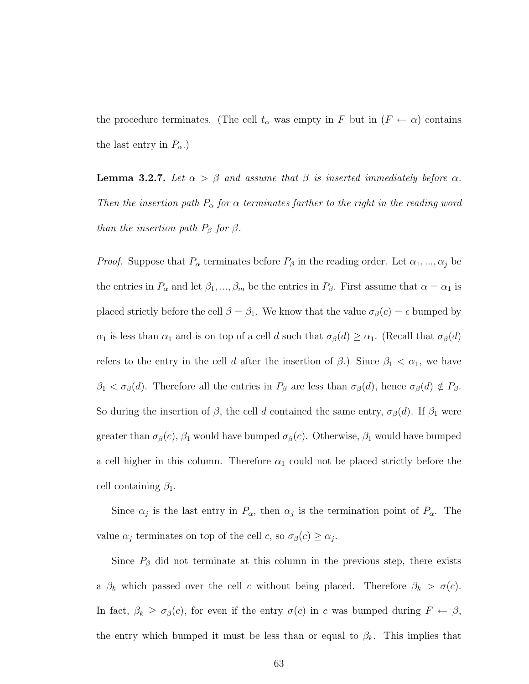the procedure terminates. (The cell  $t_{\alpha}$  was empty in F but in  $(F \leftarrow \alpha)$  contains the last entry in  $P_{\alpha}$ .)

**Lemma 3.2.7.** Let  $\alpha > \beta$  and assume that  $\beta$  is inserted immediately before  $\alpha$ . Then the insertion path  $P_{\alpha}$  for  $\alpha$  terminates farther to the right in the reading word than the insertion path  $P_\beta$  for  $\beta$ .

*Proof.* Suppose that  $P_{\alpha}$  terminates before  $P_{\beta}$  in the reading order. Let  $\alpha_1, ..., \alpha_j$  be the entries in  $P_{\alpha}$  and let  $\beta_1, ..., \beta_m$  be the entries in  $P_{\beta}$ . First assume that  $\alpha = \alpha_1$  is placed strictly before the cell  $\beta = \beta_1$ . We know that the value  $\sigma_{\beta}(c) = \epsilon$  bumped by  $\alpha_1$  is less than  $\alpha_1$  and is on top of a cell d such that  $\sigma_\beta(d) \geq \alpha_1$ . (Recall that  $\sigma_\beta(d)$ refers to the entry in the cell d after the insertion of  $\beta$ .) Since  $\beta_1 < \alpha_1$ , we have  $\beta_1 < \sigma_\beta(d)$ . Therefore all the entries in  $P_\beta$  are less than  $\sigma_\beta(d)$ , hence  $\sigma_\beta(d) \notin P_\beta$ . So during the insertion of  $\beta$ , the cell d contained the same entry,  $\sigma_{\beta}(d)$ . If  $\beta_1$  were greater than  $\sigma_{\beta}(c)$ ,  $\beta_1$  would have bumped  $\sigma_{\beta}(c)$ . Otherwise,  $\beta_1$  would have bumped a cell higher in this column. Therefore  $\alpha_1$  could not be placed strictly before the cell containing  $\beta_1$ .

Since  $\alpha_j$  is the last entry in  $P_\alpha$ , then  $\alpha_j$  is the termination point of  $P_\alpha$ . The value  $\alpha_j$  terminates on top of the cell c, so  $\sigma_\beta(c) \ge \alpha_j$ .

Since  $P_\beta$  did not terminate at this column in the previous step, there exists a  $\beta_k$  which passed over the cell c without being placed. Therefore  $\beta_k > \sigma(c)$ . In fact,  $\beta_k \geq \sigma_\beta(c)$ , for even if the entry  $\sigma(c)$  in c was bumped during  $F \leftarrow \beta$ , the entry which bumped it must be less than or equal to  $\beta_k$ . This implies that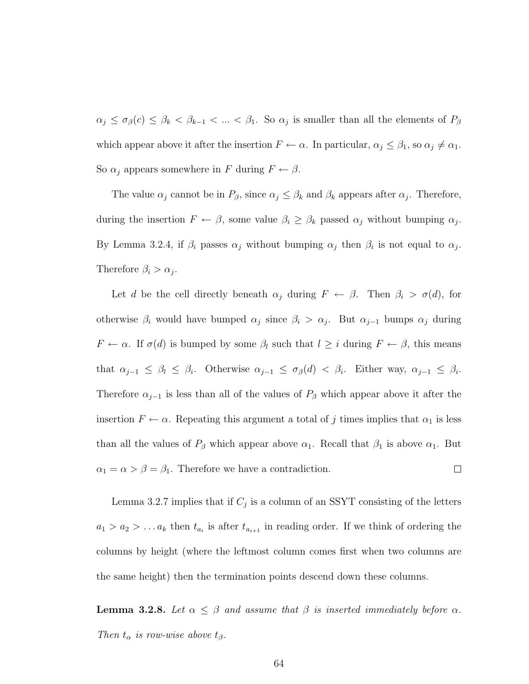$\alpha_j \leq \sigma_\beta(c) \leq \beta_k < \beta_{k-1} < \ldots < \beta_1$ . So  $\alpha_j$  is smaller than all the elements of  $P_\beta$ which appear above it after the insertion  $F \leftarrow \alpha$ . In particular,  $\alpha_j \leq \beta_1$ , so  $\alpha_j \neq \alpha_1$ . So  $\alpha_j$  appears somewhere in F during  $F \leftarrow \beta$ .

The value  $\alpha_j$  cannot be in  $P_\beta$ , since  $\alpha_j \leq \beta_k$  and  $\beta_k$  appears after  $\alpha_j$ . Therefore, during the insertion  $F \leftarrow \beta$ , some value  $\beta_i \geq \beta_k$  passed  $\alpha_j$  without bumping  $\alpha_j$ . By Lemma 3.2.4, if  $\beta_i$  passes  $\alpha_j$  without bumping  $\alpha_j$  then  $\beta_i$  is not equal to  $\alpha_j$ . Therefore  $\beta_i > \alpha_j$ .

Let d be the cell directly beneath  $\alpha_j$  during  $F \leftarrow \beta$ . Then  $\beta_i > \sigma(d)$ , for otherwise  $\beta_i$  would have bumped  $\alpha_j$  since  $\beta_i > \alpha_j$ . But  $\alpha_{j-1}$  bumps  $\alpha_j$  during  $F \leftarrow \alpha$ . If  $\sigma(d)$  is bumped by some  $\beta_l$  such that  $l \geq i$  during  $F \leftarrow \beta$ , this means that  $\alpha_{j-1} \leq \beta_l \leq \beta_i$ . Otherwise  $\alpha_{j-1} \leq \sigma_\beta(d) < \beta_i$ . Either way,  $\alpha_{j-1} \leq \beta_i$ . Therefore  $\alpha_{j-1}$  is less than all of the values of  $P_\beta$  which appear above it after the insertion  $F \leftarrow \alpha$ . Repeating this argument a total of j times implies that  $\alpha_1$  is less than all the values of  $P_\beta$  which appear above  $\alpha_1$ . Recall that  $\beta_1$  is above  $\alpha_1$ . But  $\alpha_1 = \alpha > \beta = \beta_1$ . Therefore we have a contradiction.  $\Box$ 

Lemma 3.2.7 implies that if  $C_j$  is a column of an SSYT consisting of the letters  $a_1 > a_2 > \ldots a_k$  then  $t_{a_i}$  is after  $t_{a_{i+1}}$  in reading order. If we think of ordering the columns by height (where the leftmost column comes first when two columns are the same height) then the termination points descend down these columns.

**Lemma 3.2.8.** Let  $\alpha \leq \beta$  and assume that  $\beta$  is inserted immediately before  $\alpha$ . Then  $t_{\alpha}$  is row-wise above  $t_{\beta}$ .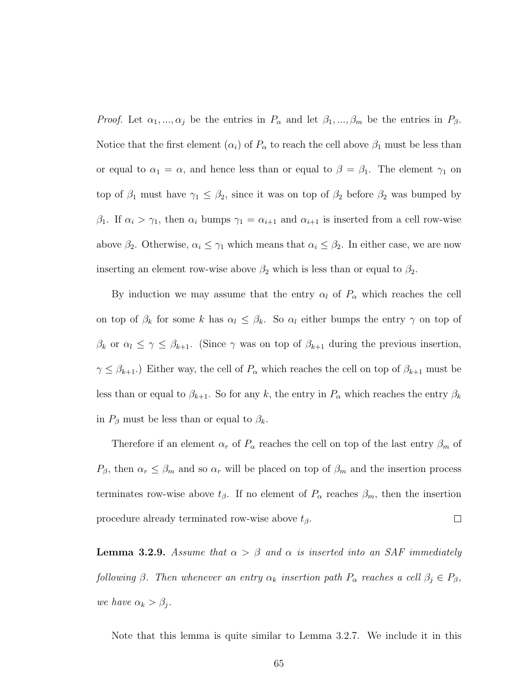*Proof.* Let  $\alpha_1, ..., \alpha_j$  be the entries in  $P_\alpha$  and let  $\beta_1, ..., \beta_m$  be the entries in  $P_\beta$ . Notice that the first element  $(\alpha_i)$  of  $P_\alpha$  to reach the cell above  $\beta_1$  must be less than or equal to  $\alpha_1 = \alpha$ , and hence less than or equal to  $\beta = \beta_1$ . The element  $\gamma_1$  on top of  $\beta_1$  must have  $\gamma_1 \leq \beta_2$ , since it was on top of  $\beta_2$  before  $\beta_2$  was bumped by  $β_1$ . If  $α_i > γ_1$ , then  $α_i$  bumps  $γ_1 = α_{i+1}$  and  $α_{i+1}$  is inserted from a cell row-wise above  $\beta_2$ . Otherwise,  $\alpha_i \leq \gamma_1$  which means that  $\alpha_i \leq \beta_2$ . In either case, we are now inserting an element row-wise above  $\beta_2$  which is less than or equal to  $\beta_2$ .

By induction we may assume that the entry  $\alpha_l$  of  $P_\alpha$  which reaches the cell on top of  $\beta_k$  for some k has  $\alpha_l \leq \beta_k$ . So  $\alpha_l$  either bumps the entry  $\gamma$  on top of  $\beta_k$  or  $\alpha_l \leq \gamma \leq \beta_{k+1}$ . (Since  $\gamma$  was on top of  $\beta_{k+1}$  during the previous insertion,  $\gamma \leq \beta_{k+1}$ .) Either way, the cell of  $P_{\alpha}$  which reaches the cell on top of  $\beta_{k+1}$  must be less than or equal to  $\beta_{k+1}$ . So for any k, the entry in  $P_{\alpha}$  which reaches the entry  $\beta_k$ in  $P_\beta$  must be less than or equal to  $\beta_k$ .

Therefore if an element  $\alpha_r$  of  $P_\alpha$  reaches the cell on top of the last entry  $\beta_m$  of  $P_{\beta}$ , then  $\alpha_r \leq \beta_m$  and so  $\alpha_r$  will be placed on top of  $\beta_m$  and the insertion process terminates row-wise above  $t_\beta$ . If no element of  $P_\alpha$  reaches  $\beta_m$ , then the insertion  $\Box$ procedure already terminated row-wise above  $t_{\beta}$ .

**Lemma 3.2.9.** Assume that  $\alpha > \beta$  and  $\alpha$  is inserted into an SAF immediately following β. Then whenever an entry  $\alpha_k$  insertion path  $P_\alpha$  reaches a cell  $\beta_j \in P_\beta$ , we have  $\alpha_k > \beta_j$ .

Note that this lemma is quite similar to Lemma 3.2.7. We include it in this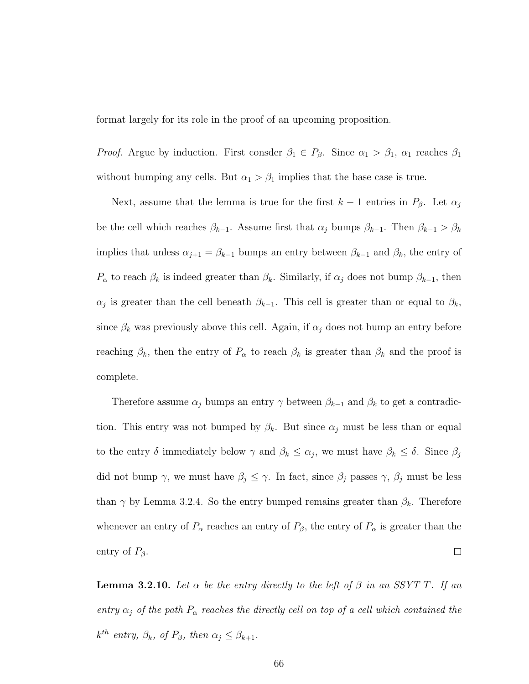format largely for its role in the proof of an upcoming proposition.

*Proof.* Argue by induction. First consder  $\beta_1 \in P_\beta$ . Since  $\alpha_1 > \beta_1$ ,  $\alpha_1$  reaches  $\beta_1$ without bumping any cells. But  $\alpha_1 > \beta_1$  implies that the base case is true.

Next, assume that the lemma is true for the first  $k-1$  entries in  $P_\beta$ . Let  $\alpha_j$ be the cell which reaches  $\beta_{k-1}$ . Assume first that  $\alpha_j$  bumps  $\beta_{k-1}$ . Then  $\beta_{k-1} > \beta_k$ implies that unless  $\alpha_{j+1} = \beta_{k-1}$  bumps an entry between  $\beta_{k-1}$  and  $\beta_k$ , the entry of  $P_{\alpha}$  to reach  $\beta_k$  is indeed greater than  $\beta_k$ . Similarly, if  $\alpha_j$  does not bump  $\beta_{k-1}$ , then  $\alpha_j$  is greater than the cell beneath  $\beta_{k-1}$ . This cell is greater than or equal to  $\beta_k$ , since  $\beta_k$  was previously above this cell. Again, if  $\alpha_j$  does not bump an entry before reaching  $\beta_k$ , then the entry of  $P_\alpha$  to reach  $\beta_k$  is greater than  $\beta_k$  and the proof is complete.

Therefore assume  $\alpha_j$  bumps an entry  $\gamma$  between  $\beta_{k-1}$  and  $\beta_k$  to get a contradiction. This entry was not bumped by  $\beta_k$ . But since  $\alpha_j$  must be less than or equal to the entry  $\delta$  immediately below  $\gamma$  and  $\beta_k \leq \alpha_j$ , we must have  $\beta_k \leq \delta$ . Since  $\beta_j$ did not bump  $\gamma$ , we must have  $\beta_j \leq \gamma$ . In fact, since  $\beta_j$  passes  $\gamma$ ,  $\beta_j$  must be less than  $\gamma$  by Lemma 3.2.4. So the entry bumped remains greater than  $\beta_k$ . Therefore whenever an entry of  $P_{\alpha}$  reaches an entry of  $P_{\beta}$ , the entry of  $P_{\alpha}$  is greater than the  $\Box$ entry of  $P_{\beta}$ .

**Lemma 3.2.10.** Let  $\alpha$  be the entry directly to the left of  $\beta$  in an SSYT T. If an entry  $\alpha_j$  of the path  $P_\alpha$  reaches the directly cell on top of a cell which contained the  $k^{th}$  entry,  $\beta_k$ , of  $P_\beta$ , then  $\alpha_j \leq \beta_{k+1}$ .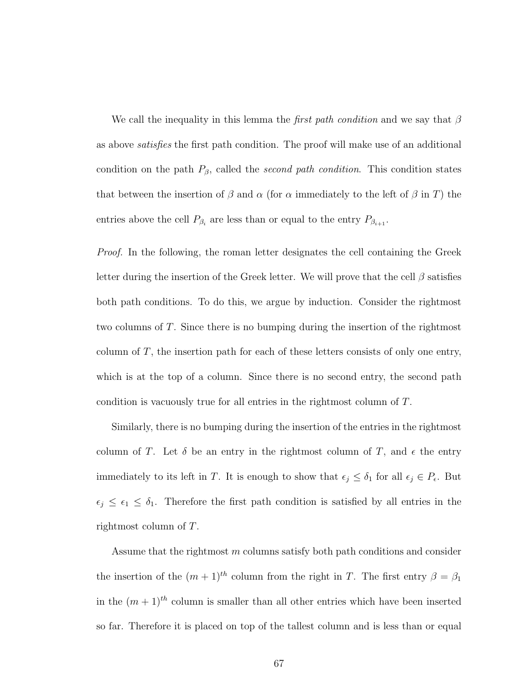We call the inequality in this lemma the *first path condition* and we say that  $\beta$ as above satisfies the first path condition. The proof will make use of an additional condition on the path  $P_{\beta}$ , called the *second path condition*. This condition states that between the insertion of  $\beta$  and  $\alpha$  (for  $\alpha$  immediately to the left of  $\beta$  in T) the entries above the cell  $P_{\beta_i}$  are less than or equal to the entry  $P_{\beta_{i+1}}$ .

Proof. In the following, the roman letter designates the cell containing the Greek letter during the insertion of the Greek letter. We will prove that the cell  $\beta$  satisfies both path conditions. To do this, we argue by induction. Consider the rightmost two columns of T. Since there is no bumping during the insertion of the rightmost column of  $T$ , the insertion path for each of these letters consists of only one entry, which is at the top of a column. Since there is no second entry, the second path condition is vacuously true for all entries in the rightmost column of T.

Similarly, there is no bumping during the insertion of the entries in the rightmost column of T. Let  $\delta$  be an entry in the rightmost column of T, and  $\epsilon$  the entry immediately to its left in T. It is enough to show that  $\epsilon_j \leq \delta_1$  for all  $\epsilon_j \in P_{\epsilon}$ . But  $\epsilon_j \leq \epsilon_1 \leq \delta_1$ . Therefore the first path condition is satisfied by all entries in the rightmost column of T.

Assume that the rightmost m columns satisfy both path conditions and consider the insertion of the  $(m + 1)<sup>th</sup>$  column from the right in T. The first entry  $\beta = \beta_1$ in the  $(m + 1)<sup>th</sup>$  column is smaller than all other entries which have been inserted so far. Therefore it is placed on top of the tallest column and is less than or equal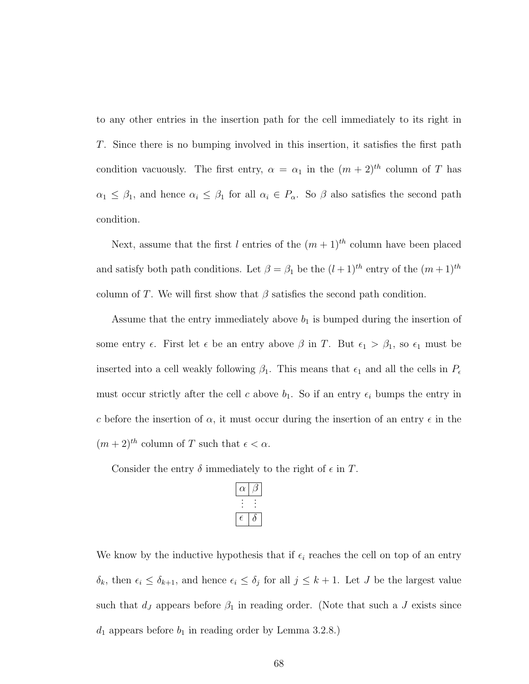to any other entries in the insertion path for the cell immediately to its right in T. Since there is no bumping involved in this insertion, it satisfies the first path condition vacuously. The first entry,  $\alpha = \alpha_1$  in the  $(m + 2)^{th}$  column of T has  $\alpha_1 \leq \beta_1$ , and hence  $\alpha_i \leq \beta_1$  for all  $\alpha_i \in P_\alpha$ . So  $\beta$  also satisfies the second path condition.

Next, assume that the first l entries of the  $(m+1)^{th}$  column have been placed and satisfy both path conditions. Let  $\beta = \beta_1$  be the  $(l+1)^{th}$  entry of the  $(m+1)^{th}$ column of T. We will first show that  $\beta$  satisfies the second path condition.

Assume that the entry immediately above  $b_1$  is bumped during the insertion of some entry  $\epsilon$ . First let  $\epsilon$  be an entry above  $\beta$  in T. But  $\epsilon_1 > \beta_1$ , so  $\epsilon_1$  must be inserted into a cell weakly following  $\beta_1$ . This means that  $\epsilon_1$  and all the cells in  $P_{\epsilon}$ must occur strictly after the cell c above  $b_1$ . So if an entry  $\epsilon_i$  bumps the entry in c before the insertion of  $\alpha$ , it must occur during the insertion of an entry  $\epsilon$  in the  $(m+2)^{th}$  column of T such that  $\epsilon < \alpha$ .

Consider the entry  $\delta$  immediately to the right of  $\epsilon$  in T.

| ν        |          |
|----------|----------|
| $\vdots$ | $\vdots$ |
| Ξ        |          |

We know by the inductive hypothesis that if  $\epsilon_i$  reaches the cell on top of an entry  $\delta_k$ , then  $\epsilon_i \leq \delta_{k+1}$ , and hence  $\epsilon_i \leq \delta_j$  for all  $j \leq k+1$ . Let J be the largest value such that  $d_J$  appears before  $\beta_1$  in reading order. (Note that such a J exists since  $d_1$  appears before  $b_1$  in reading order by Lemma 3.2.8.)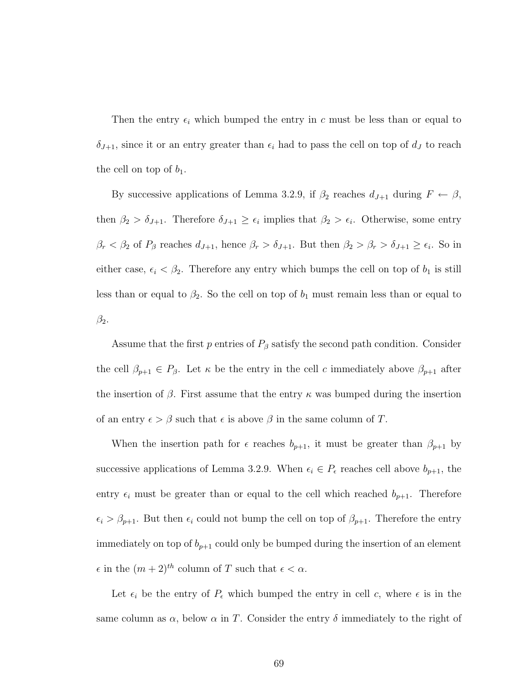Then the entry  $\epsilon_i$  which bumped the entry in c must be less than or equal to  $\delta_{J+1}$ , since it or an entry greater than  $\epsilon_i$  had to pass the cell on top of  $d_J$  to reach the cell on top of  $b_1$ .

By successive applications of Lemma 3.2.9, if  $\beta_2$  reaches  $d_{J+1}$  during  $F \leftarrow \beta$ , then  $\beta_2 > \delta_{J+1}$ . Therefore  $\delta_{J+1} \geq \epsilon_i$  implies that  $\beta_2 > \epsilon_i$ . Otherwise, some entry  $\beta_r < \beta_2$  of  $P_\beta$  reaches  $d_{J+1}$ , hence  $\beta_r > \delta_{J+1}$ . But then  $\beta_2 > \beta_r > \delta_{J+1} \ge \epsilon_i$ . So in either case,  $\epsilon_i < \beta_2$ . Therefore any entry which bumps the cell on top of  $b_1$  is still less than or equal to  $\beta_2$ . So the cell on top of  $b_1$  must remain less than or equal to  $\beta_2$ .

Assume that the first p entries of  $P_\beta$  satisfy the second path condition. Consider the cell  $\beta_{p+1} \in P_{\beta}$ . Let  $\kappa$  be the entry in the cell c immediately above  $\beta_{p+1}$  after the insertion of  $\beta$ . First assume that the entry  $\kappa$  was bumped during the insertion of an entry  $\epsilon > \beta$  such that  $\epsilon$  is above  $\beta$  in the same column of T.

When the insertion path for  $\epsilon$  reaches  $b_{p+1}$ , it must be greater than  $\beta_{p+1}$  by successive applications of Lemma 3.2.9. When  $\epsilon_i \in P_{\epsilon}$  reaches cell above  $b_{p+1}$ , the entry  $\epsilon_i$  must be greater than or equal to the cell which reached  $b_{p+1}$ . Therefore  $\epsilon_i > \beta_{p+1}$ . But then  $\epsilon_i$  could not bump the cell on top of  $\beta_{p+1}$ . Therefore the entry immediately on top of  $b_{p+1}$  could only be bumped during the insertion of an element  $\epsilon$  in the  $(m + 2)^{th}$  column of T such that  $\epsilon < \alpha$ .

Let  $\epsilon_i$  be the entry of  $P_{\epsilon}$  which bumped the entry in cell c, where  $\epsilon$  is in the same column as  $\alpha$ , below  $\alpha$  in T. Consider the entry  $\delta$  immediately to the right of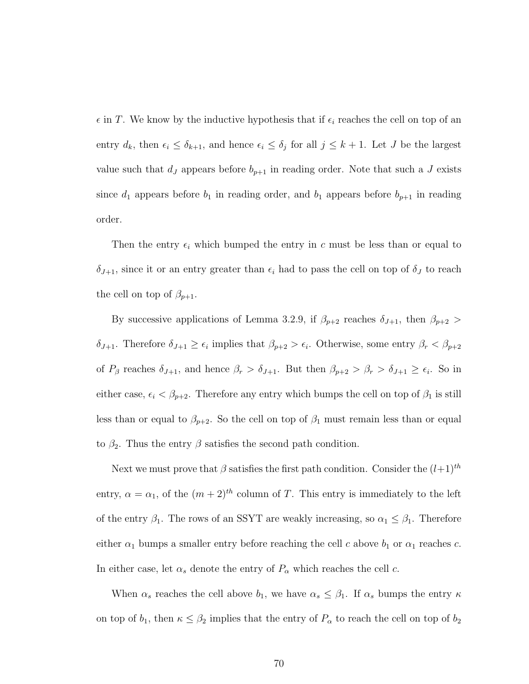$\epsilon$  in T. We know by the inductive hypothesis that if  $\epsilon_i$  reaches the cell on top of an entry  $d_k$ , then  $\epsilon_i \leq \delta_{k+1}$ , and hence  $\epsilon_i \leq \delta_j$  for all  $j \leq k+1$ . Let J be the largest value such that  $d_J$  appears before  $b_{p+1}$  in reading order. Note that such a J exists since  $d_1$  appears before  $b_1$  in reading order, and  $b_1$  appears before  $b_{p+1}$  in reading order.

Then the entry  $\epsilon_i$  which bumped the entry in c must be less than or equal to  $\delta_{J+1}$ , since it or an entry greater than  $\epsilon_i$  had to pass the cell on top of  $\delta_J$  to reach the cell on top of  $\beta_{p+1}$ .

By successive applications of Lemma 3.2.9, if  $\beta_{p+2}$  reaches  $\delta_{J+1}$ , then  $\beta_{p+2}$  $\delta_{J+1}$ . Therefore  $\delta_{J+1} \geq \epsilon_i$  implies that  $\beta_{p+2} > \epsilon_i$ . Otherwise, some entry  $\beta_r < \beta_{p+2}$ of  $P_\beta$  reaches  $\delta_{J+1}$ , and hence  $\beta_r > \delta_{J+1}$ . But then  $\beta_{p+2} > \beta_r > \delta_{J+1} \ge \epsilon_i$ . So in either case,  $\epsilon_i < \beta_{p+2}$ . Therefore any entry which bumps the cell on top of  $\beta_1$  is still less than or equal to  $\beta_{p+2}$ . So the cell on top of  $\beta_1$  must remain less than or equal to  $\beta_2$ . Thus the entry  $\beta$  satisfies the second path condition.

Next we must prove that  $\beta$  satisfies the first path condition. Consider the  $(l+1)^{th}$ entry,  $\alpha = \alpha_1$ , of the  $(m+2)^{th}$  column of T. This entry is immediately to the left of the entry  $\beta_1$ . The rows of an SSYT are weakly increasing, so  $\alpha_1 \leq \beta_1$ . Therefore either  $\alpha_1$  bumps a smaller entry before reaching the cell c above  $b_1$  or  $\alpha_1$  reaches c. In either case, let  $\alpha_s$  denote the entry of  $P_\alpha$  which reaches the cell c.

When  $\alpha_s$  reaches the cell above  $b_1$ , we have  $\alpha_s \leq \beta_1$ . If  $\alpha_s$  bumps the entry  $\kappa$ on top of  $b_1$ , then  $\kappa \leq \beta_2$  implies that the entry of  $P_\alpha$  to reach the cell on top of  $b_2$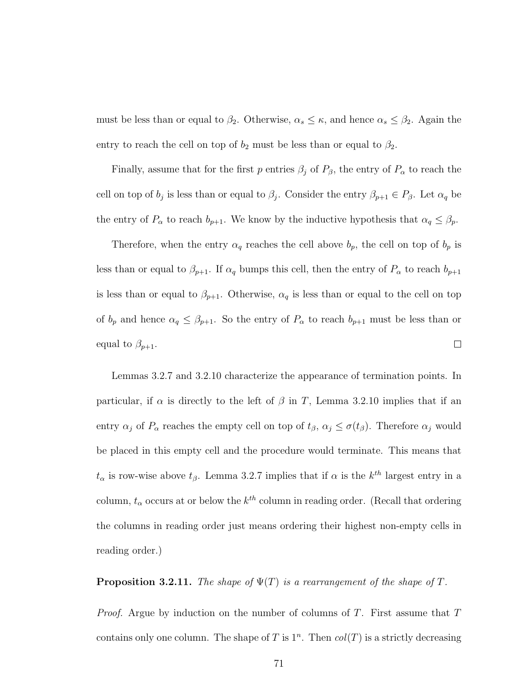must be less than or equal to  $\beta_2$ . Otherwise,  $\alpha_s \leq \kappa$ , and hence  $\alpha_s \leq \beta_2$ . Again the entry to reach the cell on top of  $b_2$  must be less than or equal to  $\beta_2$ .

Finally, assume that for the first p entries  $\beta_j$  of  $P_\beta$ , the entry of  $P_\alpha$  to reach the cell on top of  $b_j$  is less than or equal to  $\beta_j$ . Consider the entry  $\beta_{p+1} \in P_{\beta}$ . Let  $\alpha_q$  be the entry of  $P_{\alpha}$  to reach  $b_{p+1}$ . We know by the inductive hypothesis that  $\alpha_q \leq \beta_p$ .

Therefore, when the entry  $\alpha_q$  reaches the cell above  $b_p$ , the cell on top of  $b_p$  is less than or equal to  $\beta_{p+1}$ . If  $\alpha_q$  bumps this cell, then the entry of  $P_\alpha$  to reach  $b_{p+1}$ is less than or equal to  $\beta_{p+1}$ . Otherwise,  $\alpha_q$  is less than or equal to the cell on top of  $b_p$  and hence  $\alpha_q \leq \beta_{p+1}$ . So the entry of  $P_\alpha$  to reach  $b_{p+1}$  must be less than or equal to  $\beta_{p+1}$ .  $\Box$ 

Lemmas 3.2.7 and 3.2.10 characterize the appearance of termination points. In particular, if  $\alpha$  is directly to the left of  $\beta$  in T, Lemma 3.2.10 implies that if an entry  $\alpha_j$  of  $P_\alpha$  reaches the empty cell on top of  $t_\beta$ ,  $\alpha_j \leq \sigma(t_\beta)$ . Therefore  $\alpha_j$  would be placed in this empty cell and the procedure would terminate. This means that  $t_{\alpha}$  is row-wise above  $t_{\beta}$ . Lemma 3.2.7 implies that if  $\alpha$  is the  $k^{th}$  largest entry in a column,  $t_{\alpha}$  occurs at or below the  $k^{th}$  column in reading order. (Recall that ordering the columns in reading order just means ordering their highest non-empty cells in reading order.)

**Proposition 3.2.11.** The shape of  $\Psi(T)$  is a rearrangement of the shape of T.

*Proof.* Argue by induction on the number of columns of T. First assume that  $T$ contains only one column. The shape of T is  $1<sup>n</sup>$ . Then  $col(T)$  is a strictly decreasing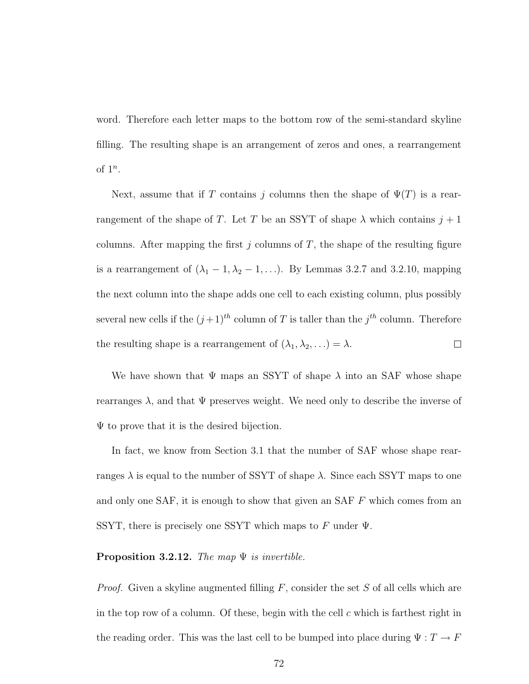word. Therefore each letter maps to the bottom row of the semi-standard skyline filling. The resulting shape is an arrangement of zeros and ones, a rearrangement of  $1^n$ .

Next, assume that if T contains j columns then the shape of  $\Psi(T)$  is a rearrangement of the shape of T. Let T be an SSYT of shape  $\lambda$  which contains  $j + 1$ columns. After mapping the first  $j$  columns of  $T$ , the shape of the resulting figure is a rearrangement of  $(\lambda_1 - 1, \lambda_2 - 1, \ldots)$ . By Lemmas 3.2.7 and 3.2.10, mapping the next column into the shape adds one cell to each existing column, plus possibly several new cells if the  $(j+1)^{th}$  column of T is taller than the  $j^{th}$  column. Therefore the resulting shape is a rearrangement of  $(\lambda_1, \lambda_2, \ldots) = \lambda$ .  $\Box$ 

We have shown that  $\Psi$  maps an SSYT of shape  $\lambda$  into an SAF whose shape rearranges  $\lambda$ , and that  $\Psi$  preserves weight. We need only to describe the inverse of  $\Psi$  to prove that it is the desired bijection.

In fact, we know from Section 3.1 that the number of SAF whose shape rearranges  $\lambda$  is equal to the number of SSYT of shape  $\lambda$ . Since each SSYT maps to one and only one  $SAF$ , it is enough to show that given an  $SAF F$  which comes from an SSYT, there is precisely one SSYT which maps to F under  $\Psi$ .

#### **Proposition 3.2.12.** The map  $\Psi$  is invertible.

*Proof.* Given a skyline augmented filling  $F$ , consider the set  $S$  of all cells which are in the top row of a column. Of these, begin with the cell  $c$  which is farthest right in the reading order. This was the last cell to be bumped into place during  $\Psi:T\rightarrow F$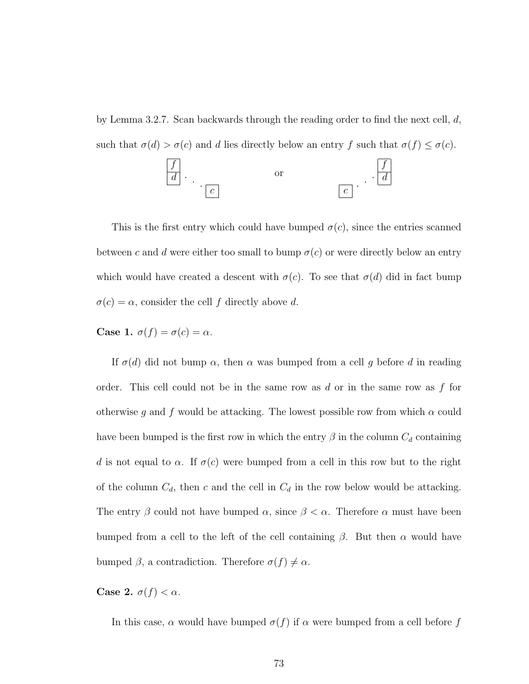by Lemma 3.2.7. Scan backwards through the reading order to find the next cell,  $d$ , such that  $\sigma(d) > \sigma(c)$  and d lies directly below an entry f such that  $\sigma(f) \leq \sigma(c)$ .



This is the first entry which could have bumped  $\sigma(c)$ , since the entries scanned between c and d were either too small to bump  $\sigma(c)$  or were directly below an entry which would have created a descent with  $\sigma(c)$ . To see that  $\sigma(d)$  did in fact bump  $\sigma(c) = \alpha$ , consider the cell f directly above d.

Case 1.  $\sigma(f) = \sigma(c) = \alpha$ .

If  $\sigma(d)$  did not bump  $\alpha$ , then  $\alpha$  was bumped from a cell g before d in reading order. This cell could not be in the same row as  $d$  or in the same row as  $f$  for otherwise g and f would be attacking. The lowest possible row from which  $\alpha$  could have been bumped is the first row in which the entry  $\beta$  in the column  $C_d$  containing d is not equal to  $\alpha$ . If  $\sigma(c)$  were bumped from a cell in this row but to the right of the column  $C_d$ , then c and the cell in  $C_d$  in the row below would be attacking. The entry  $\beta$  could not have bumped  $\alpha$ , since  $\beta < \alpha$ . Therefore  $\alpha$  must have been bumped from a cell to the left of the cell containing  $\beta$ . But then  $\alpha$  would have bumped  $\beta$ , a contradiction. Therefore  $\sigma(f) \neq \alpha$ .

Case 2.  $\sigma(f) < \alpha$ .

In this case,  $\alpha$  would have bumped  $\sigma(f)$  if  $\alpha$  were bumped from a cell before f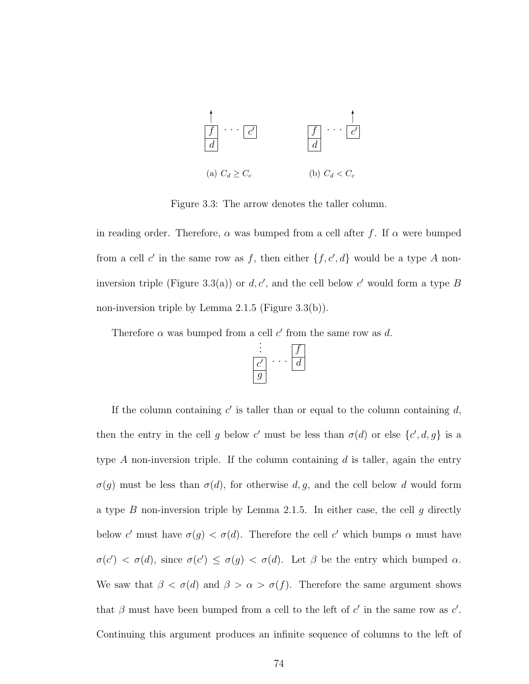

Figure 3.3: The arrow denotes the taller column.

in reading order. Therefore,  $\alpha$  was bumped from a cell after f. If  $\alpha$  were bumped from a cell c' in the same row as f, then either  $\{f, c, d\}$  would be a type A noninversion triple (Figure 3.3(a)) or  $d, c'$ , and the cell below c' would form a type B non-inversion triple by Lemma 2.1.5 (Figure 3.3(b)).

Therefore  $\alpha$  was bumped from a cell c' from the same row as d.



If the column containing  $c'$  is taller than or equal to the column containing  $d$ , then the entry in the cell g below c' must be less than  $\sigma(d)$  or else  $\{c', d, g\}$  is a type A non-inversion triple. If the column containing  $d$  is taller, again the entry  $\sigma(g)$  must be less than  $\sigma(d)$ , for otherwise d, g, and the cell below d would form a type B non-inversion triple by Lemma 2.1.5. In either case, the cell  $g$  directly below c' must have  $\sigma(g) < \sigma(d)$ . Therefore the cell c' which bumps  $\alpha$  must have  $\sigma(c') < \sigma(d)$ , since  $\sigma(c') \leq \sigma(g) < \sigma(d)$ . Let  $\beta$  be the entry which bumped  $\alpha$ . We saw that  $\beta < \sigma(d)$  and  $\beta > \alpha > \sigma(f)$ . Therefore the same argument shows that  $\beta$  must have been bumped from a cell to the left of c' in the same row as c'. Continuing this argument produces an infinite sequence of columns to the left of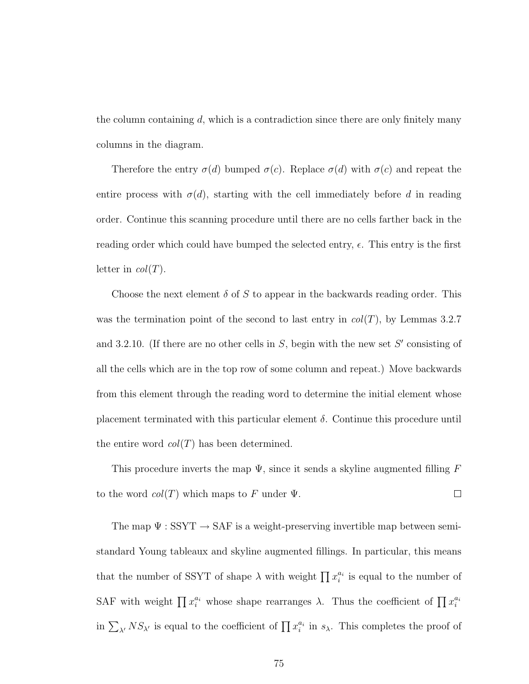the column containing  $d$ , which is a contradiction since there are only finitely many columns in the diagram.

Therefore the entry  $\sigma(d)$  bumped  $\sigma(c)$ . Replace  $\sigma(d)$  with  $\sigma(c)$  and repeat the entire process with  $\sigma(d)$ , starting with the cell immediately before d in reading order. Continue this scanning procedure until there are no cells farther back in the reading order which could have bumped the selected entry,  $\epsilon$ . This entry is the first letter in  $col(T)$ .

Choose the next element  $\delta$  of S to appear in the backwards reading order. This was the termination point of the second to last entry in  $col(T)$ , by Lemmas 3.2.7 and 3.2.10. (If there are no other cells in  $S$ , begin with the new set  $S'$  consisting of all the cells which are in the top row of some column and repeat.) Move backwards from this element through the reading word to determine the initial element whose placement terminated with this particular element  $\delta$ . Continue this procedure until the entire word  $col(T)$  has been determined.

This procedure inverts the map  $\Psi$ , since it sends a skyline augmented filling F to the word  $col(T)$  which maps to F under  $\Psi$ .  $\Box$ 

The map  $\Psi:\mathrm{SSYT}\to\mathrm{SAF}$  is a weight-preserving invertible map between semistandard Young tableaux and skyline augmented fillings. In particular, this means that the number of SSYT of shape  $\lambda$  with weight  $\prod x_i^{a_i}$  is equal to the number of SAF with weight  $\prod x_i^{a_i}$  whose shape rearranges  $\lambda$ . Thus the coefficient of  $\prod x_i^{a_i}$ in  $\sum_{\lambda'} NS_{\lambda'}$  is equal to the coefficient of  $\prod x_i^{a_i}$  in  $s_\lambda$ . This completes the proof of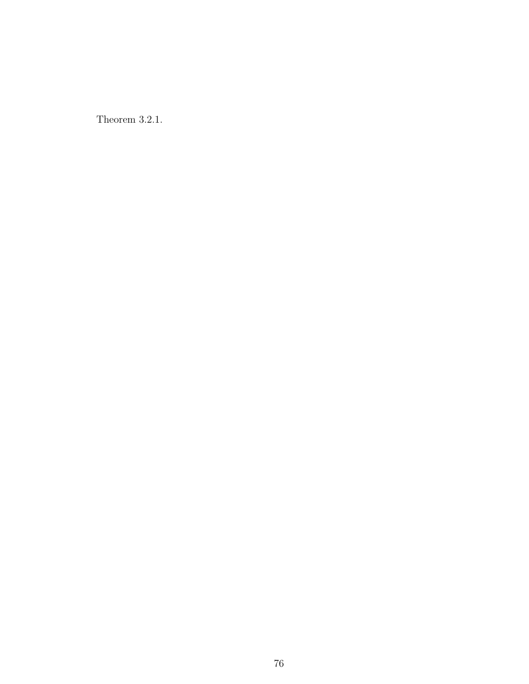Theorem 3.2.1.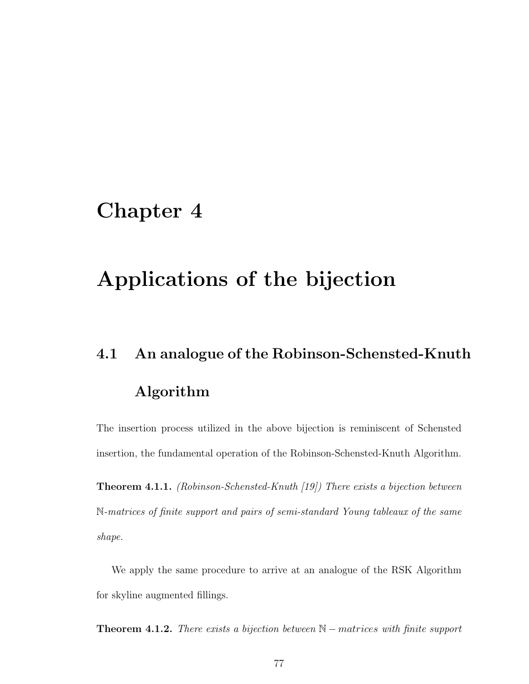## Chapter 4

## Applications of the bijection

# 4.1 An analogue of the Robinson-Schensted-Knuth Algorithm

The insertion process utilized in the above bijection is reminiscent of Schensted insertion, the fundamental operation of the Robinson-Schensted-Knuth Algorithm.

Theorem 4.1.1. (Robinson-Schensted-Knuth [19]) There exists a bijection between N-matrices of finite support and pairs of semi-standard Young tableaux of the same shape.

We apply the same procedure to arrive at an analogue of the RSK Algorithm for skyline augmented fillings.

**Theorem 4.1.2.** There exists a bijection between  $\mathbb{N}-$  matrices with finite support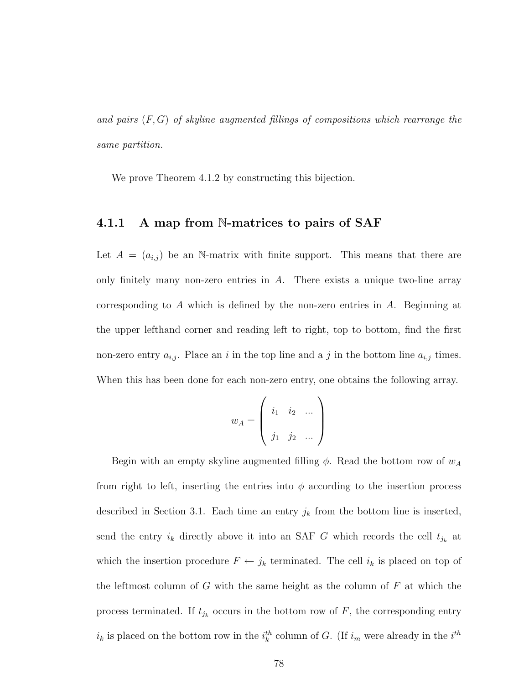and pairs  $(F, G)$  of skyline augmented fillings of compositions which rearrange the same partition.

We prove Theorem 4.1.2 by constructing this bijection.

#### 4.1.1 A map from N-matrices to pairs of SAF

Let  $A = (a_{i,j})$  be an N-matrix with finite support. This means that there are only finitely many non-zero entries in  $A$ . There exists a unique two-line array corresponding to A which is defined by the non-zero entries in  $A$ . Beginning at the upper lefthand corner and reading left to right, top to bottom, find the first non-zero entry  $a_{i,j}$ . Place an i in the top line and a j in the bottom line  $a_{i,j}$  times. When this has been done for each non-zero entry, one obtains the following array.

$$
w_A = \left( \begin{array}{ccc} i_1 & i_2 & \dots \\ j_1 & j_2 & \dots \end{array} \right)
$$

Begin with an empty skyline augmented filling  $\phi$ . Read the bottom row of  $w_A$ from right to left, inserting the entries into  $\phi$  according to the insertion process described in Section 3.1. Each time an entry  $j_k$  from the bottom line is inserted, send the entry  $i_k$  directly above it into an SAF G which records the cell  $t_{j_k}$  at which the insertion procedure  $F \leftarrow j_k$  terminated. The cell  $i_k$  is placed on top of the leftmost column of G with the same height as the column of  $F$  at which the process terminated. If  $t_{j_k}$  occurs in the bottom row of  $F$ , the corresponding entry  $i_k$  is placed on the bottom row in the  $i_k^{th}$  column of G. (If  $i_m$  were already in the  $i^{th}$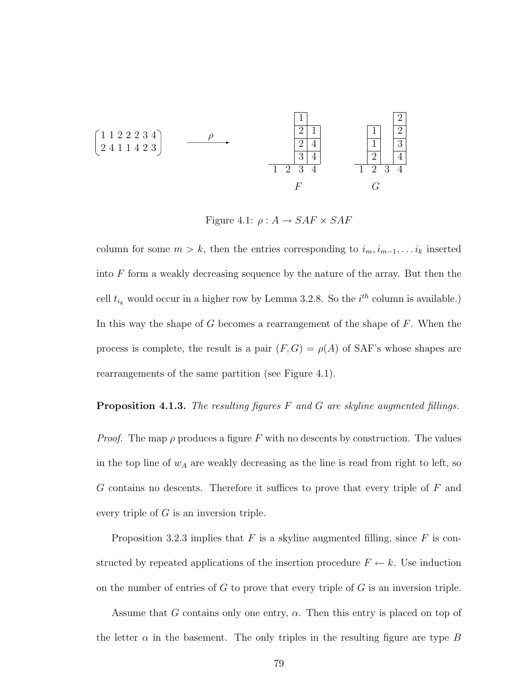2 4 1 1 4 2 3 1 1 2 2 2 3 4 ρ 1 2 3 4 3 4 2 4 2 1 1 F 1 2 3 4 2 4 1 3 1 2 2 G

Figure 4.1:  $\rho: A \rightarrow SAF \times SAF$ 

column for some  $m > k$ , then the entries corresponding to  $i_m, i_{m-1}, \ldots i_k$  inserted into  $F$  form a weakly decreasing sequence by the nature of the array. But then the cell  $t_{i_k}$  would occur in a higher row by Lemma 3.2.8. So the  $i^{th}$  column is available.) In this way the shape of  $G$  becomes a rearrangement of the shape of  $F$ . When the process is complete, the result is a pair  $(F, G) = \rho(A)$  of SAF's whose shapes are rearrangements of the same partition (see Figure 4.1).

#### **Proposition 4.1.3.** The resulting figures  $F$  and  $G$  are skyline augmented fillings.

*Proof.* The map  $\rho$  produces a figure F with no descents by construction. The values in the top line of  $w_A$  are weakly decreasing as the line is read from right to left, so G contains no descents. Therefore it suffices to prove that every triple of F and every triple of  $G$  is an inversion triple.

Proposition 3.2.3 implies that  $F$  is a skyline augmented filling, since  $F$  is constructed by repeated applications of the insertion procedure  $F \leftarrow k$ . Use induction on the number of entries of  $G$  to prove that every triple of  $G$  is an inversion triple.

Assume that G contains only one entry,  $\alpha$ . Then this entry is placed on top of the letter  $\alpha$  in the basement. The only triples in the resulting figure are type B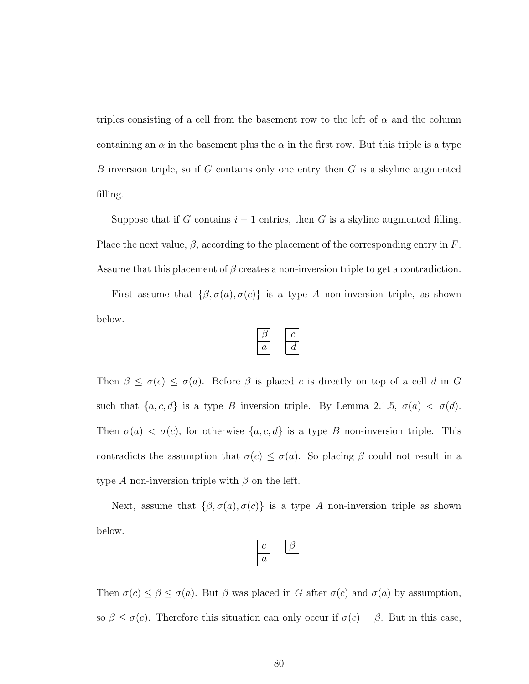triples consisting of a cell from the basement row to the left of  $\alpha$  and the column containing an  $\alpha$  in the basement plus the  $\alpha$  in the first row. But this triple is a type B inversion triple, so if  $G$  contains only one entry then  $G$  is a skyline augmented filling.

Suppose that if G contains  $i-1$  entries, then G is a skyline augmented filling. Place the next value,  $\beta$ , according to the placement of the corresponding entry in F. Assume that this placement of  $\beta$  creates a non-inversion triple to get a contradiction.

First assume that  $\{\beta, \sigma(a), \sigma(c)\}\$ is a type A non-inversion triple, as shown below.

Then  $\beta \leq \sigma(c) \leq \sigma(a)$ . Before  $\beta$  is placed c is directly on top of a cell d in G such that  $\{a, c, d\}$  is a type B inversion triple. By Lemma 2.1.5,  $\sigma(a) < \sigma(d)$ . Then  $\sigma(a) < \sigma(c)$ , for otherwise  $\{a, c, d\}$  is a type B non-inversion triple. This contradicts the assumption that  $\sigma(c) \leq \sigma(a)$ . So placing  $\beta$  could not result in a type A non-inversion triple with  $\beta$  on the left.

Next, assume that  $\{\beta, \sigma(a), \sigma(c)\}\$ is a type A non-inversion triple as shown below.

Then  $\sigma(c) \leq \beta \leq \sigma(a)$ . But  $\beta$  was placed in G after  $\sigma(c)$  and  $\sigma(a)$  by assumption, so  $\beta \leq \sigma(c)$ . Therefore this situation can only occur if  $\sigma(c) = \beta$ . But in this case,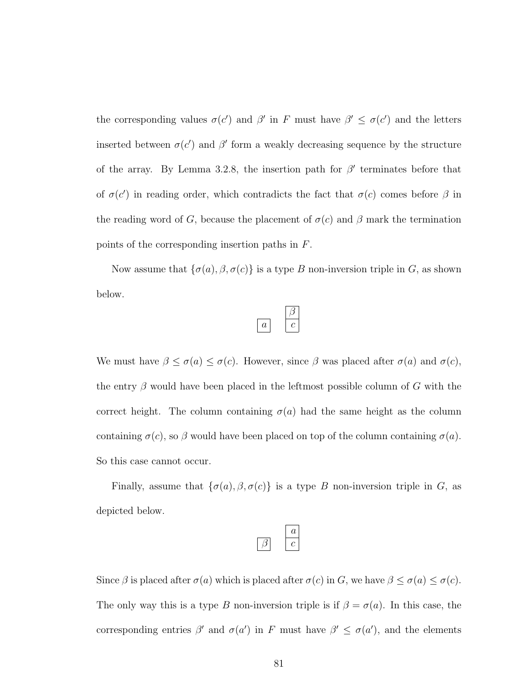the corresponding values  $\sigma(c')$  and  $\beta'$  in F must have  $\beta' \leq \sigma(c')$  and the letters inserted between  $\sigma(c')$  and  $\beta'$  form a weakly decreasing sequence by the structure of the array. By Lemma 3.2.8, the insertion path for  $\beta'$  terminates before that of  $\sigma(c')$  in reading order, which contradicts the fact that  $\sigma(c)$  comes before  $\beta$  in the reading word of G, because the placement of  $\sigma(c)$  and  $\beta$  mark the termination points of the corresponding insertion paths in F.

Now assume that  $\{\sigma(a), \beta, \sigma(c)\}\$ is a type B non-inversion triple in G, as shown below.

We must have  $\beta \leq \sigma(a) \leq \sigma(c)$ . However, since  $\beta$  was placed after  $\sigma(a)$  and  $\sigma(c)$ , the entry  $\beta$  would have been placed in the leftmost possible column of G with the correct height. The column containing  $\sigma(a)$  had the same height as the column containing  $\sigma(c)$ , so  $\beta$  would have been placed on top of the column containing  $\sigma(a)$ . So this case cannot occur.

Finally, assume that  $\{\sigma(a), \beta, \sigma(c)\}\$ is a type B non-inversion triple in G, as depicted below.

Since  $\beta$  is placed after  $\sigma(a)$  which is placed after  $\sigma(c)$  in G, we have  $\beta \leq \sigma(a) \leq \sigma(c)$ . The only way this is a type B non-inversion triple is if  $\beta = \sigma(a)$ . In this case, the corresponding entries  $\beta'$  and  $\sigma(a')$  in F must have  $\beta' \leq \sigma(a')$ , and the elements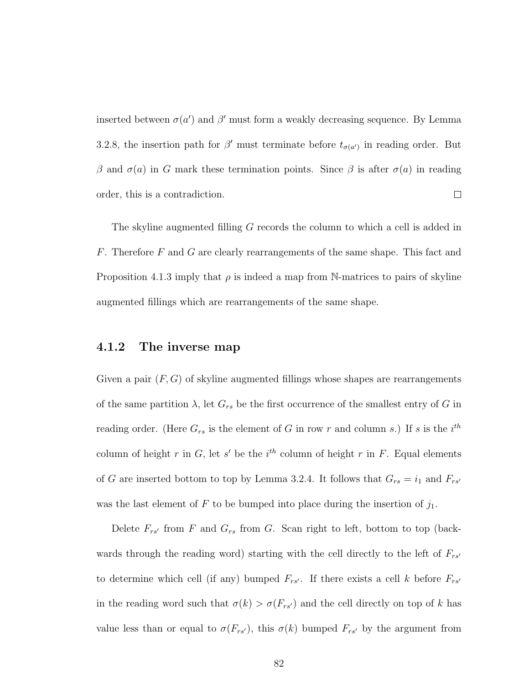inserted between  $\sigma(a')$  and  $\beta'$  must form a weakly decreasing sequence. By Lemma 3.2.8, the insertion path for  $\beta'$  must terminate before  $t_{\sigma(a')}$  in reading order. But β and  $\sigma$ (a) in G mark these termination points. Since β is after  $\sigma$ (a) in reading  $\Box$ order, this is a contradiction.

The skyline augmented filling G records the column to which a cell is added in F. Therefore F and G are clearly rearrangements of the same shape. This fact and Proposition 4.1.3 imply that  $\rho$  is indeed a map from N-matrices to pairs of skyline augmented fillings which are rearrangements of the same shape.

#### 4.1.2 The inverse map

Given a pair  $(F, G)$  of skyline augmented fillings whose shapes are rearrangements of the same partition  $\lambda$ , let  $G_{rs}$  be the first occurrence of the smallest entry of G in reading order. (Here  $G_{rs}$  is the element of G in row r and column s.) If s is the  $i^{th}$ column of height r in G, let s' be the  $i^{th}$  column of height r in F. Equal elements of G are inserted bottom to top by Lemma 3.2.4. It follows that  $G_{rs} = i_1$  and  $F_{rs'}$ was the last element of F to be bumped into place during the insertion of  $j_1$ .

Delete  $F_{rs'}$  from F and  $G_{rs}$  from G. Scan right to left, bottom to top (backwards through the reading word) starting with the cell directly to the left of  $F_{rs'}$ to determine which cell (if any) bumped  $F_{rs}$ . If there exists a cell k before  $F_{rs}$ in the reading word such that  $\sigma(k) > \sigma(F_{rs})$  and the cell directly on top of k has value less than or equal to  $\sigma(F_{rs})$ , this  $\sigma(k)$  bumped  $F_{rs'}$  by the argument from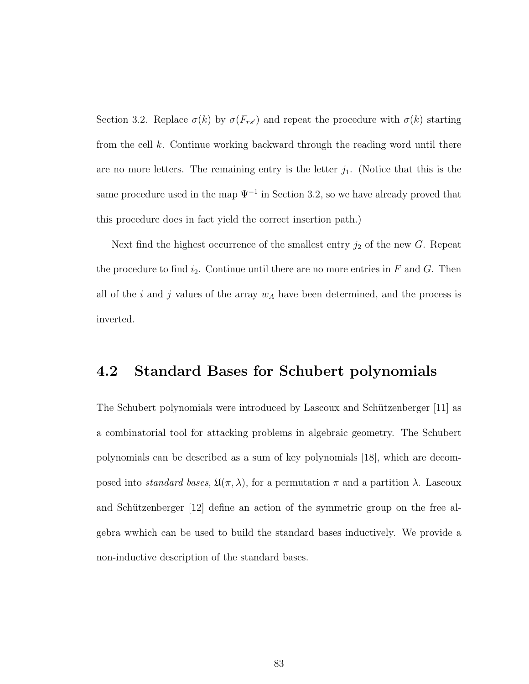Section 3.2. Replace  $\sigma(k)$  by  $\sigma(F_{rs})$  and repeat the procedure with  $\sigma(k)$  starting from the cell k. Continue working backward through the reading word until there are no more letters. The remaining entry is the letter  $j_1$ . (Notice that this is the same procedure used in the map  $\Psi^{-1}$  in Section 3.2, so we have already proved that this procedure does in fact yield the correct insertion path.)

Next find the highest occurrence of the smallest entry  $j_2$  of the new  $G$ . Repeat the procedure to find  $i_2$ . Continue until there are no more entries in F and G. Then all of the  $i$  and  $j$  values of the array  $w_A$  have been determined, and the process is inverted.

### 4.2 Standard Bases for Schubert polynomials

The Schubert polynomials were introduced by Lascoux and Schützenberger [11] as a combinatorial tool for attacking problems in algebraic geometry. The Schubert polynomials can be described as a sum of key polynomials [18], which are decomposed into *standard bases*,  $\mathfrak{U}(\pi,\lambda)$ , for a permutation  $\pi$  and a partition  $\lambda$ . Lascoux and Schützenberger [12] define an action of the symmetric group on the free algebra wwhich can be used to build the standard bases inductively. We provide a non-inductive description of the standard bases.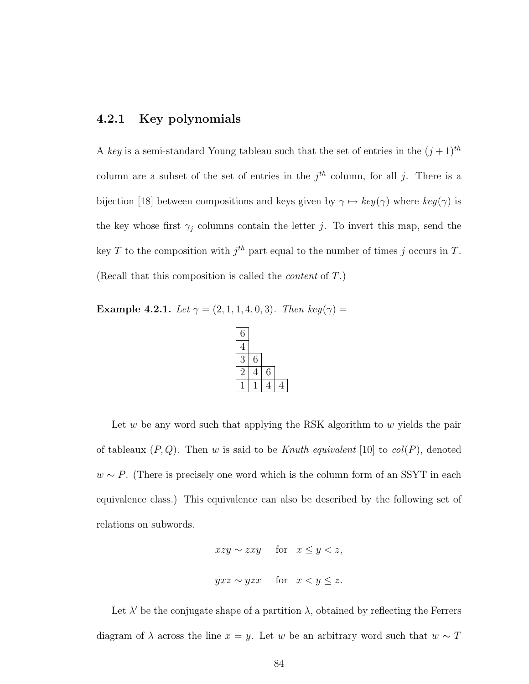#### 4.2.1 Key polynomials

A key is a semi-standard Young tableau such that the set of entries in the  $(j + 1)<sup>th</sup>$ column are a subset of the set of entries in the  $j<sup>th</sup>$  column, for all j. There is a bijection [18] between compositions and keys given by  $\gamma \mapsto \mathit{key}(\gamma)$  where  $\mathit{key}(\gamma)$  is the key whose first  $\gamma_j$  columns contain the letter j. To invert this map, send the key T to the composition with  $j^{th}$  part equal to the number of times j occurs in T. (Recall that this composition is called the content of T.)

Example 4.2.1. Let  $\gamma = (2, 1, 1, 4, 0, 3)$ . Then key( $\gamma$ ) =

| 6 |   |   |  |
|---|---|---|--|
| 4 |   |   |  |
| 3 | 6 |   |  |
| 2 | 4 | 6 |  |
|   |   |   |  |

Let  $w$  be any word such that applying the RSK algorithm to  $w$  yields the pair of tableaux  $(P,Q)$ . Then w is said to be Knuth equivalent [10] to col(P), denoted  $w \sim P$ . (There is precisely one word which is the column form of an SSYT in each equivalence class.) This equivalence can also be described by the following set of relations on subwords.

$$
xzy \sim zxy \quad \text{for} \quad x \le y < z,
$$
\n
$$
yxz \sim yzx \quad \text{for} \quad x < y \le z.
$$

Let  $\lambda'$  be the conjugate shape of a partition  $\lambda$ , obtained by reflecting the Ferrers diagram of  $\lambda$  across the line  $x = y$ . Let w be an arbitrary word such that  $w \sim T$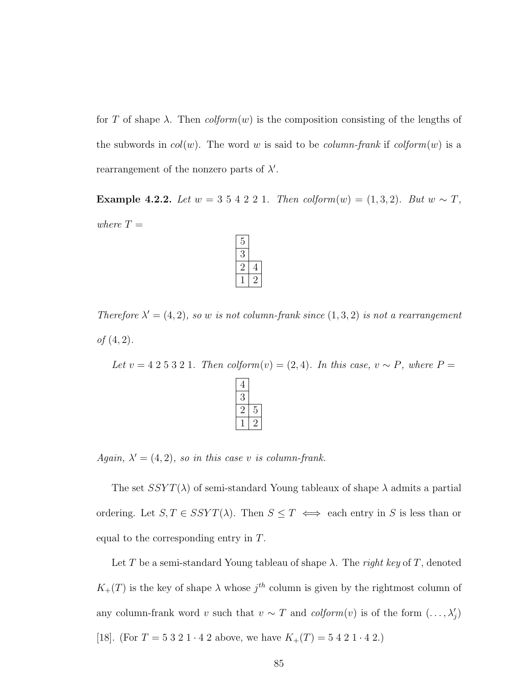for T of shape  $\lambda$ . Then  $colform(w)$  is the composition consisting of the lengths of the subwords in  $col(w)$ . The word w is said to be *column-frank* if  $colform(w)$  is a rearrangement of the nonzero parts of  $\lambda'$ .

Example 4.2.2. Let  $w = 3\ 5\ 4\ 2\ 2\ 1$ . Then  $\text{colform}(w) = (1, 3, 2)$ . But  $w \sim T$ , where  $T =$ 

Therefore  $\lambda' = (4, 2)$ , so w is not column-frank since  $(1, 3, 2)$  is not a rearrangement of  $(4, 2)$ .

Let  $v = 4\ 2\ 5\ 3\ 2\ 1$ . Then  $\text{colform}(v) = (2, 4)$ . In this case,  $v \sim P$ , where  $P =$  $\boxed{4}$ 

Again,  $\lambda' = (4, 2)$ , so in this case v is column-frank.

The set  $SSYT(\lambda)$  of semi-standard Young tableaux of shape  $\lambda$  admits a partial ordering. Let  $S, T \in SSYT(\lambda)$ . Then  $S \leq T \iff$  each entry in S is less than or equal to the corresponding entry in T.

Let T be a semi-standard Young tableau of shape  $\lambda$ . The right key of T, denoted  $K_{+}(T)$  is the key of shape  $\lambda$  whose  $j^{th}$  column is given by the rightmost column of any column-frank word v such that  $v \sim T$  and  $\text{colform}(v)$  is of the form  $(\ldots, \lambda'_j)$ [18]. (For  $T = 5\ 3\ 2\ 1\cdot 4\ 2$  above, we have  $K_{+}(T) = 5\ 4\ 2\ 1\cdot 4\ 2$ .)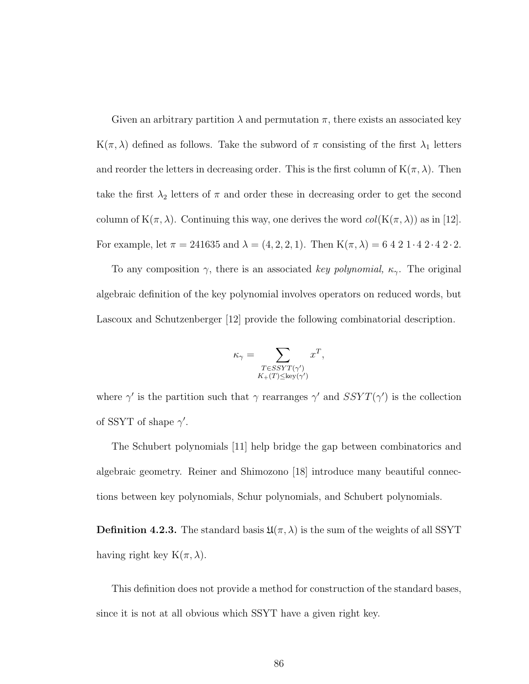Given an arbitrary partition  $\lambda$  and permutation  $\pi$ , there exists an associated key  $\mathrm{K}(\pi,\lambda)$  defined as follows. Take the subword of  $\pi$  consisting of the first  $\lambda_1$  letters and reorder the letters in decreasing order. This is the first column of  $K(\pi, \lambda)$ . Then take the first  $\lambda_2$  letters of  $\pi$  and order these in decreasing order to get the second column of  $K(\pi, \lambda)$ . Continuing this way, one derives the word  $col(K(\pi, \lambda))$  as in [12]. For example, let  $\pi = 241635$  and  $\lambda = (4, 2, 2, 1)$ . Then  $K(\pi, \lambda) = 6421 \cdot 42 \cdot 42 \cdot 2$ .

To any composition  $\gamma$ , there is an associated key polynomial,  $\kappa_{\gamma}$ . The original algebraic definition of the key polynomial involves operators on reduced words, but Lascoux and Schutzenberger [12] provide the following combinatorial description.

$$
\kappa_{\gamma} = \sum_{\substack{T \in SSYT(\gamma')\\K_{+}(T) \le \text{key}(\gamma')}} x^{T},
$$

where  $\gamma'$  is the partition such that  $\gamma$  rearranges  $\gamma'$  and  $SSYT(\gamma')$  is the collection of SSYT of shape  $\gamma'$ .

The Schubert polynomials [11] help bridge the gap between combinatorics and algebraic geometry. Reiner and Shimozono [18] introduce many beautiful connections between key polynomials, Schur polynomials, and Schubert polynomials.

**Definition 4.2.3.** The standard basis  $\mathfrak{U}(\pi,\lambda)$  is the sum of the weights of all SSYT having right key  $K(\pi, \lambda)$ .

This definition does not provide a method for construction of the standard bases, since it is not at all obvious which SSYT have a given right key.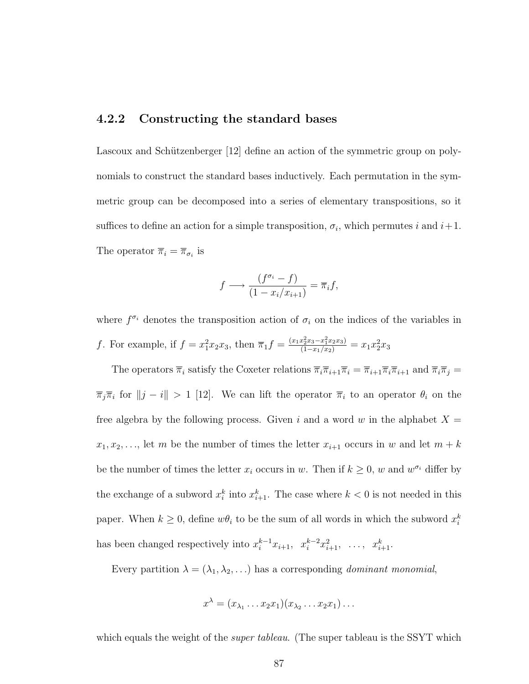#### 4.2.2 Constructing the standard bases

Lascoux and Schützenberger [12] define an action of the symmetric group on polynomials to construct the standard bases inductively. Each permutation in the symmetric group can be decomposed into a series of elementary transpositions, so it suffices to define an action for a simple transposition,  $\sigma_i$ , which permutes i and  $i+1$ . The operator  $\overline{\pi}_i = \overline{\pi}_{\sigma_i}$  is

$$
f \longrightarrow \frac{(f^{\sigma_i} - f)}{(1 - x_i/x_{i+1})} = \overline{\pi}_i f,
$$

where  $f^{\sigma_i}$  denotes the transposition action of  $\sigma_i$  on the indices of the variables in f. For example, if  $f = x_1^2 x_2 x_3$ , then  $\overline{\pi}_1 f = \frac{(x_1 x_2^2 x_3 - x_1^2 x_2 x_3)}{(1 - x_1/x_2)} = x_1 x_2^2 x_3$ 

The operators  $\overline{\pi}_i$  satisfy the Coxeter relations  $\overline{\pi}_i \overline{\pi}_{i+1} \overline{\pi}_i = \overline{\pi}_{i+1} \overline{\pi}_i \overline{\pi}_{i+1}$  and  $\overline{\pi}_i \overline{\pi}_j =$  $\overline{\pi}_j \overline{\pi}_i$  for  $||j - i|| > 1$  [12]. We can lift the operator  $\overline{\pi}_i$  to an operator  $\theta_i$  on the free algebra by the following process. Given i and a word w in the alphabet  $X =$  $x_1, x_2, \ldots$ , let m be the number of times the letter  $x_{i+1}$  occurs in w and let  $m + k$ be the number of times the letter  $x_i$  occurs in w. Then if  $k \geq 0$ , w and  $w^{\sigma_i}$  differ by the exchange of a subword  $x_i^k$  into  $x_{i+1}^k$ . The case where  $k < 0$  is not needed in this paper. When  $k \geq 0$ , define  $w\theta_i$  to be the sum of all words in which the subword  $x_i^k$ has been changed respectively into  $x_i^{k-1}x_{i+1}$ ,  $x_i^{k-2}x_{i+1}^2$ , ...,  $x_{i+1}^k$ .

Every partition  $\lambda = (\lambda_1, \lambda_2, \ldots)$  has a corresponding *dominant monomial*,

$$
x^{\lambda} = (x_{\lambda_1} \ldots x_2 x_1)(x_{\lambda_2} \ldots x_2 x_1) \ldots
$$

which equals the weight of the *super tableau*. (The super tableau is the SSYT which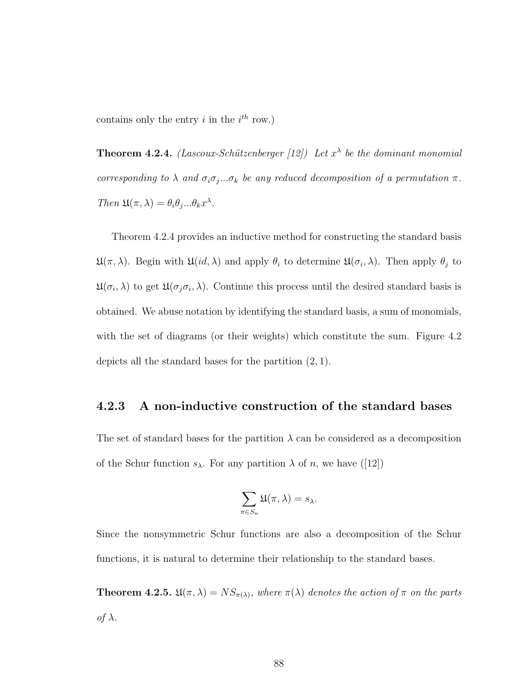contains only the entry  $i$  in the  $i^{th}$  row.)

**Theorem 4.2.4.** (Lascoux-Schützenberger [12]) Let  $x^{\lambda}$  be the dominant monomial corresponding to  $\lambda$  and  $\sigma_i \sigma_j \dots \sigma_k$  be any reduced decomposition of a permutation  $\pi$ . Then  $\mathfrak{U}(\pi,\lambda) = \theta_i \theta_j ... \theta_k x^{\lambda}$ .

Theorem 4.2.4 provides an inductive method for constructing the standard basis  $\mathfrak{U}(\pi,\lambda)$ . Begin with  $\mathfrak{U}(id,\lambda)$  and apply  $\theta_i$  to determine  $\mathfrak{U}(\sigma_i,\lambda)$ . Then apply  $\theta_j$  to  $\mathfrak{U}(\sigma_i, \lambda)$  to get  $\mathfrak{U}(\sigma_j \sigma_i, \lambda)$ . Continue this process until the desired standard basis is obtained. We abuse notation by identifying the standard basis, a sum of monomials, with the set of diagrams (or their weights) which constitute the sum. Figure 4.2 depicts all the standard bases for the partition (2, 1).

#### 4.2.3 A non-inductive construction of the standard bases

The set of standard bases for the partition  $\lambda$  can be considered as a decomposition of the Schur function  $s_{\lambda}$ . For any partition  $\lambda$  of n, we have ([12])

$$
\sum_{\pi \in S_n} \mathfrak{U}(\pi, \lambda) = s_\lambda.
$$

Since the nonsymmetric Schur functions are also a decomposition of the Schur functions, it is natural to determine their relationship to the standard bases.

**Theorem 4.2.5.**  $\mathfrak{U}(\pi,\lambda) = NS_{\pi(\lambda)}$ , where  $\pi(\lambda)$  denotes the action of  $\pi$  on the parts of  $λ$ .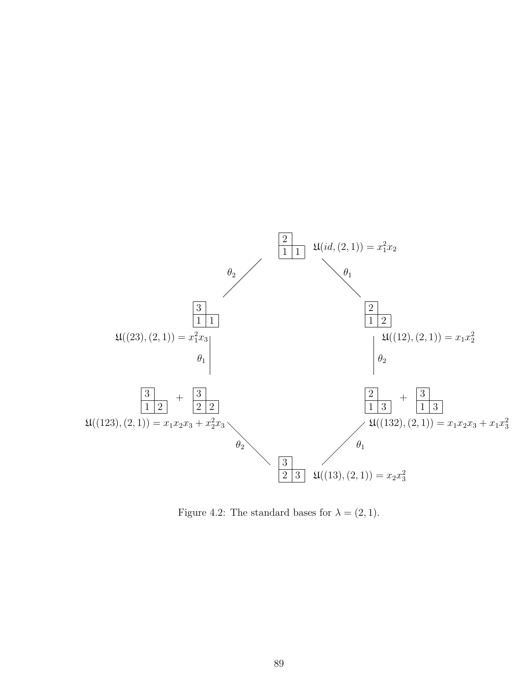

Figure 4.2: The standard bases for  $\lambda = (2, 1)$ .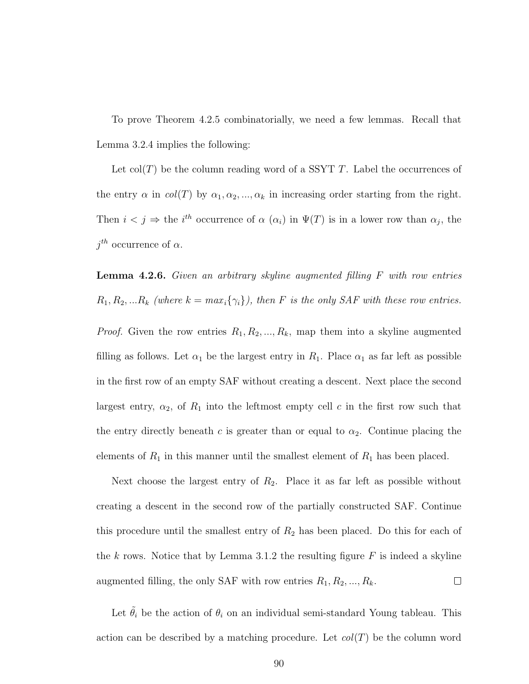To prove Theorem 4.2.5 combinatorially, we need a few lemmas. Recall that Lemma 3.2.4 implies the following:

Let  $col(T)$  be the column reading word of a SSYT T. Label the occurrences of the entry  $\alpha$  in  $col(T)$  by  $\alpha_1, \alpha_2, ..., \alpha_k$  in increasing order starting from the right. Then  $i < j \Rightarrow$  the i<sup>th</sup> occurrence of  $\alpha(\alpha_i)$  in  $\Psi(T)$  is in a lower row than  $\alpha_j$ , the  $j^{th}$  occurrence of  $\alpha$ .

**Lemma 4.2.6.** Given an arbitrary skyline augmented filling  $F$  with row entries  $R_1, R_2, ... R_k$  (where  $k = max_i \{\gamma_i\}$ ), then F is the only SAF with these row entries.

*Proof.* Given the row entries  $R_1, R_2, ..., R_k$ , map them into a skyline augmented filling as follows. Let  $\alpha_1$  be the largest entry in  $R_1$ . Place  $\alpha_1$  as far left as possible in the first row of an empty SAF without creating a descent. Next place the second largest entry,  $\alpha_2$ , of  $R_1$  into the leftmost empty cell c in the first row such that the entry directly beneath c is greater than or equal to  $\alpha_2$ . Continue placing the elements of  $R_1$  in this manner until the smallest element of  $R_1$  has been placed.

Next choose the largest entry of  $R_2$ . Place it as far left as possible without creating a descent in the second row of the partially constructed SAF. Continue this procedure until the smallest entry of  $R_2$  has been placed. Do this for each of the k rows. Notice that by Lemma 3.1.2 the resulting figure  $F$  is indeed a skyline augmented filling, the only SAF with row entries  $R_1, R_2, ..., R_k$ .  $\Box$ 

Let  $\tilde{\theta}_i$  be the action of  $\theta_i$  on an individual semi-standard Young tableau. This action can be described by a matching procedure. Let  $col(T)$  be the column word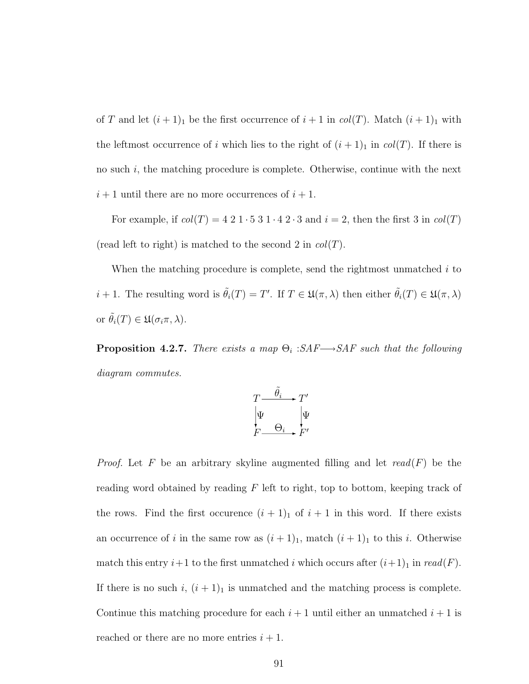of T and let  $(i + 1)<sub>1</sub>$  be the first occurrence of  $i + 1$  in  $col(T)$ . Match  $(i + 1)<sub>1</sub>$  with the leftmost occurrence of i which lies to the right of  $(i + 1)<sub>1</sub>$  in  $col(T)$ . If there is no such  $i$ , the matching procedure is complete. Otherwise, continue with the next  $i+1$  until there are no more occurrences of  $i+1$ .

For example, if  $col(T) = 4\ 2\ 1\cdot 5\ 3\ 1\cdot 4\ 2\cdot 3$  and  $i = 2$ , then the first 3 in  $col(T)$ (read left to right) is matched to the second 2 in  $col(T)$ .

When the matching procedure is complete, send the rightmost unmatched  $i$  to  $i+1$ . The resulting word is  $\tilde{\theta}_i(T) = T'$ . If  $T \in \mathfrak{U}(\pi, \lambda)$  then either  $\tilde{\theta}_i(T) \in \mathfrak{U}(\pi, \lambda)$ or  $\tilde{\theta}_i(T) \in \mathfrak{U}(\sigma_i \pi, \lambda)$ .

**Proposition 4.2.7.** There exists a map  $\Theta_i$  :  $SAF \rightarrow SAF$  such that the following diagram commutes.



*Proof.* Let F be an arbitrary skyline augmented filling and let  $read(F)$  be the reading word obtained by reading  $F$  left to right, top to bottom, keeping track of the rows. Find the first occurence  $(i + 1)<sub>1</sub>$  of  $i + 1$  in this word. If there exists an occurrence of i in the same row as  $(i + 1)<sub>1</sub>$ , match  $(i + 1)<sub>1</sub>$  to this i. Otherwise match this entry  $i+1$  to the first unmatched i which occurs after  $(i+1)_1$  in  $read(F)$ . If there is no such i,  $(i + 1)<sub>1</sub>$  is unmatched and the matching process is complete. Continue this matching procedure for each  $i + 1$  until either an unmatched  $i + 1$  is reached or there are no more entries  $i + 1$ .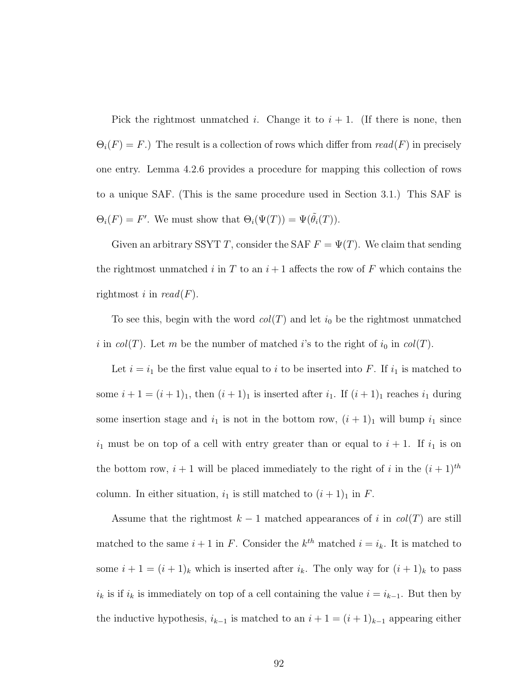Pick the rightmost unmatched i. Change it to  $i + 1$ . (If there is none, then  $\Theta_i(F) = F.$ ) The result is a collection of rows which differ from  $read(F)$  in precisely one entry. Lemma 4.2.6 provides a procedure for mapping this collection of rows to a unique SAF. (This is the same procedure used in Section 3.1.) This SAF is  $\Theta_i(F) = F'$ . We must show that  $\Theta_i(\Psi(T)) = \Psi(\tilde{\theta}_i(T))$ .

Given an arbitrary SSYT T, consider the SAF  $F = \Psi(T)$ . We claim that sending the rightmost unmatched i in T to an  $i+1$  affects the row of F which contains the rightmost i in  $read(F)$ .

To see this, begin with the word  $col(T)$  and let  $i_0$  be the rightmost unmatched i in  $col(T)$ . Let m be the number of matched i's to the right of  $i_0$  in  $col(T)$ .

Let  $i = i_1$  be the first value equal to i to be inserted into F. If  $i_1$  is matched to some  $i + 1 = (i + 1)<sub>1</sub>$ , then  $(i + 1)<sub>1</sub>$  is inserted after  $i<sub>1</sub>$ . If  $(i + 1)<sub>1</sub>$  reaches  $i<sub>1</sub>$  during some insertion stage and  $i_1$  is not in the bottom row,  $(i + 1)_1$  will bump  $i_1$  since  $i_1$  must be on top of a cell with entry greater than or equal to  $i + 1$ . If  $i_1$  is on the bottom row,  $i + 1$  will be placed immediately to the right of i in the  $(i + 1)<sup>th</sup>$ column. In either situation,  $i_1$  is still matched to  $(i + 1)_1$  in F.

Assume that the rightmost  $k-1$  matched appearances of i in  $col(T)$  are still matched to the same  $i+1$  in F. Consider the  $k^{th}$  matched  $i = i_k$ . It is matched to some  $i + 1 = (i + 1)_k$  which is inserted after  $i_k$ . The only way for  $(i + 1)_k$  to pass  $i_k$  is if  $i_k$  is immediately on top of a cell containing the value  $i = i_{k-1}$ . But then by the inductive hypothesis,  $i_{k-1}$  is matched to an  $i + 1 = (i + 1)_{k-1}$  appearing either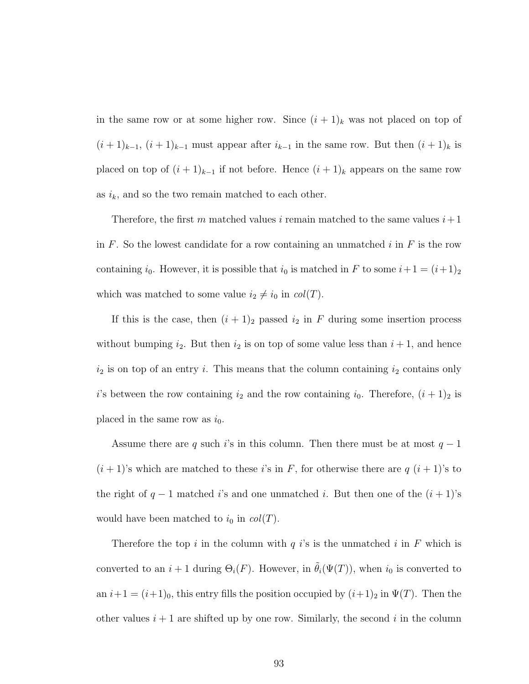in the same row or at some higher row. Since  $(i + 1)_k$  was not placed on top of  $(i+1)_{k-1}, (i+1)_{k-1}$  must appear after  $i_{k-1}$  in the same row. But then  $(i+1)_k$  is placed on top of  $(i + 1)_{k-1}$  if not before. Hence  $(i + 1)_k$  appears on the same row as  $i_k$ , and so the two remain matched to each other.

Therefore, the first m matched values i remain matched to the same values  $i+1$ in F. So the lowest candidate for a row containing an unmatched i in  $F$  is the row containing  $i_0$ . However, it is possible that  $i_0$  is matched in F to some  $i+1 = (i+1)_2$ which was matched to some value  $i_2 \neq i_0$  in  $col(T)$ .

If this is the case, then  $(i + 1)<sub>2</sub>$  passed  $i<sub>2</sub>$  in F during some insertion process without bumping  $i_2$ . But then  $i_2$  is on top of some value less than  $i + 1$ , and hence  $i_2$  is on top of an entry i. This means that the column containing  $i_2$  contains only i's between the row containing  $i_2$  and the row containing  $i_0$ . Therefore,  $(i + 1)_2$  is placed in the same row as  $i_0$ .

Assume there are q such i's in this column. Then there must be at most  $q-1$  $(i+1)$ 's which are matched to these i's in F, for otherwise there are  $q$   $(i+1)$ 's to the right of  $q-1$  matched i's and one unmatched i. But then one of the  $(i + 1)$ 's would have been matched to  $i_0$  in  $col(T)$ .

Therefore the top i in the column with q is is the unmatched i in F which is converted to an  $i + 1$  during  $\Theta_i(F)$ . However, in  $\tilde{\theta}_i(\Psi(T))$ , when  $i_0$  is converted to an  $i+1 = (i+1)_0$ , this entry fills the position occupied by  $(i+1)_2$  in  $\Psi(T)$ . Then the other values  $i + 1$  are shifted up by one row. Similarly, the second i in the column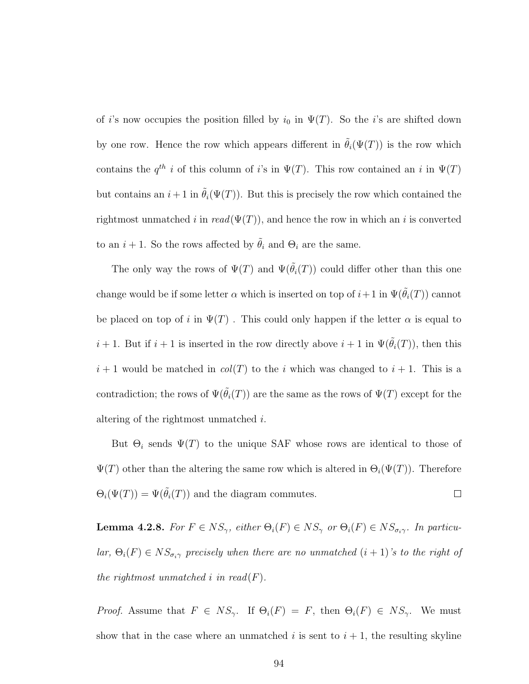of *i*'s now occupies the position filled by  $i_0$  in  $\Psi(T)$ . So the *i*'s are shifted down by one row. Hence the row which appears different in  $\tilde{\theta}_i(\Psi(T))$  is the row which contains the  $q^{th}$  i of this column of i's in  $\Psi(T)$ . This row contained an i in  $\Psi(T)$ but contains an  $i+1$  in  $\tilde{\theta}_i(\Psi(T))$ . But this is precisely the row which contained the rightmost unmatched i in  $read(\Psi(T))$ , and hence the row in which an i is converted to an  $i + 1$ . So the rows affected by  $\tilde{\theta}_i$  and  $\Theta_i$  are the same.

The only way the rows of  $\Psi(T)$  and  $\Psi(\hat{\theta}_i(T))$  could differ other than this one change would be if some letter  $\alpha$  which is inserted on top of  $i+1$  in  $\Psi(\tilde{\theta}_i(T))$  cannot be placed on top of i in  $\Psi(T)$ . This could only happen if the letter  $\alpha$  is equal to  $i + 1$ . But if  $i + 1$  is inserted in the row directly above  $i + 1$  in  $\Psi(\tilde{\theta}_i(T))$ , then this  $i+1$  would be matched in  $col(T)$  to the i which was changed to  $i+1$ . This is a contradiction; the rows of  $\Psi(\tilde{\theta}_i(T))$  are the same as the rows of  $\Psi(T)$  except for the altering of the rightmost unmatched i.

But  $\Theta_i$  sends  $\Psi(T)$  to the unique SAF whose rows are identical to those of  $\Psi(T)$  other than the altering the same row which is altered in  $\Theta_i(\Psi(T))$ . Therefore  $\Theta_i(\Psi(T)) = \Psi(\tilde{\theta}_i(T))$  and the diagram commutes.  $\Box$ 

**Lemma 4.2.8.** For  $F \in NS_{\gamma}$ , either  $\Theta_i(F) \in NS_{\gamma}$  or  $\Theta_i(F) \in NS_{\sigma_i \gamma}$ . In particular,  $\Theta_i(F) \in NS_{\sigma_i \gamma}$  precisely when there are no unmatched  $(i + 1)$ 's to the right of the rightmost unmatched i in read( $F$ ).

*Proof.* Assume that  $F \in NS_{\gamma}$ . If  $\Theta_i(F) = F$ , then  $\Theta_i(F) \in NS_{\gamma}$ . We must show that in the case where an unmatched  $i$  is sent to  $i + 1$ , the resulting skyline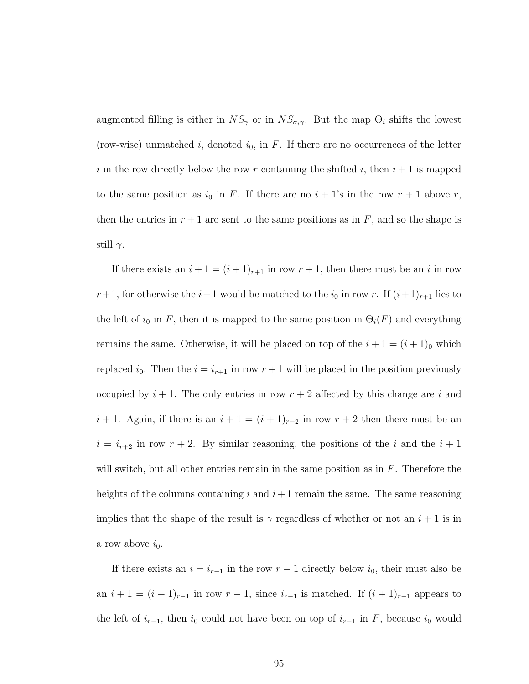augmented filling is either in  $NS_{\gamma}$  or in  $NS_{\sigma_i\gamma}$ . But the map  $\Theta_i$  shifts the lowest (row-wise) unmatched i, denoted  $i_0$ , in F. If there are no occurrences of the letter i in the row directly below the row r containing the shifted i, then  $i+1$  is mapped to the same position as  $i_0$  in F. If there are no  $i + 1$ 's in the row  $r + 1$  above r, then the entries in  $r + 1$  are sent to the same positions as in F, and so the shape is still  $\gamma$ .

If there exists an  $i + 1 = (i + 1)_{r+1}$  in row  $r + 1$ , then there must be an i in row  $r+1$ , for otherwise the  $i+1$  would be matched to the  $i_0$  in row r. If  $(i+1)_{r+1}$  lies to the left of  $i_0$  in F, then it is mapped to the same position in  $\Theta_i(F)$  and everything remains the same. Otherwise, it will be placed on top of the  $i + 1 = (i + 1)_0$  which replaced  $i_0$ . Then the  $i = i_{r+1}$  in row  $r+1$  will be placed in the position previously occupied by  $i + 1$ . The only entries in row  $r + 2$  affected by this change are i and  $i+1$ . Again, if there is an  $i+1=(i+1)_{r+2}$  in row  $r+2$  then there must be an  $i = i_{r+2}$  in row  $r + 2$ . By similar reasoning, the positions of the i and the  $i + 1$ will switch, but all other entries remain in the same position as in  $F$ . Therefore the heights of the columns containing i and  $i+1$  remain the same. The same reasoning implies that the shape of the result is  $\gamma$  regardless of whether or not an  $i+1$  is in a row above  $i_0$ .

If there exists an  $i = i_{r-1}$  in the row  $r - 1$  directly below  $i_0$ , their must also be an  $i + 1 = (i + 1)_{r-1}$  in row  $r - 1$ , since  $i_{r-1}$  is matched. If  $(i + 1)_{r-1}$  appears to the left of  $i_{r-1}$ , then  $i_0$  could not have been on top of  $i_{r-1}$  in F, because  $i_0$  would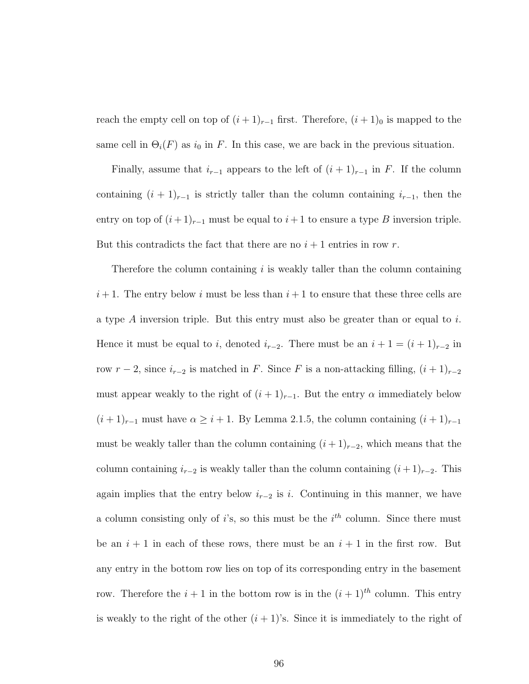reach the empty cell on top of  $(i + 1)_{r-1}$  first. Therefore,  $(i + 1)_0$  is mapped to the same cell in  $\Theta_i(F)$  as  $i_0$  in F. In this case, we are back in the previous situation.

Finally, assume that  $i_{r-1}$  appears to the left of  $(i + 1)_{r-1}$  in F. If the column containing  $(i + 1)_{r-1}$  is strictly taller than the column containing  $i_{r-1}$ , then the entry on top of  $(i+1)_{r-1}$  must be equal to  $i+1$  to ensure a type B inversion triple. But this contradicts the fact that there are no  $i + 1$  entries in row r.

Therefore the column containing  $i$  is weakly taller than the column containing  $i+1$ . The entry below i must be less than  $i+1$  to ensure that these three cells are a type  $A$  inversion triple. But this entry must also be greater than or equal to i. Hence it must be equal to *i*, denoted  $i_{r-2}$ . There must be an  $i + 1 = (i + 1)_{r-2}$  in row  $r - 2$ , since  $i_{r-2}$  is matched in F. Since F is a non-attacking filling,  $(i + 1)_{r-2}$ must appear weakly to the right of  $(i + 1)_{r-1}$ . But the entry  $\alpha$  immediately below  $(i+1)_{r-1}$  must have  $\alpha \geq i+1$ . By Lemma 2.1.5, the column containing  $(i+1)_{r-1}$ must be weakly taller than the column containing  $(i+1)_{r-2}$ , which means that the column containing  $i_{r-2}$  is weakly taller than the column containing  $(i+1)_{r-2}$ . This again implies that the entry below  $i_{r-2}$  is i. Continuing in this manner, we have a column consisting only of i's, so this must be the  $i<sup>th</sup>$  column. Since there must be an  $i + 1$  in each of these rows, there must be an  $i + 1$  in the first row. But any entry in the bottom row lies on top of its corresponding entry in the basement row. Therefore the  $i + 1$  in the bottom row is in the  $(i + 1)<sup>th</sup>$  column. This entry is weakly to the right of the other  $(i + 1)$ 's. Since it is immediately to the right of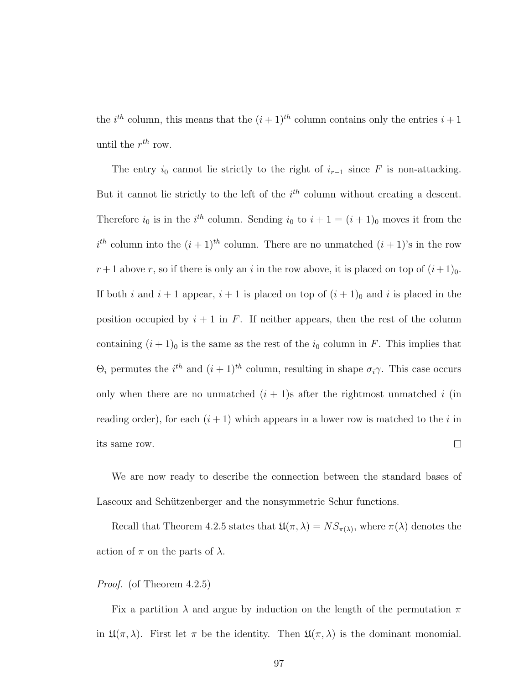the  $i^{th}$  column, this means that the  $(i+1)^{th}$  column contains only the entries  $i+1$ until the  $r^{th}$  row.

The entry  $i_0$  cannot lie strictly to the right of  $i_{r-1}$  since F is non-attacking. But it cannot lie strictly to the left of the  $i<sup>th</sup>$  column without creating a descent. Therefore  $i_0$  is in the  $i^{th}$  column. Sending  $i_0$  to  $i + 1 = (i + 1)_0$  moves it from the  $i<sup>th</sup>$  column into the  $(i + 1)<sup>th</sup>$  column. There are no unmatched  $(i + 1)<sup>s</sup>$  in the row  $r+1$  above r, so if there is only an i in the row above, it is placed on top of  $(i+1)_0$ . If both i and  $i + 1$  appear,  $i + 1$  is placed on top of  $(i + 1)<sub>0</sub>$  and i is placed in the position occupied by  $i + 1$  in F. If neither appears, then the rest of the column containing  $(i + 1)_0$  is the same as the rest of the  $i_0$  column in F. This implies that  $\Theta_i$  permutes the  $i^{th}$  and  $(i+1)^{th}$  column, resulting in shape  $\sigma_i \gamma$ . This case occurs only when there are no unmatched  $(i + 1)$ s after the rightmost unmatched i (in reading order), for each  $(i + 1)$  which appears in a lower row is matched to the i in its same row.  $\Box$ 

We are now ready to describe the connection between the standard bases of Lascoux and Schützenberger and the nonsymmetric Schur functions.

Recall that Theorem 4.2.5 states that  $\mathfrak{U}(\pi,\lambda) = NS_{\pi(\lambda)}$ , where  $\pi(\lambda)$  denotes the action of  $\pi$  on the parts of  $\lambda$ .

#### Proof. (of Theorem 4.2.5)

Fix a partition  $\lambda$  and argue by induction on the length of the permutation  $\pi$ in  $\mathfrak{U}(\pi,\lambda)$ . First let  $\pi$  be the identity. Then  $\mathfrak{U}(\pi,\lambda)$  is the dominant monomial.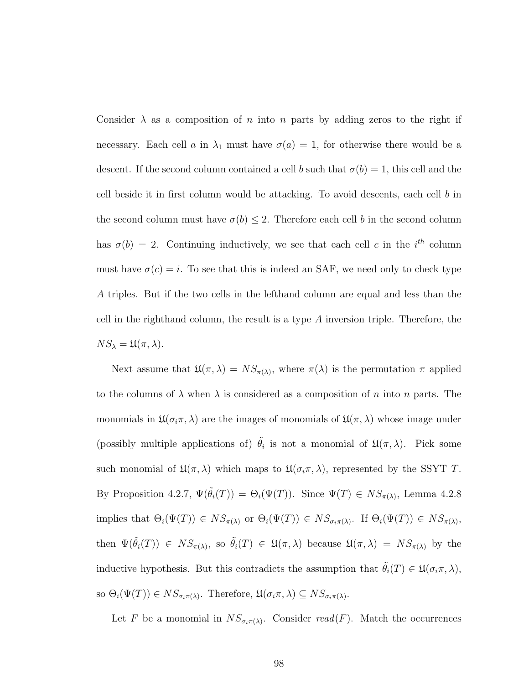Consider  $\lambda$  as a composition of n into n parts by adding zeros to the right if necessary. Each cell a in  $\lambda_1$  must have  $\sigma(a) = 1$ , for otherwise there would be a descent. If the second column contained a cell b such that  $\sigma(b) = 1$ , this cell and the cell beside it in first column would be attacking. To avoid descents, each cell b in the second column must have  $\sigma(b) \leq 2$ . Therefore each cell b in the second column has  $\sigma(b) = 2$ . Continuing inductively, we see that each cell c in the i<sup>th</sup> column must have  $\sigma(c) = i$ . To see that this is indeed an SAF, we need only to check type A triples. But if the two cells in the lefthand column are equal and less than the cell in the righthand column, the result is a type A inversion triple. Therefore, the  $NS_{\lambda} = \mathfrak{U}(\pi, \lambda).$ 

Next assume that  $\mathfrak{U}(\pi,\lambda) = NS_{\pi(\lambda)}$ , where  $\pi(\lambda)$  is the permutation  $\pi$  applied to the columns of  $\lambda$  when  $\lambda$  is considered as a composition of n into n parts. The monomials in  $\mathfrak{U}(\sigma_i\pi,\lambda)$  are the images of monomials of  $\mathfrak{U}(\pi,\lambda)$  whose image under (possibly multiple applications of)  $\tilde{\theta}_i$  is not a monomial of  $\mathfrak{U}(\pi,\lambda)$ . Pick some such monomial of  $\mathfrak{U}(\pi,\lambda)$  which maps to  $\mathfrak{U}(\sigma_i\pi,\lambda)$ , represented by the SSYT T. By Proposition 4.2.7,  $\Psi(\tilde{\theta}_i(T)) = \Theta_i(\Psi(T))$ . Since  $\Psi(T) \in NS_{\pi(\lambda)}$ , Lemma 4.2.8 implies that  $\Theta_i(\Psi(T)) \in NS_{\pi(\lambda)}$  or  $\Theta_i(\Psi(T)) \in NS_{\sigma_i \pi(\lambda)}$ . If  $\Theta_i(\Psi(T)) \in NS_{\pi(\lambda)}$ , then  $\Psi(\tilde{\theta}_i(T)) \in NS_{\pi(\lambda)},$  so  $\tilde{\theta}_i(T) \in \mathfrak{U}(\pi,\lambda)$  because  $\mathfrak{U}(\pi,\lambda) = NS_{\pi(\lambda)}$  by the inductive hypothesis. But this contradicts the assumption that  $\theta_i(T) \in \mathfrak{U}(\sigma_i \pi, \lambda)$ , so  $\Theta_i(\Psi(T)) \in NS_{\sigma_i \pi(\lambda)}$ . Therefore,  $\mathfrak{U}(\sigma_i \pi, \lambda) \subseteq NS_{\sigma_i \pi(\lambda)}$ .

Let F be a monomial in  $NS_{\sigma_i \pi(\lambda)}$ . Consider read(F). Match the occurrences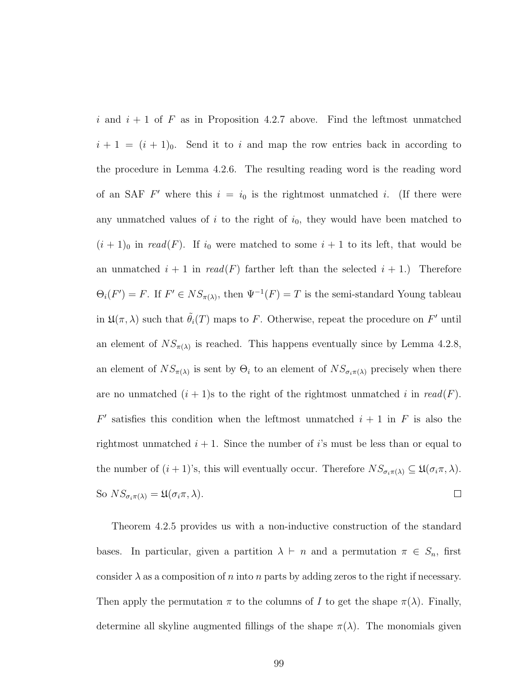i and  $i + 1$  of F as in Proposition 4.2.7 above. Find the leftmost unmatched  $i + 1 = (i + 1)<sub>0</sub>$ . Send it to i and map the row entries back in according to the procedure in Lemma 4.2.6. The resulting reading word is the reading word of an SAF  $F'$  where this  $i = i_0$  is the rightmost unmatched i. (If there were any unmatched values of  $i$  to the right of  $i_0$ , they would have been matched to  $(i + 1)$ <sub>0</sub> in read(F). If  $i_0$  were matched to some  $i + 1$  to its left, that would be an unmatched  $i + 1$  in  $read(F)$  farther left than the selected  $i + 1$ .) Therefore  $\Theta_i(F') = F$ . If  $F' \in NS_{\pi(\lambda)}$ , then  $\Psi^{-1}(F) = T$  is the semi-standard Young tableau in  $\mathfrak{U}(\pi,\lambda)$  such that  $\tilde{\theta}_i(T)$  maps to F. Otherwise, repeat the procedure on F' until an element of  $NS_{\pi(\lambda)}$  is reached. This happens eventually since by Lemma 4.2.8, an element of  $NS_{\pi(\lambda)}$  is sent by  $\Theta_i$  to an element of  $NS_{\sigma_i \pi(\lambda)}$  precisely when there are no unmatched  $(i + 1)$ s to the right of the rightmost unmatched i in read(F).  $F'$  satisfies this condition when the leftmost unmatched  $i + 1$  in F is also the rightmost unmatched  $i + 1$ . Since the number of is must be less than or equal to the number of  $(i + 1)$ 's, this will eventually occur. Therefore  $NS_{\sigma_i \pi(\lambda)} \subseteq \mathfrak{U}(\sigma_i \pi, \lambda)$ . So  $NS_{\sigma_i \pi(\lambda)} = \mathfrak{U}(\sigma_i \pi, \lambda).$  $\Box$ 

Theorem 4.2.5 provides us with a non-inductive construction of the standard bases. In particular, given a partition  $\lambda \vdash n$  and a permutation  $\pi \in S_n$ , first consider  $\lambda$  as a composition of n into n parts by adding zeros to the right if necessary. Then apply the permutation  $\pi$  to the columns of I to get the shape  $\pi(\lambda)$ . Finally, determine all skyline augmented fillings of the shape  $\pi(\lambda)$ . The monomials given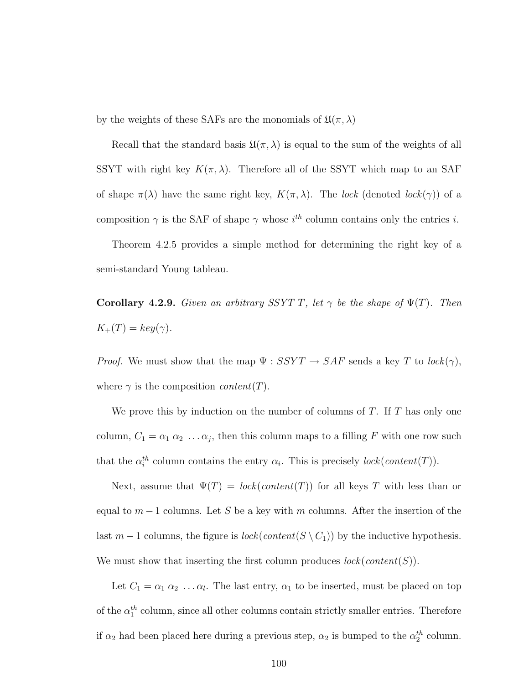by the weights of these SAFs are the monomials of  $\mathfrak{U}(\pi,\lambda)$ 

Recall that the standard basis  $\mathfrak{U}(\pi,\lambda)$  is equal to the sum of the weights of all SSYT with right key  $K(\pi, \lambda)$ . Therefore all of the SSYT which map to an SAF of shape  $\pi(\lambda)$  have the same right key,  $K(\pi, \lambda)$ . The lock (denoted lock( $\gamma$ )) of a composition  $\gamma$  is the SAF of shape  $\gamma$  whose  $i^{th}$  column contains only the entries i.

Theorem 4.2.5 provides a simple method for determining the right key of a semi-standard Young tableau.

**Corollary 4.2.9.** Given an arbitrary SSYT T, let  $\gamma$  be the shape of  $\Psi(T)$ . Then  $K_+(T) = key(\gamma).$ 

*Proof.* We must show that the map  $\Psi$  :  $SSYT \rightarrow SAF$  sends a key T to  $lock(\gamma)$ , where  $\gamma$  is the composition *content*(T).

We prove this by induction on the number of columns of  $T$ . If  $T$  has only one column,  $C_1 = \alpha_1 \alpha_2 \ldots \alpha_j$ , then this column maps to a filling F with one row such that the  $\alpha_i^{th}$  column contains the entry  $\alpha_i$ . This is precisely  $lock(content(T))$ .

Next, assume that  $\Psi(T) = \text{lock}(\text{content}(T))$  for all keys T with less than or equal to  $m-1$  columns. Let S be a key with m columns. After the insertion of the last  $m-1$  columns, the figure is  $lock(content(S \setminus C_1))$  by the inductive hypothesis. We must show that inserting the first column produces  $lock(content(S))$ .

Let  $C_1 = \alpha_1 \alpha_2 \ldots \alpha_l$ . The last entry,  $\alpha_1$  to be inserted, must be placed on top of the  $\alpha_1^{th}$  column, since all other columns contain strictly smaller entries. Therefore if  $\alpha_2$  had been placed here during a previous step,  $\alpha_2$  is bumped to the  $\alpha_2^{th}$  column.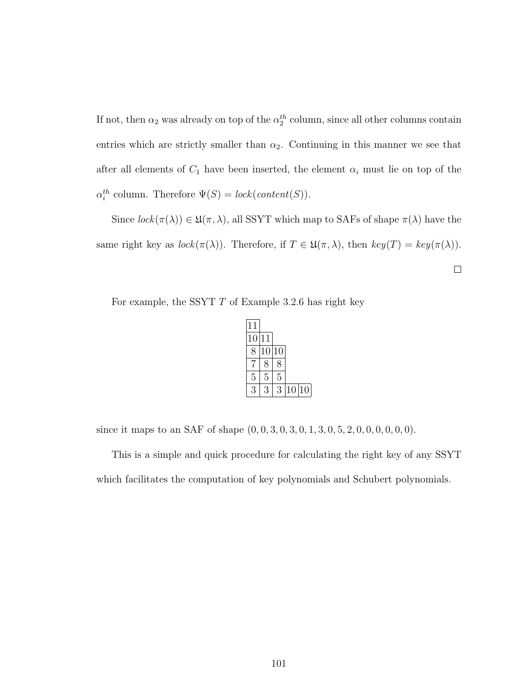If not, then  $\alpha_2$  was already on top of the  $\alpha_2^{th}$  column, since all other columns contain entries which are strictly smaller than  $\alpha_2$ . Continuing in this manner we see that after all elements of  $C_1$  have been inserted, the element  $\alpha_i$  must lie on top of the  $\alpha_i^{th}$  column. Therefore  $\Psi(S) = \text{lock}(\text{content}(S)).$ 

Since  $lock(\pi(\lambda)) \in \mathfrak{U}(\pi, \lambda)$ , all SSYT which map to SAFs of shape  $\pi(\lambda)$  have the same right key as  $lock(\pi(\lambda))$ . Therefore, if  $T \in \mathfrak{U}(\pi, \lambda)$ , then  $key(T) = key(\pi(\lambda))$ .

 $\Box$ 

For example, the SSYT  $T$  of Example 3.2.6 has right key

| 11 |             |    |       |  |
|----|-------------|----|-------|--|
| 10 | 11          |    |       |  |
| 8  | 10          | 10 |       |  |
|    | $8^{\circ}$ | 8  |       |  |
| 5  | 5           | 5  |       |  |
| 3  | З           | З  | 10 10 |  |

since it maps to an SAF of shape  $(0, 0, 3, 0, 3, 0, 1, 3, 0, 5, 2, 0, 0, 0, 0, 0, 0)$ .

This is a simple and quick procedure for calculating the right key of any SSYT which facilitates the computation of key polynomials and Schubert polynomials.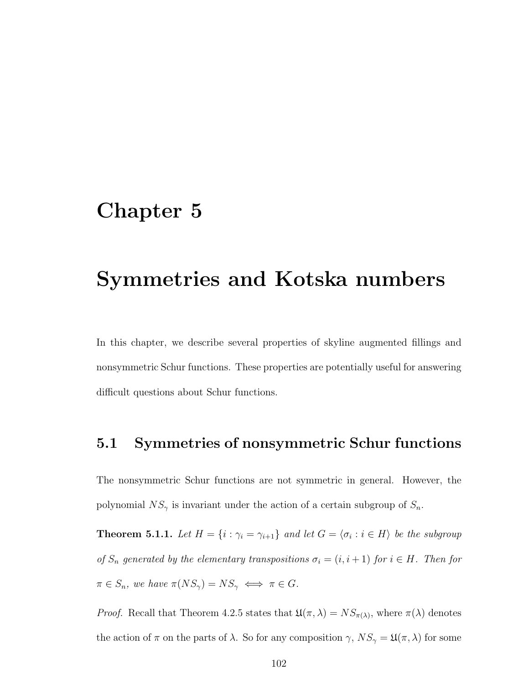#### Chapter 5

### Symmetries and Kotska numbers

In this chapter, we describe several properties of skyline augmented fillings and nonsymmetric Schur functions. These properties are potentially useful for answering difficult questions about Schur functions.

#### 5.1 Symmetries of nonsymmetric Schur functions

The nonsymmetric Schur functions are not symmetric in general. However, the polynomial  $NS_{\gamma}$  is invariant under the action of a certain subgroup of  $S_n$ .

**Theorem 5.1.1.** Let  $H = \{i : \gamma_i = \gamma_{i+1}\}\$ and let  $G = \langle \sigma_i : i \in H \rangle$  be the subgroup of  $S_n$  generated by the elementary transpositions  $\sigma_i = (i, i + 1)$  for  $i \in H$ . Then for  $\pi \in S_n$ , we have  $\pi(NS_{\gamma}) = NS_{\gamma} \iff \pi \in G$ .

*Proof.* Recall that Theorem 4.2.5 states that  $\mathfrak{U}(\pi,\lambda) = NS_{\pi(\lambda)}$ , where  $\pi(\lambda)$  denotes the action of  $\pi$  on the parts of  $\lambda$ . So for any composition  $\gamma$ ,  $NS_{\gamma} = \mathfrak{U}(\pi, \lambda)$  for some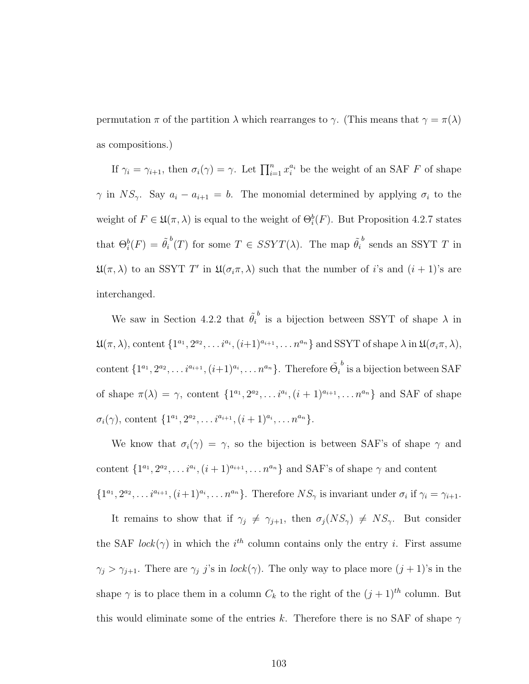permutation  $π$  of the partition  $λ$  which rearranges to  $γ$ . (This means that  $γ = π(λ)$ as compositions.)

If  $\gamma_i = \gamma_{i+1}$ , then  $\sigma_i(\gamma) = \gamma$ . Let  $\prod_{i=1}^n x_i^{a_i}$  be the weight of an SAF F of shape  $\gamma$  in  $NS_{\gamma}$ . Say  $a_i - a_{i+1} = b$ . The monomial determined by applying  $\sigma_i$  to the weight of  $F \in \mathfrak{U}(\pi, \lambda)$  is equal to the weight of  $\Theta_i^b(F)$ . But Proposition 4.2.7 states that  $\Theta_i^b(F) = \tilde{\theta}_i^b(T)$  for some  $T \in SSYT(\lambda)$ . The map  $\tilde{\theta}_i^b$  sends an SSYT T in  $\mathfrak{U}(\pi,\lambda)$  to an SSYT T' in  $\mathfrak{U}(\sigma_i\pi,\lambda)$  such that the number of i's and  $(i+1)$ 's are interchanged.

We saw in Section 4.2.2 that  $\tilde{\theta}_i^b$  is a bijection between SSYT of shape  $\lambda$  in  $\mathfrak{U}(\pi,\lambda)$ , content  $\{1^{a_1}, 2^{a_2}, \ldots i^{a_i}, (i+1)^{a_{i+1}}, \ldots n^{a_n}\}$  and SSYT of shape  $\lambda$  in  $\mathfrak{U}(\sigma_i\pi,\lambda)$ , content  $\{1^{a_1}, 2^{a_2}, \ldots i^{a_{i+1}}, (i+1)^{a_i}, \ldots n^{a_n}\}.$  Therefore  $\tilde{\Theta}_i$  $b$  is a bijection between SAF of shape  $\pi(\lambda) = \gamma$ , content  $\{1^{a_1}, 2^{a_2}, \ldots i^{a_i}, (i+1)^{a_{i+1}}, \ldots n^{a_n}\}$  and SAF of shape  $\sigma_i(\gamma)$ , content  $\{1^{a_1}, 2^{a_2}, \ldots i^{a_{i+1}}, (i+1)^{a_i}, \ldots n^{a_n}\}.$ 

We know that  $\sigma_i(\gamma) = \gamma$ , so the bijection is between SAF's of shape  $\gamma$  and content  $\{1^{a_1}, 2^{a_2}, \ldots i^{a_i}, (i+1)^{a_{i+1}}, \ldots n^{a_n}\}$  and SAF's of shape  $\gamma$  and content  $\{1^{a_1}, 2^{a_2}, \ldots i^{a_{i+1}}, (i+1)^{a_i}, \ldots n^{a_n}\}.$  Therefore  $NS_\gamma$  is invariant under  $\sigma_i$  if  $\gamma_i = \gamma_{i+1}$ .

It remains to show that if  $\gamma_j \neq \gamma_{j+1}$ , then  $\sigma_j(NS_\gamma) \neq NS_\gamma$ . But consider the SAF lock( $\gamma$ ) in which the i<sup>th</sup> column contains only the entry i. First assume  $\gamma_j > \gamma_{j+1}$ . There are  $\gamma_j$  j's in lock $(\gamma)$ . The only way to place more  $(j + 1)$ 's in the shape  $\gamma$  is to place them in a column  $C_k$  to the right of the  $(j + 1)^{th}$  column. But this would eliminate some of the entries k. Therefore there is no SAF of shape  $\gamma$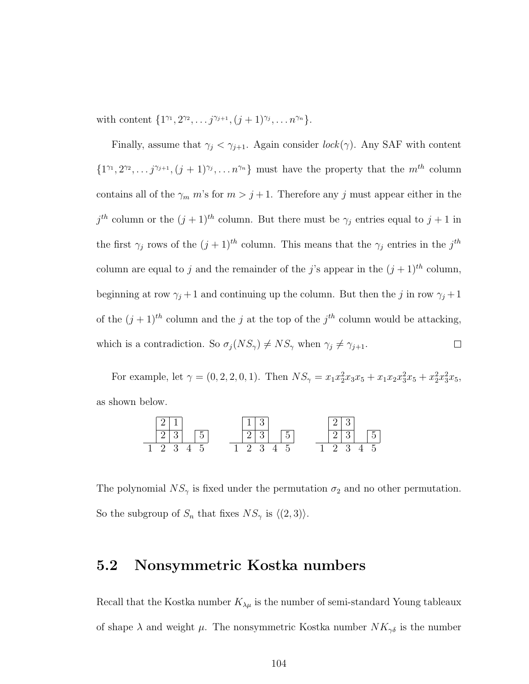with content  $\{1^{\gamma_1}, 2^{\gamma_2}, \ldots j^{\gamma_{j+1}}, (j+1)^{\gamma_j}, \ldots n^{\gamma_n}\}.$ 

Finally, assume that  $\gamma_j < \gamma_{j+1}$ . Again consider  $lock(\gamma)$ . Any SAF with content  $\{1^{\gamma_1}, 2^{\gamma_2}, \ldots j^{\gamma_{j+1}}, (j+1)^{\gamma_j}, \ldots n^{\gamma_n}\}\$  must have the property that the  $m^{th}$  column contains all of the  $\gamma_m$  m's for  $m > j + 1$ . Therefore any j must appear either in the  $j<sup>th</sup>$  column or the  $(j + 1)<sup>th</sup>$  column. But there must be  $\gamma_j$  entries equal to  $j + 1$  in the first  $\gamma_j$  rows of the  $(j+1)^{th}$  column. This means that the  $\gamma_j$  entries in the  $j^{th}$ column are equal to j and the remainder of the j's appear in the  $(j + 1)$ <sup>th</sup> column, beginning at row  $\gamma_j + 1$  and continuing up the column. But then the j in row  $\gamma_j + 1$ of the  $(j + 1)^{th}$  column and the j at the top of the j<sup>th</sup> column would be attacking, which is a contradiction. So  $\sigma_j(NS_\gamma) \neq NS_\gamma$  when  $\gamma_j \neq \gamma_{j+1}$ .  $\Box$ 

For example, let  $\gamma = (0, 2, 2, 0, 1)$ . Then  $NS_{\gamma} = x_1 x_2^2 x_3 x_5 + x_1 x_2 x_3^2 x_5 + x_2^2 x_3^2 x_5$ , as shown below.



The polynomial  $NS_{\gamma}$  is fixed under the permutation  $\sigma_2$  and no other permutation. So the subgroup of  $S_n$  that fixes  $NS_{\gamma}$  is  $\langle (2, 3) \rangle$ .

#### 5.2 Nonsymmetric Kostka numbers

Recall that the Kostka number  $K_{\lambda\mu}$  is the number of semi-standard Young tableaux of shape  $\lambda$  and weight  $\mu$ . The nonsymmetric Kostka number  $NK_{\gamma\delta}$  is the number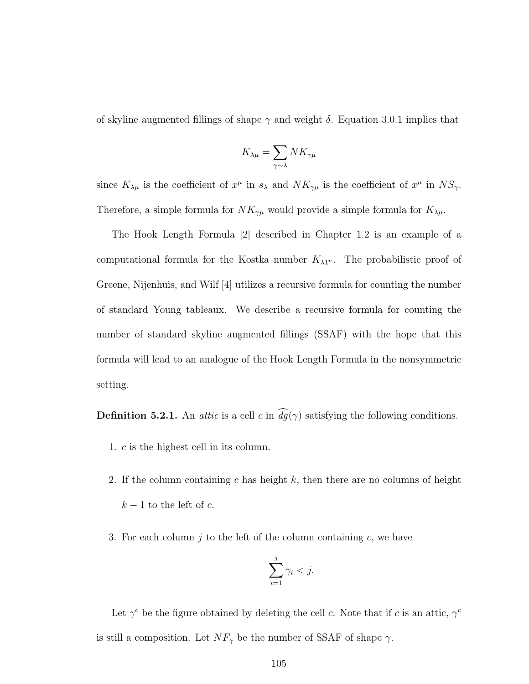of skyline augmented fillings of shape  $\gamma$  and weight  $\delta$ . Equation 3.0.1 implies that

$$
K_{\lambda\mu} = \sum_{\gamma \sim \lambda} N K_{\gamma\mu}
$$

since  $K_{\lambda\mu}$  is the coefficient of  $x^{\mu}$  in  $s_{\lambda}$  and  $NK_{\gamma\mu}$  is the coefficient of  $x^{\mu}$  in  $NS_{\gamma}$ . Therefore, a simple formula for  $NK_{\gamma\mu}$  would provide a simple formula for  $K_{\lambda\mu}$ .

The Hook Length Formula [2] described in Chapter 1.2 is an example of a computational formula for the Kostka number  $K_{\lambda 1^n}$ . The probabilistic proof of Greene, Nijenhuis, and Wilf [4] utilizes a recursive formula for counting the number of standard Young tableaux. We describe a recursive formula for counting the number of standard skyline augmented fillings (SSAF) with the hope that this formula will lead to an analogue of the Hook Length Formula in the nonsymmetric setting.

**Definition 5.2.1.** An *attic* is a cell c in  $\widehat{dg}(\gamma)$  satisfying the following conditions.

- 1. c is the highest cell in its column.
- 2. If the column containing c has height  $k$ , then there are no columns of height  $k-1$  to the left of c.
- 3. For each column  $j$  to the left of the column containing  $c$ , we have

$$
\sum_{i=1}^j \gamma_i < j.
$$

Let  $\gamma^c$  be the figure obtained by deleting the cell c. Note that if c is an attic,  $\gamma^c$ is still a composition. Let  $NF_{\gamma}$  be the number of SSAF of shape  $\gamma$ .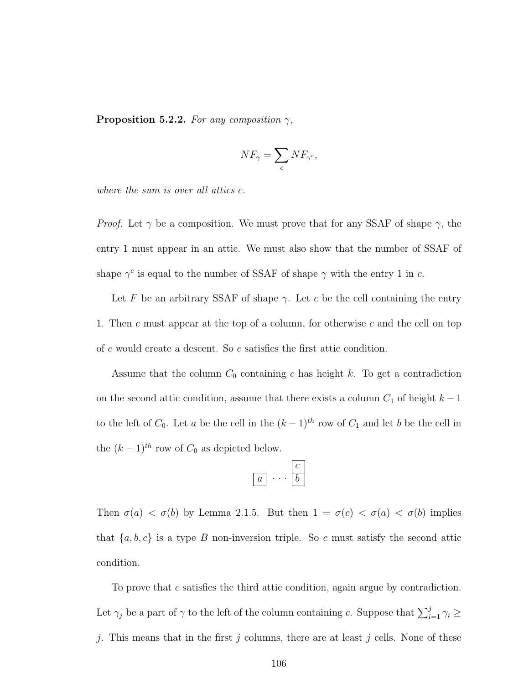**Proposition 5.2.2.** For any composition  $\gamma$ ,

$$
NF_{\gamma} = \sum_{c} NF_{\gamma^c},
$$

where the sum is over all attics c.

*Proof.* Let  $\gamma$  be a composition. We must prove that for any SSAF of shape  $\gamma$ , the entry 1 must appear in an attic. We must also show that the number of SSAF of shape  $\gamma^c$  is equal to the number of SSAF of shape  $\gamma$  with the entry 1 in c.

Let F be an arbitrary SSAF of shape  $\gamma$ . Let c be the cell containing the entry 1. Then c must appear at the top of a column, for otherwise c and the cell on top of c would create a descent. So c satisfies the first attic condition.

Assume that the column  $C_0$  containing c has height k. To get a contradiction on the second attic condition, assume that there exists a column  $C_1$  of height  $k - 1$ to the left of  $C_0$ . Let a be the cell in the  $(k-1)^{th}$  row of  $C_1$  and let b be the cell in the  $(k-1)^{th}$  row of  $C_0$  as depicted below.

$$
\boxed{a} \cdots \boxed{c}
$$

Then  $\sigma(a) < \sigma(b)$  by Lemma 2.1.5. But then  $1 = \sigma(c) < \sigma(a) < \sigma(b)$  implies that  $\{a, b, c\}$  is a type B non-inversion triple. So c must satisfy the second attic condition.

To prove that c satisfies the third attic condition, again argue by contradiction. Let  $\gamma_j$  be a part of  $\gamma$  to the left of the column containing c. Suppose that  $\sum_{i=1}^j \gamma_i \geq$ j. This means that in the first j columns, there are at least j cells. None of these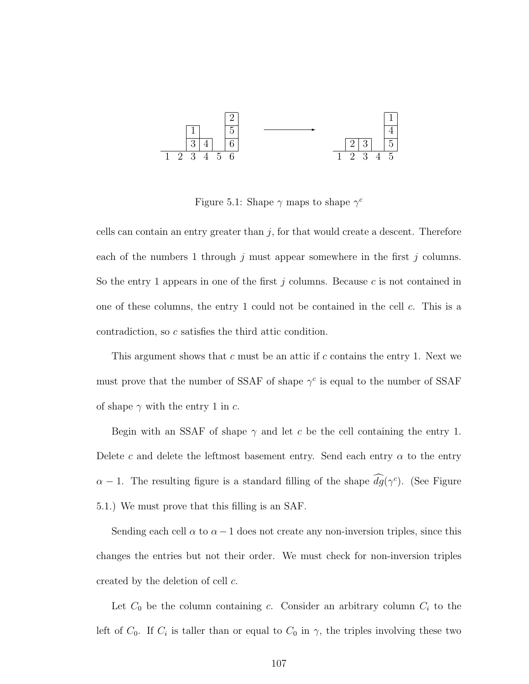

Figure 5.1: Shape  $\gamma$  maps to shape  $\gamma^c$ 

cells can contain an entry greater than  $j$ , for that would create a descent. Therefore each of the numbers 1 through j must appear somewhere in the first j columns. So the entry 1 appears in one of the first j columns. Because c is not contained in one of these columns, the entry 1 could not be contained in the cell c. This is a contradiction, so c satisfies the third attic condition.

This argument shows that  $c$  must be an attic if  $c$  contains the entry 1. Next we must prove that the number of SSAF of shape  $\gamma^c$  is equal to the number of SSAF of shape  $\gamma$  with the entry 1 in c.

Begin with an SSAF of shape  $\gamma$  and let c be the cell containing the entry 1. Delete c and delete the leftmost basement entry. Send each entry  $\alpha$  to the entry  $\alpha - 1$ . The resulting figure is a standard filling of the shape  $\widehat{dg}(\gamma^c)$ . (See Figure 5.1.) We must prove that this filling is an SAF.

Sending each cell  $\alpha$  to  $\alpha - 1$  does not create any non-inversion triples, since this changes the entries but not their order. We must check for non-inversion triples created by the deletion of cell c.

Let  $C_0$  be the column containing c. Consider an arbitrary column  $C_i$  to the left of  $C_0$ . If  $C_i$  is taller than or equal to  $C_0$  in  $\gamma$ , the triples involving these two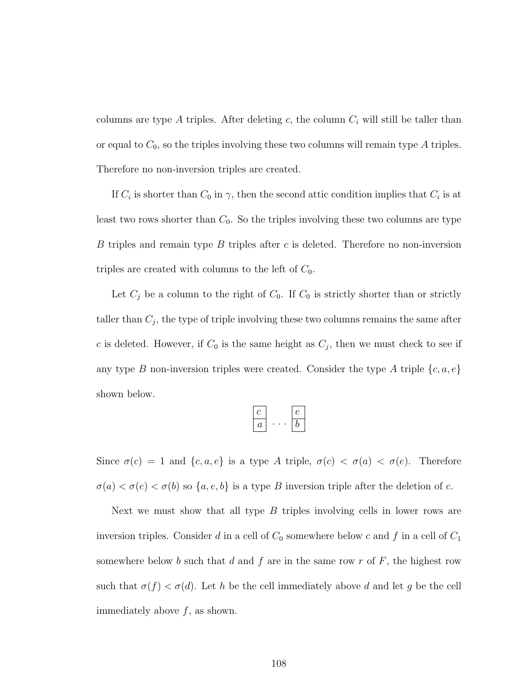columns are type A triples. After deleting c, the column  $C_i$  will still be taller than or equal to  $C_0$ , so the triples involving these two columns will remain type A triples. Therefore no non-inversion triples are created.

If  $C_i$  is shorter than  $C_0$  in  $\gamma$ , then the second attic condition implies that  $C_i$  is at least two rows shorter than  $C_0$ . So the triples involving these two columns are type B triples and remain type B triples after c is deleted. Therefore no non-inversion triples are created with columns to the left of  $C_0$ .

Let  $C_j$  be a column to the right of  $C_0$ . If  $C_0$  is strictly shorter than or strictly taller than  $C_j$ , the type of triple involving these two columns remains the same after c is deleted. However, if  $C_0$  is the same height as  $C_j$ , then we must check to see if any type B non-inversion triples were created. Consider the type A triple  $\{c, a, e\}$ shown below.

| и |  |
|---|--|

Since  $\sigma(c) = 1$  and  $\{c, a, e\}$  is a type A triple,  $\sigma(c) < \sigma(a) < \sigma(e)$ . Therefore  $\sigma(a) < \sigma(e) < \sigma(b)$  so  $\{a, e, b\}$  is a type B inversion triple after the deletion of c.

Next we must show that all type  $B$  triples involving cells in lower rows are inversion triples. Consider d in a cell of  $C_0$  somewhere below c and f in a cell of  $C_1$ somewhere below b such that d and f are in the same row  $r$  of  $F$ , the highest row such that  $\sigma(f) < \sigma(d)$ . Let h be the cell immediately above d and let g be the cell immediately above  $f$ , as shown.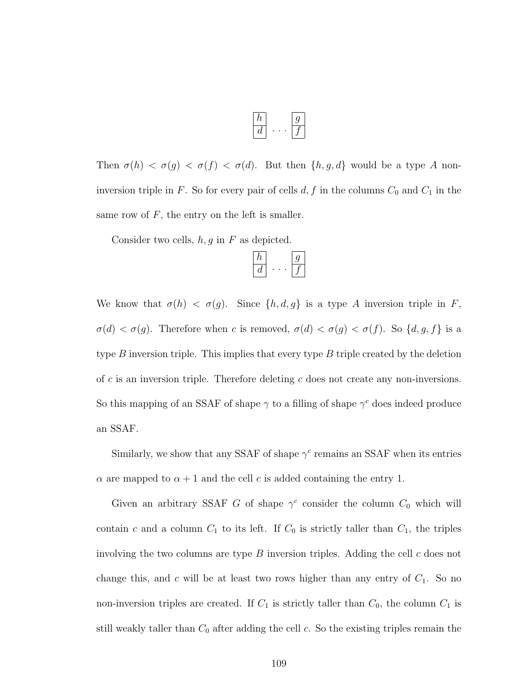Then  $\sigma(h) < \sigma(g) < \sigma(f) < \sigma(d)$ . But then  $\{h, g, d\}$  would be a type A noninversion triple in F. So for every pair of cells  $d, f$  in the columns  $C_0$  and  $C_1$  in the same row of  $F$ , the entry on the left is smaller.

Consider two cells,  $h, g$  in  $F$  as depicted.

| , |  |
|---|--|

We know that  $\sigma(h) < \sigma(g)$ . Since  $\{h, d, g\}$  is a type A inversion triple in F,  $\sigma(d) < \sigma(g)$ . Therefore when c is removed,  $\sigma(d) < \sigma(g) < \sigma(f)$ . So  $\{d, g, f\}$  is a type  $B$  inversion triple. This implies that every type  $B$  triple created by the deletion of  $c$  is an inversion triple. Therefore deleting  $c$  does not create any non-inversions. So this mapping of an SSAF of shape  $\gamma$  to a filling of shape  $\gamma^c$  does indeed produce an SSAF.

Similarly, we show that any SSAF of shape  $\gamma^c$  remains an SSAF when its entries  $\alpha$  are mapped to  $\alpha + 1$  and the cell c is added containing the entry 1.

Given an arbitrary SSAF G of shape  $\gamma^c$  consider the column  $C_0$  which will contain c and a column  $C_1$  to its left. If  $C_0$  is strictly taller than  $C_1$ , the triples involving the two columns are type  $B$  inversion triples. Adding the cell  $c$  does not change this, and  $c$  will be at least two rows higher than any entry of  $C_1$ . So no non-inversion triples are created. If  $C_1$  is strictly taller than  $C_0$ , the column  $C_1$  is still weakly taller than  $C_0$  after adding the cell  $c$ . So the existing triples remain the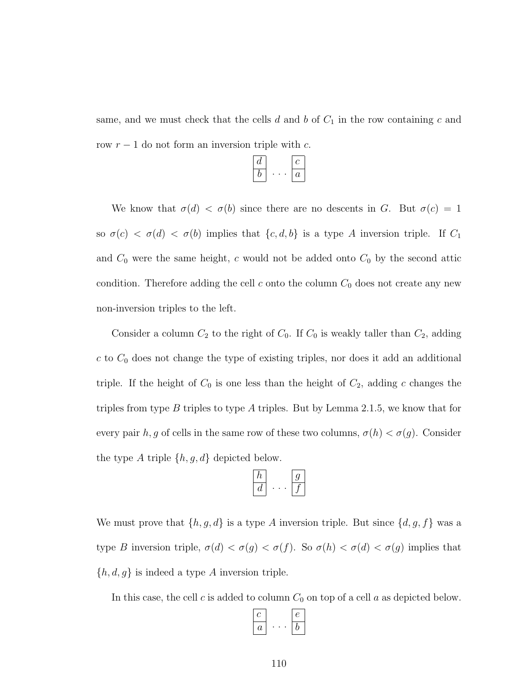same, and we must check that the cells  $d$  and  $b$  of  $C_1$  in the row containing  $c$  and row  $r - 1$  do not form an inversion triple with c.

| а |   |
|---|---|
| , | а |

We know that  $\sigma(d) < \sigma(b)$  since there are no descents in G. But  $\sigma(c) = 1$ so  $\sigma(c) < \sigma(d) < \sigma(b)$  implies that  $\{c, d, b\}$  is a type A inversion triple. If  $C_1$ and  $C_0$  were the same height, c would not be added onto  $C_0$  by the second attic condition. Therefore adding the cell  $c$  onto the column  $C_0$  does not create any new non-inversion triples to the left.

Consider a column  $C_2$  to the right of  $C_0$ . If  $C_0$  is weakly taller than  $C_2$ , adding  $c$  to  $C_0$  does not change the type of existing triples, nor does it add an additional triple. If the height of  $C_0$  is one less than the height of  $C_2$ , adding c changes the triples from type B triples to type A triples. But by Lemma 2.1.5, we know that for every pair h, g of cells in the same row of these two columns,  $\sigma(h) < \sigma(g)$ . Consider the type A triple  $\{h, g, d\}$  depicted below.

$$
\begin{array}{|c|c|}\hline h\\ \hline d\\ \hline\end{array} \cdots \begin{array}{|c|}\hline g\\ \hline f\\ \hline\end{array}
$$

We must prove that  $\{h, g, d\}$  is a type A inversion triple. But since  $\{d, g, f\}$  was a type B inversion triple,  $\sigma(d) < \sigma(g) < \sigma(f)$ . So  $\sigma(h) < \sigma(d) < \sigma(g)$  implies that  $\{h, d, g\}$  is indeed a type A inversion triple.

In this case, the cell  $c$  is added to column  $C_0$  on top of a cell  $a$  as depicted below.

$$
\begin{array}{|c|c|}\hline c\\ \hline a\\ \hline\end{array}\ldots\begin{array}{|c|}\hline e\\ \hline b\\ \hline\end{array}
$$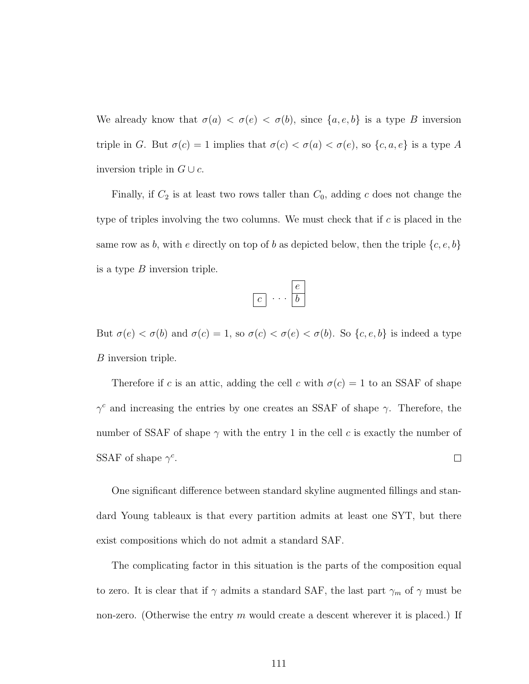We already know that  $\sigma(a) < \sigma(e) < \sigma(b)$ , since  $\{a, e, b\}$  is a type B inversion triple in G. But  $\sigma(c) = 1$  implies that  $\sigma(c) < \sigma(a) < \sigma(e)$ , so  $\{c, a, e\}$  is a type A inversion triple in  $G \cup c$ .

Finally, if  $C_2$  is at least two rows taller than  $C_0$ , adding c does not change the type of triples involving the two columns. We must check that if c is placed in the same row as b, with e directly on top of b as depicted below, then the triple  $\{c, e, b\}$ is a type  $B$  inversion triple.

But  $\sigma(e) < \sigma(b)$  and  $\sigma(c) = 1$ , so  $\sigma(c) < \sigma(e) < \sigma(b)$ . So  $\{c, e, b\}$  is indeed a type B inversion triple.

Therefore if c is an attic, adding the cell c with  $\sigma(c) = 1$  to an SSAF of shape  $\gamma^c$  and increasing the entries by one creates an SSAF of shape  $\gamma$ . Therefore, the number of SSAF of shape  $\gamma$  with the entry 1 in the cell c is exactly the number of SSAF of shape  $\gamma^c$ .  $\Box$ 

One significant difference between standard skyline augmented fillings and standard Young tableaux is that every partition admits at least one SYT, but there exist compositions which do not admit a standard SAF.

The complicating factor in this situation is the parts of the composition equal to zero. It is clear that if  $\gamma$  admits a standard SAF, the last part  $\gamma_m$  of  $\gamma$  must be non-zero. (Otherwise the entry  $m$  would create a descent wherever it is placed.) If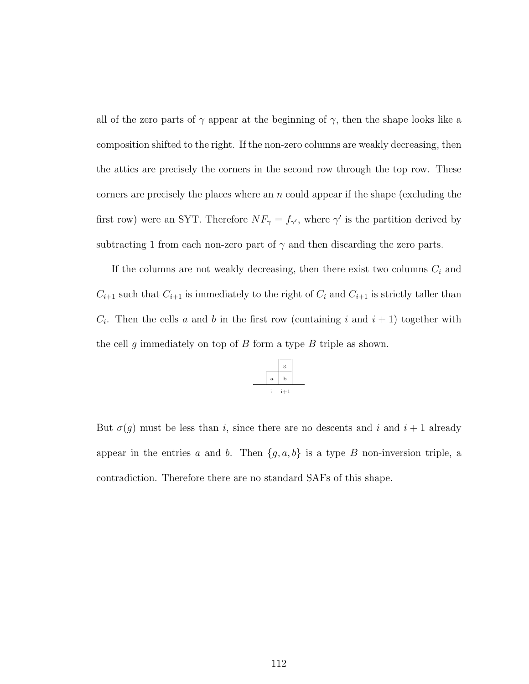all of the zero parts of  $\gamma$  appear at the beginning of  $\gamma$ , then the shape looks like a composition shifted to the right. If the non-zero columns are weakly decreasing, then the attics are precisely the corners in the second row through the top row. These corners are precisely the places where an  $n$  could appear if the shape (excluding the first row) were an SYT. Therefore  $NF_{\gamma} = f_{\gamma'}$ , where  $\gamma'$  is the partition derived by subtracting 1 from each non-zero part of  $\gamma$  and then discarding the zero parts.

If the columns are not weakly decreasing, then there exist two columns  $C_i$  and  $C_{i+1}$  such that  $C_{i+1}$  is immediately to the right of  $C_i$  and  $C_{i+1}$  is strictly taller than  $C_i$ . Then the cells a and b in the first row (containing i and  $i + 1$ ) together with the cell g immediately on top of  $B$  form a type  $B$  triple as shown.

|              | g     |  |
|--------------|-------|--|
| $\mathbf{a}$ | Ь     |  |
|              | $i+1$ |  |

But  $\sigma(g)$  must be less than i, since there are no descents and i and i + 1 already appear in the entries a and b. Then  $\{g, a, b\}$  is a type B non-inversion triple, a contradiction. Therefore there are no standard SAFs of this shape.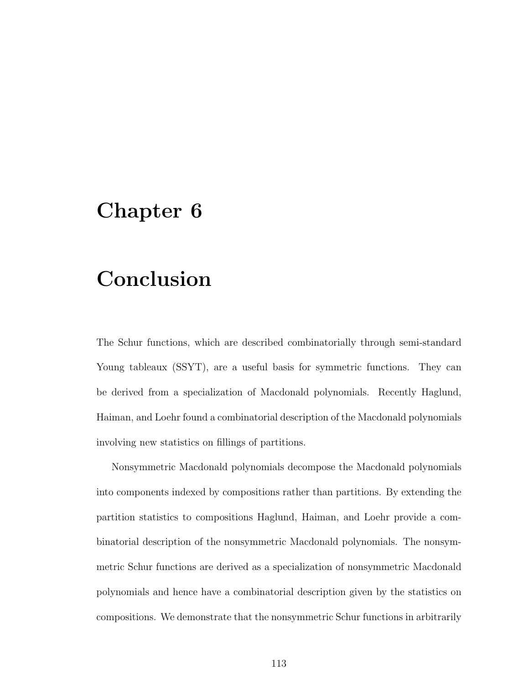### Chapter 6

### Conclusion

The Schur functions, which are described combinatorially through semi-standard Young tableaux (SSYT), are a useful basis for symmetric functions. They can be derived from a specialization of Macdonald polynomials. Recently Haglund, Haiman, and Loehr found a combinatorial description of the Macdonald polynomials involving new statistics on fillings of partitions.

Nonsymmetric Macdonald polynomials decompose the Macdonald polynomials into components indexed by compositions rather than partitions. By extending the partition statistics to compositions Haglund, Haiman, and Loehr provide a combinatorial description of the nonsymmetric Macdonald polynomials. The nonsymmetric Schur functions are derived as a specialization of nonsymmetric Macdonald polynomials and hence have a combinatorial description given by the statistics on compositions. We demonstrate that the nonsymmetric Schur functions in arbitrarily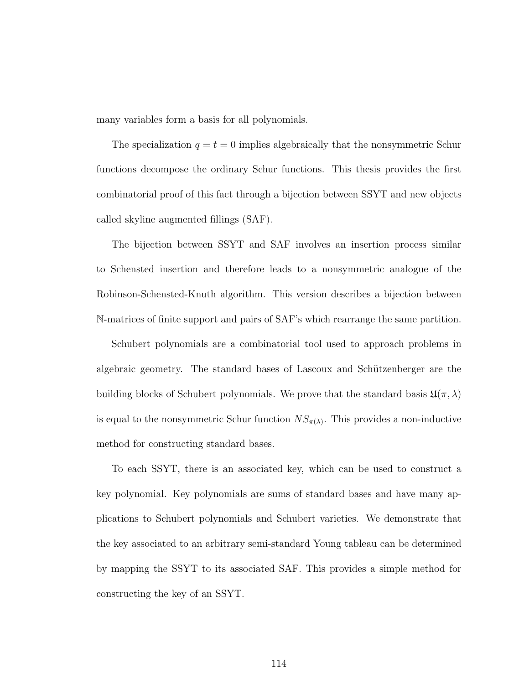many variables form a basis for all polynomials.

The specialization  $q = t = 0$  implies algebraically that the nonsymmetric Schur functions decompose the ordinary Schur functions. This thesis provides the first combinatorial proof of this fact through a bijection between SSYT and new objects called skyline augmented fillings (SAF).

The bijection between SSYT and SAF involves an insertion process similar to Schensted insertion and therefore leads to a nonsymmetric analogue of the Robinson-Schensted-Knuth algorithm. This version describes a bijection between N-matrices of finite support and pairs of SAF's which rearrange the same partition.

Schubert polynomials are a combinatorial tool used to approach problems in algebraic geometry. The standard bases of Lascoux and Schützenberger are the building blocks of Schubert polynomials. We prove that the standard basis  $\mathfrak{U}(\pi,\lambda)$ is equal to the nonsymmetric Schur function  $NS_{\pi(\lambda)}$ . This provides a non-inductive method for constructing standard bases.

To each SSYT, there is an associated key, which can be used to construct a key polynomial. Key polynomials are sums of standard bases and have many applications to Schubert polynomials and Schubert varieties. We demonstrate that the key associated to an arbitrary semi-standard Young tableau can be determined by mapping the SSYT to its associated SAF. This provides a simple method for constructing the key of an SSYT.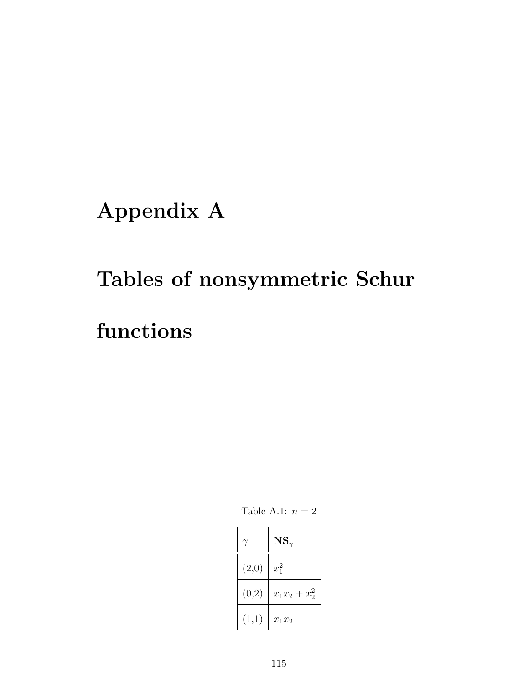Appendix A

# Tables of nonsymmetric Schur

## functions

Table A.1:  $n = 2$ 

|       | $\mathbf{NS}_{\gamma}$ |
|-------|------------------------|
| (2,0) | $x_1^2$                |
| (0,2) | $x_1x_2+x_2^2$         |
| (1,1) | $x_1x_2$               |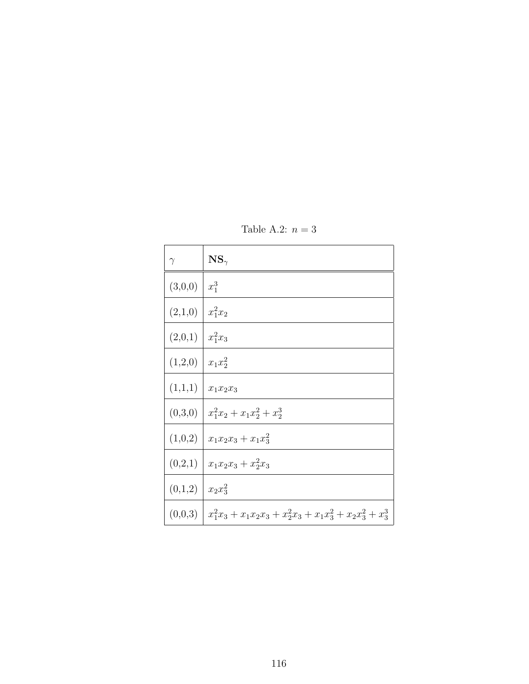| $\gamma$ | $\text{NS}_{\gamma}$                                            |
|----------|-----------------------------------------------------------------|
| (3,0,0)  | $x_1^3$                                                         |
| (2,1,0)  | $x_1^2x_2$                                                      |
| (2,0,1)  | $x_1^2x_3$                                                      |
| (1,2,0)  | $x_1x_2^2$                                                      |
| (1,1,1)  | $x_1x_2x_3$                                                     |
| (0,3,0)  | $x_1^2x_2 + x_1x_2^2 + x_2^3$                                   |
| (1,0,2)  | $x_1x_2x_3 + x_1x_3^2$                                          |
| (0,2,1)  | $x_1x_2x_3 + x_2^2x_3$                                          |
| (0,1,2)  | $x_2x_3^2$                                                      |
| (0,0,3)  | $x_1^2x_3 + x_1x_2x_3 + x_2^2x_3 + x_1x_3^2 + x_2x_3^2 + x_3^3$ |

Table A.2:  $n = 3$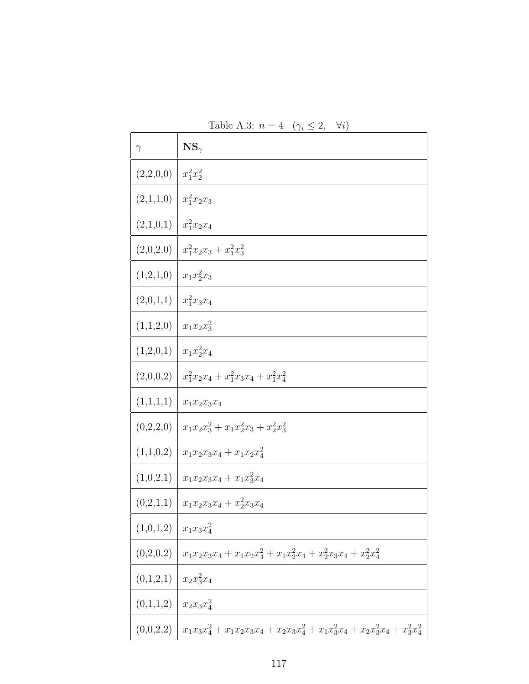| Table A.3: $n = 4 \ (\gamma_i \leq 2, \ \forall i)$ |                                                                                     |  |
|-----------------------------------------------------|-------------------------------------------------------------------------------------|--|
| $\gamma$                                            | $\text{NS}_{\gamma}$                                                                |  |
| (2,2,0,0)                                           | $x_1^2x_2^2$                                                                        |  |
| (2,1,1,0)                                           | $x_1^2x_2x_3$                                                                       |  |
| (2,1,0,1)                                           | $x_1^2x_2x_4$                                                                       |  |
| (2,0,2,0)                                           | $x_1^2x_2x_3 + x_1^2x_3^2$                                                          |  |
| (1,2,1,0)                                           | $x_1x_2^2x_3$                                                                       |  |
| (2,0,1,1)                                           | $x_1^2x_3x_4$                                                                       |  |
| (1,1,2,0)                                           | $x_1x_2x_3^2$                                                                       |  |
| (1,2,0,1)                                           | $x_1x_2^2x_4$                                                                       |  |
| (2,0,0,2)                                           | $x_1^2x_2x_4 + x_1^2x_3x_4 + x_1^2x_4^2$                                            |  |
| (1,1,1,1)                                           | $x_1x_2x_3x_4$                                                                      |  |
| (0,2,2,0)                                           | $x_1x_2x_3^2 + x_1x_2^2x_3 + x_2^2x_3^2$                                            |  |
| (1,1,0,2)                                           | $x_1x_2x_3x_4 + x_1x_2x_4^2$                                                        |  |
| (1,0,2,1)                                           | $x_1x_2x_3x_4 + x_1x_3x_4$                                                          |  |
|                                                     | $(0,2,1,1)   x_1x_2x_3x_4+x_2^2x_3x_4$                                              |  |
| (1,0,1,2)                                           | $x_1x_3x_4^2$                                                                       |  |
| (0,2,0,2)                                           | $x_1x_2x_3x_4 + x_1x_2x_4^2 + x_1x_2^2x_4 + x_2^2x_3x_4 + x_2^2x_4^2$               |  |
| (0,1,2,1)                                           | $x_2x_3^2x_4$                                                                       |  |
| (0,1,1,2)                                           | $x_2x_3x_4^2$                                                                       |  |
| (0,0,2,2)                                           | $x_1x_3x_4^2 + x_1x_2x_3x_4 + x_2x_3x_4^2 + x_1x_3^2x_4 + x_2x_3^2x_4 + x_3^2x_4^2$ |  |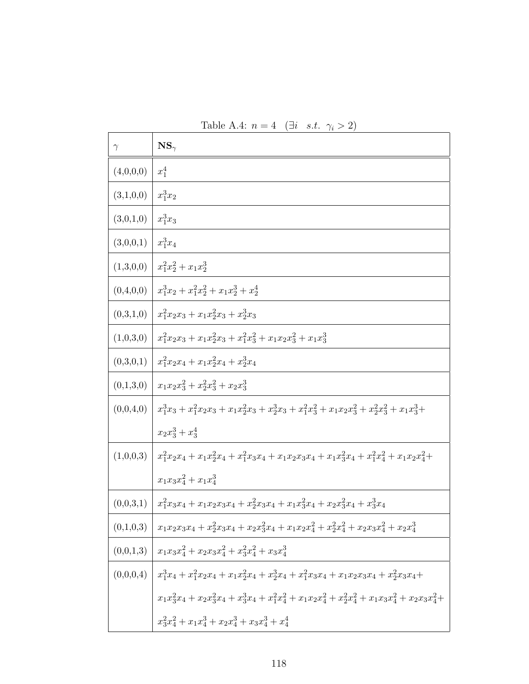| $\gamma$  | $\mathbf{NS}_{\gamma}$                                                                                                                                                 |
|-----------|------------------------------------------------------------------------------------------------------------------------------------------------------------------------|
| (4,0,0,0) | $x_1^4$                                                                                                                                                                |
| (3,1,0,0) | $x_1^3x_2$                                                                                                                                                             |
| (3,0,1,0) | $x_1^3x_3$                                                                                                                                                             |
| (3,0,0,1) | $x_1^3x_4$                                                                                                                                                             |
| (1,3,0,0) | $x_1^2x_2^2 + x_1x_2^3$                                                                                                                                                |
| (0,4,0,0) | $x_1^3x_2+x_1^2x_2^2+x_1x_2^3+x_2^4$                                                                                                                                   |
| (0,3,1,0) | $x_1^2x_2x_3 + x_1x_2^2x_3 + x_2^3x_3$                                                                                                                                 |
| (1,0,3,0) | $x_1^2x_2x_3 + x_1x_2^2x_3 + x_1^2x_3^2 + x_1x_2x_3^2 + x_1x_3^3$                                                                                                      |
| (0,3,0,1) | $x_1^2x_2x_4 + x_1x_2^2x_4 + x_2^3x_4$                                                                                                                                 |
| (0,1,3,0) | $x_1x_2x_3^2 + x_2^2x_3^2 + x_2x_3^3$                                                                                                                                  |
| (0,0,4,0) | $x_1^3x_3 + x_1^2x_2x_3 + x_1x_2^2x_3 + x_2^3x_3 + x_1^2x_3^2 + x_1x_2x_3^2 + x_2^2x_3^2 + x_1x_3^3 +$                                                                 |
|           | $x_2x_3^3 + x_3^4$                                                                                                                                                     |
| (1,0,0,3) | $x_1^2x_2x_4+x_1x_2^2x_4+x_1^2x_3x_4+x_1x_2x_3x_4+x_1x_3^2x_4+x_1^2x_4^2+x_1x_2x_4^2+$                                                                                 |
|           | $x_1x_3x_4^2 + x_1x_4^3$                                                                                                                                               |
| (0,0,3,1) | $x_1^2x_3x_4+x_1x_2x_3x_4+x_2^2x_3x_4+x_1x_3^2x_4+x_2x_3^2x_4+x_3^3x_4$                                                                                                |
| (0,1,0,3) | $x_1x_2x_3x_4+x_2^2x_3x_4+x_2x_3^2x_4+x_1x_2x_4^2+x_2^2x_4^2+x_2x_3x_4^2+x_2x_4^3$                                                                                     |
| (0,0,1,3) | $x_1x_3x_4^2 + x_2x_3x_4^2 + x_3^2x_4^2 + x_3x_4^3$                                                                                                                    |
| (0,0,0,4) | $x_1^3x_4 + x_1^2x_2x_4 + x_1x_2^2x_4 + x_3^3x_4 + x_1^2x_3x_4 + x_1x_2x_3x_4 + x_2^2x_3x_4 +$                                                                         |
|           | $x_{1} x_{3}^2 x_{4} + x_{2} x_{3}^2 x_{4} + x_{3}^3 x_{4} + x_{1}^2 x_{4}^2 + x_{1} x_{2} x_{4}^2 + x_{2}^2 x_{4}^2 + x_{1} x_{3} x_{4}^2 + x_{2} x_{3} x_{4}^2 + \\$ |
|           | $x_3^2x_4^2 + x_1x_4^3 + x_2x_4^3 + x_3x_4^3 + x_4^4$                                                                                                                  |

Table A.4:  $n = 4$  (∃*i s.t.*  $\gamma_i > 2$ )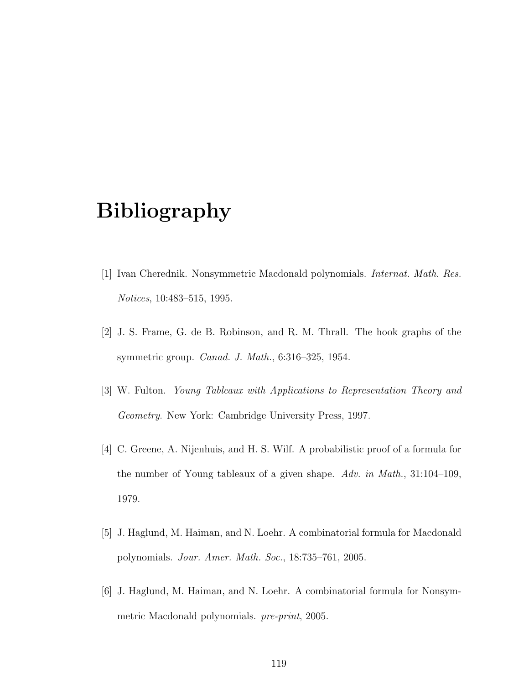## Bibliography

- [1] Ivan Cherednik. Nonsymmetric Macdonald polynomials. Internat. Math. Res. Notices, 10:483–515, 1995.
- [2] J. S. Frame, G. de B. Robinson, and R. M. Thrall. The hook graphs of the symmetric group. Canad. J. Math., 6:316–325, 1954.
- [3] W. Fulton. Young Tableaux with Applications to Representation Theory and Geometry. New York: Cambridge University Press, 1997.
- [4] C. Greene, A. Nijenhuis, and H. S. Wilf. A probabilistic proof of a formula for the number of Young tableaux of a given shape. Adv. in Math., 31:104–109, 1979.
- [5] J. Haglund, M. Haiman, and N. Loehr. A combinatorial formula for Macdonald polynomials. Jour. Amer. Math. Soc., 18:735–761, 2005.
- [6] J. Haglund, M. Haiman, and N. Loehr. A combinatorial formula for Nonsymmetric Macdonald polynomials. pre-print, 2005.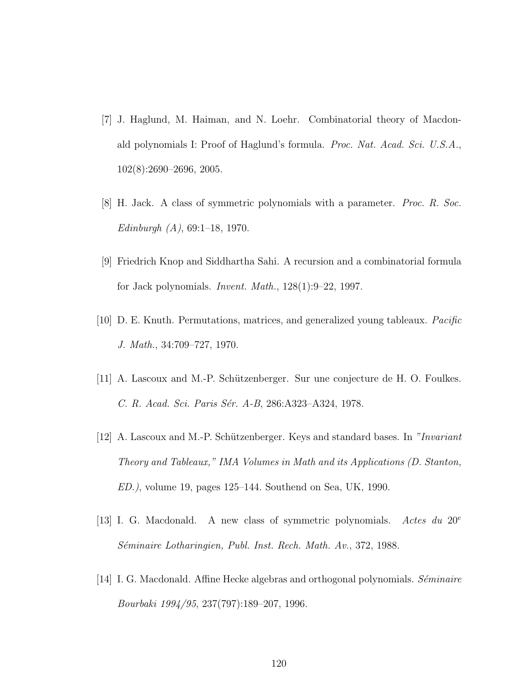- [7] J. Haglund, M. Haiman, and N. Loehr. Combinatorial theory of Macdonald polynomials I: Proof of Haglund's formula. Proc. Nat. Acad. Sci. U.S.A., 102(8):2690–2696, 2005.
- [8] H. Jack. A class of symmetric polynomials with a parameter. Proc. R. Soc. Edinburgh  $(A)$ , 69:1-18, 1970.
- [9] Friedrich Knop and Siddhartha Sahi. A recursion and a combinatorial formula for Jack polynomials. Invent. Math., 128(1):9–22, 1997.
- [10] D. E. Knuth. Permutations, matrices, and generalized young tableaux. Pacific J. Math., 34:709–727, 1970.
- [11] A. Lascoux and M.-P. Schützenberger. Sur une conjecture de H. O. Foulkes. C. R. Acad. Sci. Paris Sér. A-B, 286:A323-A324, 1978.
- [12] A. Lascoux and M.-P. Schützenberger. Keys and standard bases. In "Invariant" Theory and Tableaux," IMA Volumes in Math and its Applications (D. Stanton, ED.), volume 19, pages 125–144. Southend on Sea, UK, 1990.
- [13] I. G. Macdonald. A new class of symmetric polynomials. Actes du  $20^e$ Séminaire Lotharingien, Publ. Inst. Rech. Math. Av., 372, 1988.
- [14] I. G. Macdonald. Affine Hecke algebras and orthogonal polynomials. Séminaire Bourbaki 1994/95, 237(797):189–207, 1996.